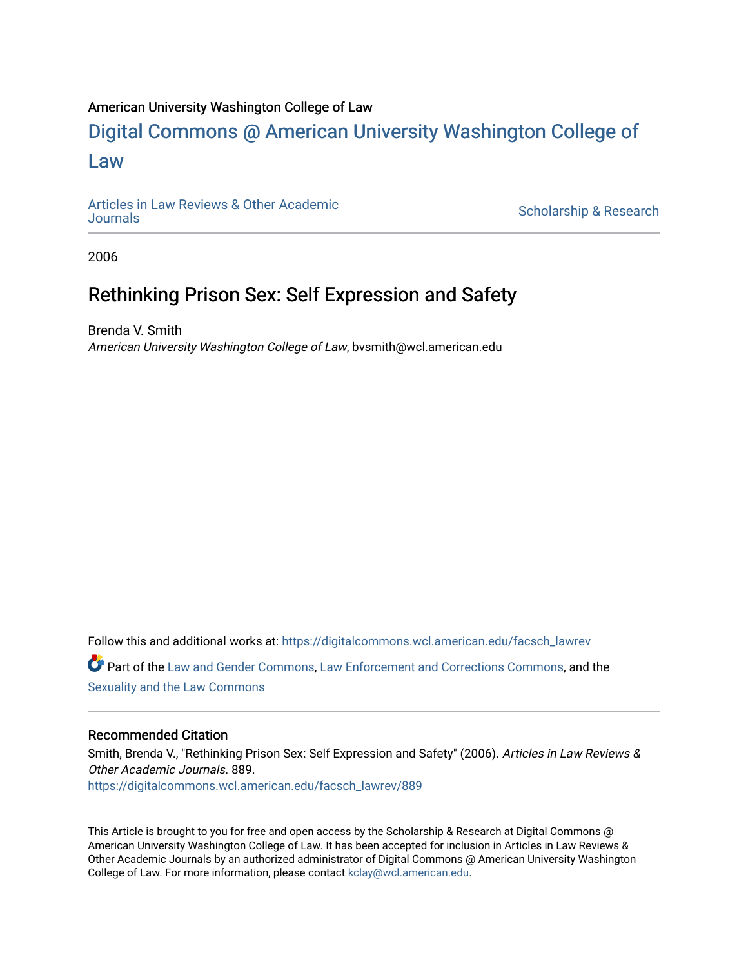## American University Washington College of Law

# [Digital Commons @ American University Washington College of](https://digitalcommons.wcl.american.edu/)  [Law](https://digitalcommons.wcl.american.edu/)

[Articles in Law Reviews & Other Academic](https://digitalcommons.wcl.american.edu/facsch_lawrev) 

Scholarship & Research

2006

## Rethinking Prison Sex: Self Expression and Safety

Brenda V. Smith American University Washington College of Law, bvsmith@wcl.american.edu

Follow this and additional works at: [https://digitalcommons.wcl.american.edu/facsch\\_lawrev](https://digitalcommons.wcl.american.edu/facsch_lawrev?utm_source=digitalcommons.wcl.american.edu%2Ffacsch_lawrev%2F889&utm_medium=PDF&utm_campaign=PDFCoverPages) 

Part of the [Law and Gender Commons,](http://network.bepress.com/hgg/discipline/1298?utm_source=digitalcommons.wcl.american.edu%2Ffacsch_lawrev%2F889&utm_medium=PDF&utm_campaign=PDFCoverPages) [Law Enforcement and Corrections Commons,](http://network.bepress.com/hgg/discipline/854?utm_source=digitalcommons.wcl.american.edu%2Ffacsch_lawrev%2F889&utm_medium=PDF&utm_campaign=PDFCoverPages) and the [Sexuality and the Law Commons](http://network.bepress.com/hgg/discipline/877?utm_source=digitalcommons.wcl.american.edu%2Ffacsch_lawrev%2F889&utm_medium=PDF&utm_campaign=PDFCoverPages) 

## Recommended Citation

Smith, Brenda V., "Rethinking Prison Sex: Self Expression and Safety" (2006). Articles in Law Reviews & Other Academic Journals. 889. [https://digitalcommons.wcl.american.edu/facsch\\_lawrev/889](https://digitalcommons.wcl.american.edu/facsch_lawrev/889?utm_source=digitalcommons.wcl.american.edu%2Ffacsch_lawrev%2F889&utm_medium=PDF&utm_campaign=PDFCoverPages) 

This Article is brought to you for free and open access by the Scholarship & Research at Digital Commons @ American University Washington College of Law. It has been accepted for inclusion in Articles in Law Reviews & Other Academic Journals by an authorized administrator of Digital Commons @ American University Washington College of Law. For more information, please contact [kclay@wcl.american.edu](mailto:kclay@wcl.american.edu).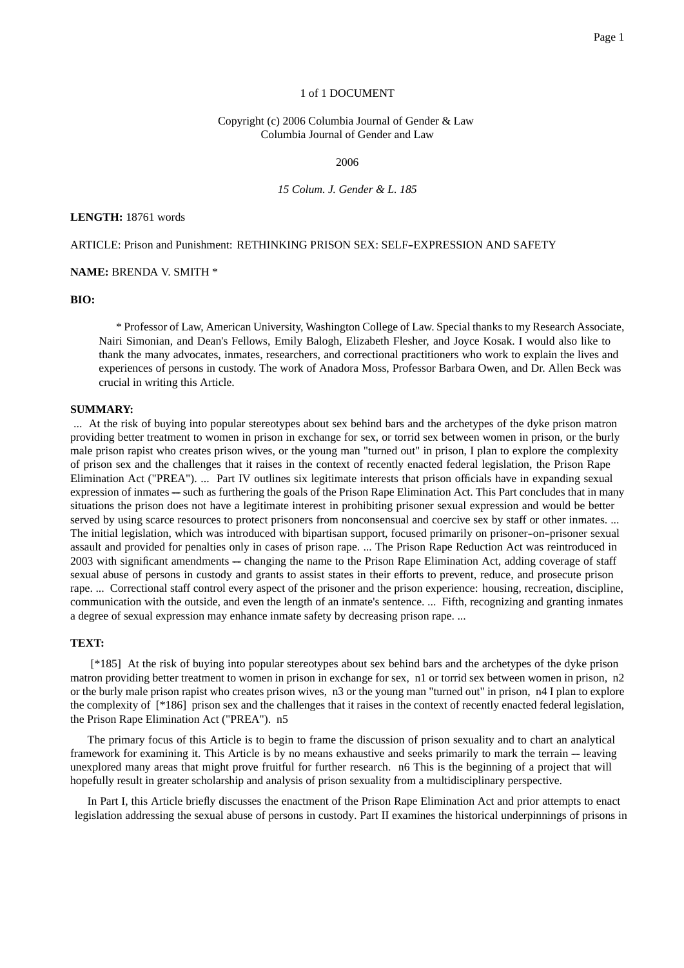#### 1 of 1 DOCUMENT

#### Copyright (c) 2006 Columbia Journal of Gender & Law Columbia Journal of Gender and Law

2006

*15 Colum. J. Gender & L. 185*

#### **LENGTH:** 18761 words

ARTICLE: Prison and Punishment: RETHINKING PRISON SEX: SELF-EXPRESSION AND SAFETY

**NAME:** BRENDA V. SMITH \*

#### **BIO:**

\* Professor of Law, American University, Washington College of Law. Special thanks to my Research Associate, Nairi Simonian, and Dean's Fellows, Emily Balogh, Elizabeth Flesher, and Joyce Kosak. I would also like to thank the many advocates, inmates, researchers, and correctional practitioners who work to explain the lives and experiences of persons in custody. The work of Anadora Moss, Professor Barbara Owen, and Dr. Allen Beck was crucial in writing this Article.

#### **SUMMARY:**

... At the risk of buying into popular stereotypes about sex behind bars and the archetypes of the dyke prison matron providing better treatment to women in prison in exchange for sex, or torrid sex between women in prison, or the burly male prison rapist who creates prison wives, or the young man "turned out" in prison, I plan to explore the complexity of prison sex and the challenges that it raises in the context of recently enacted federal legislation, the Prison Rape Elimination Act ("PREA"). ... Part IV outlines six legitimate interests that prison officials have in expanding sexual expression of inmates — such as furthering the goals of the Prison Rape Elimination Act. This Part concludes that in many situations the prison does not have a legitimate interest in prohibiting prisoner sexual expression and would be better served by using scarce resources to protect prisoners from nonconsensual and coercive sex by staff or other inmates. ... The initial legislation, which was introduced with bipartisan support, focused primarily on prisoner--on--prisoner sexual assault and provided for penalties only in cases of prison rape. ... The Prison Rape Reduction Act was reintroduced in 2003 with significant amendments — changing the name to the Prison Rape Elimination Act, adding coverage of staff sexual abuse of persons in custody and grants to assist states in their efforts to prevent, reduce, and prosecute prison rape. ... Correctional staff control every aspect of the prisoner and the prison experience: housing, recreation, discipline, communication with the outside, and even the length of an inmate's sentence. ... Fifth, recognizing and granting inmates a degree of sexual expression may enhance inmate safety by decreasing prison rape. ...

#### **TEXT:**

[\*185] At the risk of buying into popular stereotypes about sex behind bars and the archetypes of the dyke prison matron providing better treatment to women in prison in exchange for sex, n1 or torrid sex between women in prison, n2 or the burly male prison rapist who creates prison wives, n3 or the young man "turned out" in prison, n4 I plan to explore the complexity of [\*186] prison sex and the challenges that it raises in the context of recently enacted federal legislation, the Prison Rape Elimination Act ("PREA"). n5

The primary focus of this Article is to begin to frame the discussion of prison sexuality and to chart an analytical framework for examining it. This Article is by no means exhaustive and seeks primarily to mark the terrain — leaving unexplored many areas that might prove fruitful for further research. n6 This is the beginning of a project that will hopefully result in greater scholarship and analysis of prison sexuality from a multidisciplinary perspective.

In Part I, this Article briefly discusses the enactment of the Prison Rape Elimination Act and prior attempts to enact legislation addressing the sexual abuse of persons in custody. Part II examines the historical underpinnings of prisons in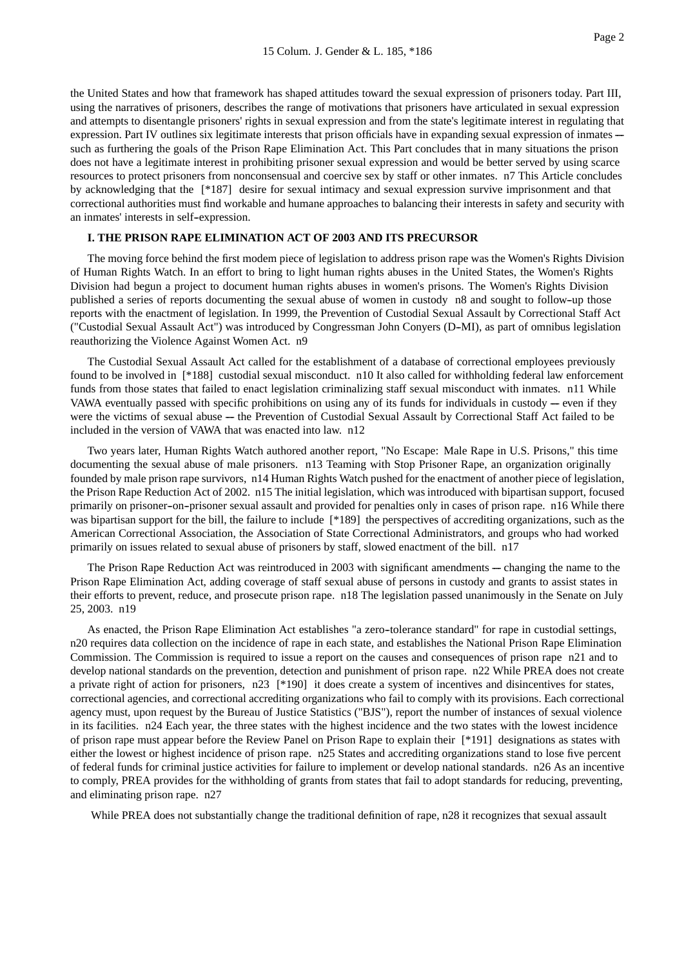the United States and how that framework has shaped attitudes toward the sexual expression of prisoners today. Part III, using the narratives of prisoners, describes the range of motivations that prisoners have articulated in sexual expression and attempts to disentangle prisoners' rights in sexual expression and from the state's legitimate interest in regulating that expression. Part IV outlines six legitimate interests that prison officials have in expanding sexual expression of inmates -such as furthering the goals of the Prison Rape Elimination Act. This Part concludes that in many situations the prison does not have a legitimate interest in prohibiting prisoner sexual expression and would be better served by using scarce resources to protect prisoners from nonconsensual and coercive sex by staff or other inmates. n7 This Article concludes by acknowledging that the [\*187] desire for sexual intimacy and sexual expression survive imprisonment and that correctional authorities must find workable and humane approaches to balancing their interests in safety and security with an inmates' interests in self--expression.

#### **I. THE PRISON RAPE ELIMINATION ACT OF 2003 AND ITS PRECURSOR**

The moving force behind the first modem piece of legislation to address prison rape was the Women's Rights Division of Human Rights Watch. In an effort to bring to light human rights abuses in the United States, the Women's Rights Division had begun a project to document human rights abuses in women's prisons. The Women's Rights Division published a series of reports documenting the sexual abuse of women in custody n8 and sought to follow--up those reports with the enactment of legislation. In 1999, the Prevention of Custodial Sexual Assault by Correctional Staff Act ("Custodial Sexual Assault Act") was introduced by Congressman John Conyers (D--MI), as part of omnibus legislation reauthorizing the Violence Against Women Act. n9

The Custodial Sexual Assault Act called for the establishment of a database of correctional employees previously found to be involved in [\*188] custodial sexual misconduct. n10 It also called for withholding federal law enforcement funds from those states that failed to enact legislation criminalizing staff sexual misconduct with inmates. n11 While VAWA eventually passed with specific prohibitions on using any of its funds for individuals in custody  $-$  even if they were the victims of sexual abuse --- the Prevention of Custodial Sexual Assault by Correctional Staff Act failed to be included in the version of VAWA that was enacted into law. n12

Two years later, Human Rights Watch authored another report, "No Escape: Male Rape in U.S. Prisons," this time documenting the sexual abuse of male prisoners. n13 Teaming with Stop Prisoner Rape, an organization originally founded by male prison rape survivors, n14 Human Rights Watch pushed for the enactment of another piece of legislation, the Prison Rape Reduction Act of 2002. n15 The initial legislation, which was introduced with bipartisan support, focused primarily on prisoner--on--prisoner sexual assault and provided for penalties only in cases of prison rape. n16 While there was bipartisan support for the bill, the failure to include [\*189] the perspectives of accrediting organizations, such as the American Correctional Association, the Association of State Correctional Administrators, and groups who had worked primarily on issues related to sexual abuse of prisoners by staff, slowed enactment of the bill. n17

The Prison Rape Reduction Act was reintroduced in 2003 with significant amendments — changing the name to the Prison Rape Elimination Act, adding coverage of staff sexual abuse of persons in custody and grants to assist states in their efforts to prevent, reduce, and prosecute prison rape. n18 The legislation passed unanimously in the Senate on July 25, 2003. n19

As enacted, the Prison Rape Elimination Act establishes "a zero-tolerance standard" for rape in custodial settings, n20 requires data collection on the incidence of rape in each state, and establishes the National Prison Rape Elimination Commission. The Commission is required to issue a report on the causes and consequences of prison rape n21 and to develop national standards on the prevention, detection and punishment of prison rape. n22 While PREA does not create a private right of action for prisoners, n23 [\*190] it does create a system of incentives and disincentives for states, correctional agencies, and correctional accrediting organizations who fail to comply with its provisions. Each correctional agency must, upon request by the Bureau of Justice Statistics ("BJS"), report the number of instances of sexual violence in its facilities. n24 Each year, the three states with the highest incidence and the two states with the lowest incidence of prison rape must appear before the Review Panel on Prison Rape to explain their [\*191] designations as states with either the lowest or highest incidence of prison rape. n25 States and accrediting organizations stand to lose five percent of federal funds for criminal justice activities for failure to implement or develop national standards. n26 As an incentive to comply, PREA provides for the withholding of grants from states that fail to adopt standards for reducing, preventing, and eliminating prison rape. n27

While PREA does not substantially change the traditional definition of rape, n28 it recognizes that sexual assault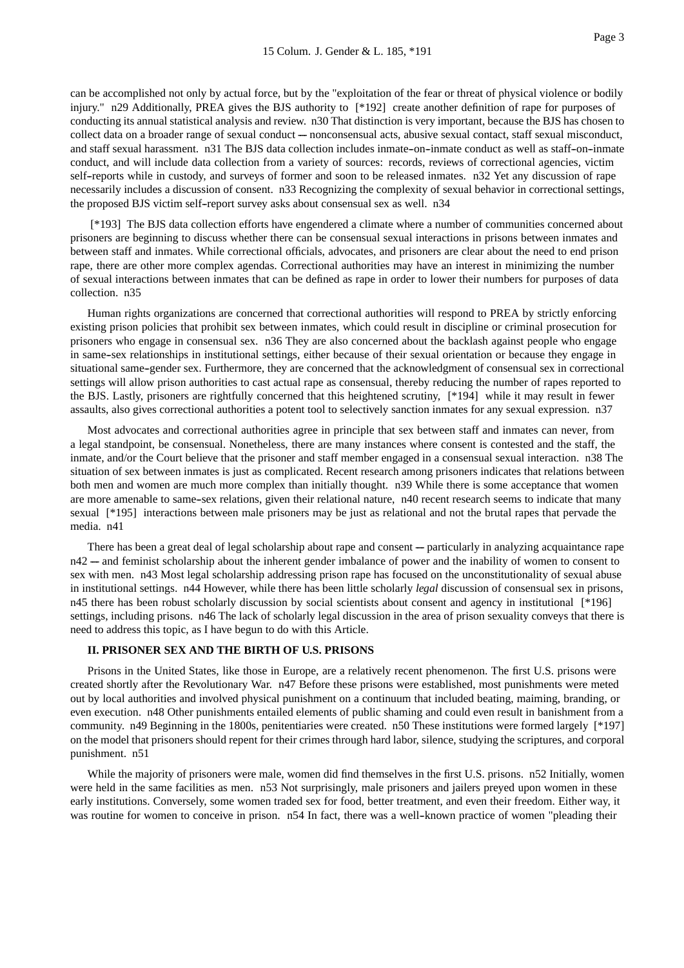can be accomplished not only by actual force, but by the "exploitation of the fear or threat of physical violence or bodily injury." n29 Additionally, PREA gives the BJS authority to [\*192] create another definition of rape for purposes of conducting its annual statistical analysis and review. n30 That distinction is very important, because the BJS has chosen to collect data on a broader range of sexual conduct — nonconsensual acts, abusive sexual contact, staff sexual misconduct, and staff sexual harassment. n31 The BJS data collection includes inmate-on-inmate conduct as well as staff-on-inmate conduct, and will include data collection from a variety of sources: records, reviews of correctional agencies, victim self--reports while in custody, and surveys of former and soon to be released inmates. n32 Yet any discussion of rape necessarily includes a discussion of consent. n33 Recognizing the complexity of sexual behavior in correctional settings, the proposed BJS victim self--report survey asks about consensual sex as well. n34

[\*193] The BJS data collection efforts have engendered a climate where a number of communities concerned about prisoners are beginning to discuss whether there can be consensual sexual interactions in prisons between inmates and between staff and inmates. While correctional officials, advocates, and prisoners are clear about the need to end prison rape, there are other more complex agendas. Correctional authorities may have an interest in minimizing the number of sexual interactions between inmates that can be defined as rape in order to lower their numbers for purposes of data collection. n35

Human rights organizations are concerned that correctional authorities will respond to PREA by strictly enforcing existing prison policies that prohibit sex between inmates, which could result in discipline or criminal prosecution for prisoners who engage in consensual sex. n36 They are also concerned about the backlash against people who engage in same--sex relationships in institutional settings, either because of their sexual orientation or because they engage in situational same-gender sex. Furthermore, they are concerned that the acknowledgment of consensual sex in correctional settings will allow prison authorities to cast actual rape as consensual, thereby reducing the number of rapes reported to the BJS. Lastly, prisoners are rightfully concerned that this heightened scrutiny, [\*194] while it may result in fewer assaults, also gives correctional authorities a potent tool to selectively sanction inmates for any sexual expression. n37

Most advocates and correctional authorities agree in principle that sex between staff and inmates can never, from a legal standpoint, be consensual. Nonetheless, there are many instances where consent is contested and the staff, the inmate, and/or the Court believe that the prisoner and staff member engaged in a consensual sexual interaction. n38 The situation of sex between inmates is just as complicated. Recent research among prisoners indicates that relations between both men and women are much more complex than initially thought. n39 While there is some acceptance that women are more amenable to same--sex relations, given their relational nature, n40 recent research seems to indicate that many sexual [\*195] interactions between male prisoners may be just as relational and not the brutal rapes that pervade the media. n41

There has been a great deal of legal scholarship about rape and consent — particularly in analyzing acquaintance rape  $n42$  --- and feminist scholarship about the inherent gender imbalance of power and the inability of women to consent to sex with men. n43 Most legal scholarship addressing prison rape has focused on the unconstitutionality of sexual abuse in institutional settings. n44 However, while there has been little scholarly *legal* discussion of consensual sex in prisons, n45 there has been robust scholarly discussion by social scientists about consent and agency in institutional [\*196] settings, including prisons. n46 The lack of scholarly legal discussion in the area of prison sexuality conveys that there is need to address this topic, as I have begun to do with this Article.

## **II. PRISONER SEX AND THE BIRTH OF U.S. PRISONS**

Prisons in the United States, like those in Europe, are a relatively recent phenomenon. The first U.S. prisons were created shortly after the Revolutionary War. n47 Before these prisons were established, most punishments were meted out by local authorities and involved physical punishment on a continuum that included beating, maiming, branding, or even execution. n48 Other punishments entailed elements of public shaming and could even result in banishment from a community. n49 Beginning in the 1800s, penitentiaries were created. n50 These institutions were formed largely [\*197] on the model that prisoners should repent for their crimes through hard labor, silence, studying the scriptures, and corporal punishment. n51

While the majority of prisoners were male, women did find themselves in the first U.S. prisons. n52 Initially, women were held in the same facilities as men. n53 Not surprisingly, male prisoners and jailers preyed upon women in these early institutions. Conversely, some women traded sex for food, better treatment, and even their freedom. Either way, it was routine for women to conceive in prison. n54 In fact, there was a well-known practice of women "pleading their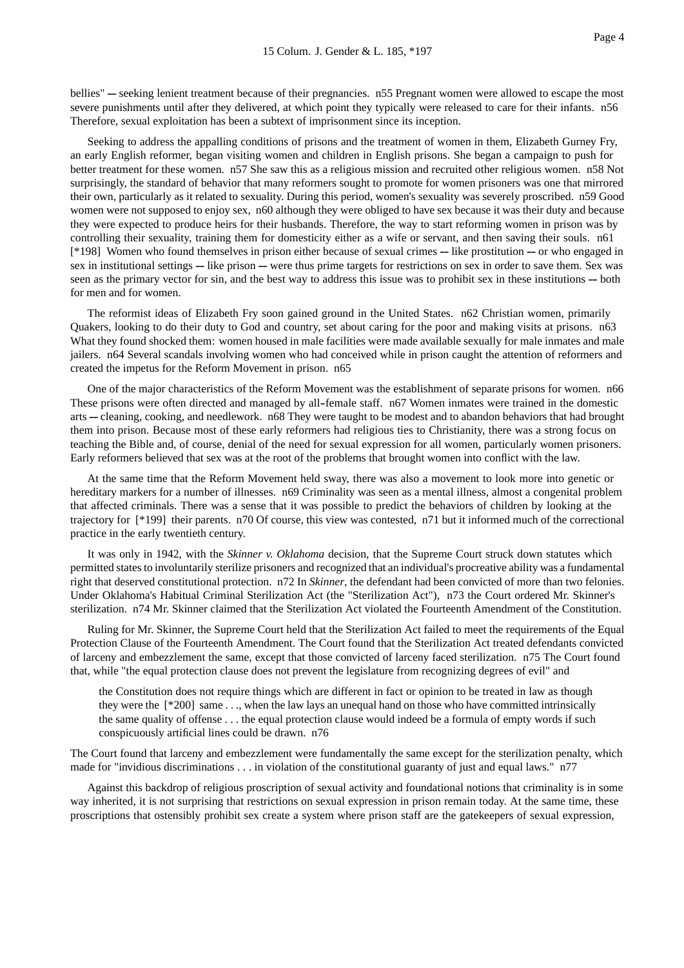bellies" --- seeking lenient treatment because of their pregnancies. n55 Pregnant women were allowed to escape the most severe punishments until after they delivered, at which point they typically were released to care for their infants. n56 Therefore, sexual exploitation has been a subtext of imprisonment since its inception.

Seeking to address the appalling conditions of prisons and the treatment of women in them, Elizabeth Gurney Fry, an early English reformer, began visiting women and children in English prisons. She began a campaign to push for better treatment for these women. n57 She saw this as a religious mission and recruited other religious women. n58 Not surprisingly, the standard of behavior that many reformers sought to promote for women prisoners was one that mirrored their own, particularly as it related to sexuality. During this period, women's sexuality was severely proscribed. n59 Good women were not supposed to enjoy sex, n60 although they were obliged to have sex because it was their duty and because they were expected to produce heirs for their husbands. Therefore, the way to start reforming women in prison was by controlling their sexuality, training them for domesticity either as a wife or servant, and then saving their souls. n61  $[*198]$  Women who found themselves in prison either because of sexual crimes  $-$  like prostitution  $-$  or who engaged in sex in institutional settings --- like prison --- were thus prime targets for restrictions on sex in order to save them. Sex was seen as the primary vector for sin, and the best way to address this issue was to prohibit sex in these institutions — both for men and for women.

The reformist ideas of Elizabeth Fry soon gained ground in the United States. n62 Christian women, primarily Quakers, looking to do their duty to God and country, set about caring for the poor and making visits at prisons. n63 What they found shocked them: women housed in male facilities were made available sexually for male inmates and male jailers. n64 Several scandals involving women who had conceived while in prison caught the attention of reformers and created the impetus for the Reform Movement in prison. n65

One of the major characteristics of the Reform Movement was the establishment of separate prisons for women. n66 These prisons were often directed and managed by all-female staff. n67 Women inmates were trained in the domestic arts --- cleaning, cooking, and needlework. n68 They were taught to be modest and to abandon behaviors that had brought them into prison. Because most of these early reformers had religious ties to Christianity, there was a strong focus on teaching the Bible and, of course, denial of the need for sexual expression for all women, particularly women prisoners. Early reformers believed that sex was at the root of the problems that brought women into conflict with the law.

At the same time that the Reform Movement held sway, there was also a movement to look more into genetic or hereditary markers for a number of illnesses. n69 Criminality was seen as a mental illness, almost a congenital problem that affected criminals. There was a sense that it was possible to predict the behaviors of children by looking at the trajectory for [\*199] their parents. n70 Of course, this view was contested, n71 but it informed much of the correctional practice in the early twentieth century.

It was only in 1942, with the *Skinner v. Oklahoma* decision, that the Supreme Court struck down statutes which permitted states to involuntarily sterilize prisoners and recognized that an individual's procreative ability was a fundamental right that deserved constitutional protection. n72 In *Skinner*, the defendant had been convicted of more than two felonies. Under Oklahoma's Habitual Criminal Sterilization Act (the "Sterilization Act"), n73 the Court ordered Mr. Skinner's sterilization. n74 Mr. Skinner claimed that the Sterilization Act violated the Fourteenth Amendment of the Constitution.

Ruling for Mr. Skinner, the Supreme Court held that the Sterilization Act failed to meet the requirements of the Equal Protection Clause of the Fourteenth Amendment. The Court found that the Sterilization Act treated defendants convicted of larceny and embezzlement the same, except that those convicted of larceny faced sterilization. n75 The Court found that, while "the equal protection clause does not prevent the legislature from recognizing degrees of evil" and

the Constitution does not require things which are different in fact or opinion to be treated in law as though they were the [\*200] same . . ., when the law lays an unequal hand on those who have committed intrinsically the same quality of offense . . . the equal protection clause would indeed be a formula of empty words if such conspicuously artificial lines could be drawn. n76

The Court found that larceny and embezzlement were fundamentally the same except for the sterilization penalty, which made for "invidious discriminations . . . in violation of the constitutional guaranty of just and equal laws." n77

Against this backdrop of religious proscription of sexual activity and foundational notions that criminality is in some way inherited, it is not surprising that restrictions on sexual expression in prison remain today. At the same time, these proscriptions that ostensibly prohibit sex create a system where prison staff are the gatekeepers of sexual expression,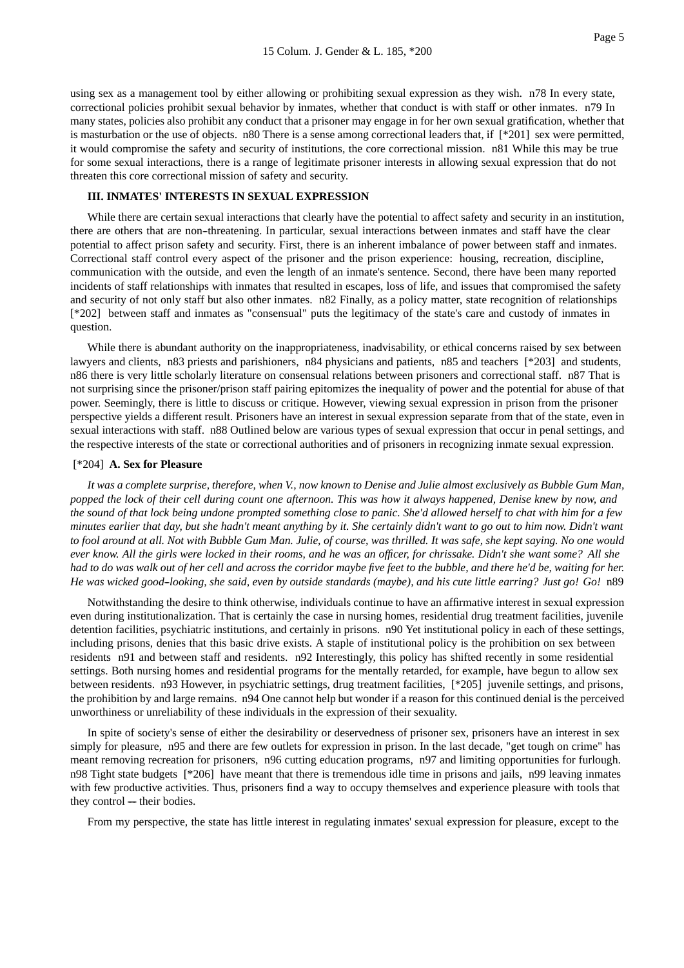using sex as a management tool by either allowing or prohibiting sexual expression as they wish. n78 In every state, correctional policies prohibit sexual behavior by inmates, whether that conduct is with staff or other inmates. n79 In many states, policies also prohibit any conduct that a prisoner may engage in for her own sexual gratification, whether that is masturbation or the use of objects. n80 There is a sense among correctional leaders that, if  $[^*201]$  sex were permitted, it would compromise the safety and security of institutions, the core correctional mission. n81 While this may be true for some sexual interactions, there is a range of legitimate prisoner interests in allowing sexual expression that do not threaten this core correctional mission of safety and security.

#### **III. INMATES' INTERESTS IN SEXUAL EXPRESSION**

While there are certain sexual interactions that clearly have the potential to affect safety and security in an institution, there are others that are non--threatening. In particular, sexual interactions between inmates and staff have the clear potential to affect prison safety and security. First, there is an inherent imbalance of power between staff and inmates. Correctional staff control every aspect of the prisoner and the prison experience: housing, recreation, discipline, communication with the outside, and even the length of an inmate's sentence. Second, there have been many reported incidents of staff relationships with inmates that resulted in escapes, loss of life, and issues that compromised the safety and security of not only staff but also other inmates. n82 Finally, as a policy matter, state recognition of relationships [\*202] between staff and inmates as "consensual" puts the legitimacy of the state's care and custody of inmates in question.

While there is abundant authority on the inappropriateness, inadvisability, or ethical concerns raised by sex between lawyers and clients, n83 priests and parishioners, n84 physicians and patients, n85 and teachers [\*203] and students, n86 there is very little scholarly literature on consensual relations between prisoners and correctional staff. n87 That is not surprising since the prisoner/prison staff pairing epitomizes the inequality of power and the potential for abuse of that power. Seemingly, there is little to discuss or critique. However, viewing sexual expression in prison from the prisoner perspective yields a different result. Prisoners have an interest in sexual expression separate from that of the state, even in sexual interactions with staff. n88 Outlined below are various types of sexual expression that occur in penal settings, and the respective interests of the state or correctional authorities and of prisoners in recognizing inmate sexual expression.

#### [\*204] **A. Sex for Pleasure**

*It was a complete surprise, therefore, when V., now known to Denise and Julie almost exclusively as Bubble Gum Man, popped the lock of their cell during count one afternoon. This was how it always happened, Denise knew by now, and the sound of that lock being undone prompted something close to panic. She'd allowed herself to chat with him for a few minutes earlier that day, but she hadn't meant anything by it. She certainly didn't want to go out to him now. Didn't want to fool around at all. Not with Bubble Gum Man. Julie, of course, was thrilled. It was safe, she kept saying. No one would ever know. All the girls were locked in their rooms, and he was an officer, for chrissake. Didn't she want some? All she had to do was walk out of her cell and across the corridor maybe five feet to the bubble, and there he'd be, waiting for her. He was wicked good--looking, she said, even by outside standards (maybe), and his cute little earring? Just go! Go!* n89

Notwithstanding the desire to think otherwise, individuals continue to have an affirmative interest in sexual expression even during institutionalization. That is certainly the case in nursing homes, residential drug treatment facilities, juvenile detention facilities, psychiatric institutions, and certainly in prisons. n90 Yet institutional policy in each of these settings, including prisons, denies that this basic drive exists. A staple of institutional policy is the prohibition on sex between residents n91 and between staff and residents. n92 Interestingly, this policy has shifted recently in some residential settings. Both nursing homes and residential programs for the mentally retarded, for example, have begun to allow sex between residents. n93 However, in psychiatric settings, drug treatment facilities, [\*205] juvenile settings, and prisons, the prohibition by and large remains. n94 One cannot help but wonder if a reason for this continued denial is the perceived unworthiness or unreliability of these individuals in the expression of their sexuality.

In spite of society's sense of either the desirability or deservedness of prisoner sex, prisoners have an interest in sex simply for pleasure, n95 and there are few outlets for expression in prison. In the last decade, "get tough on crime" has meant removing recreation for prisoners, n96 cutting education programs, n97 and limiting opportunities for furlough. n98 Tight state budgets [\*206] have meant that there is tremendous idle time in prisons and jails, n99 leaving inmates with few productive activities. Thus, prisoners find a way to occupy themselves and experience pleasure with tools that they control --- their bodies.

From my perspective, the state has little interest in regulating inmates' sexual expression for pleasure, except to the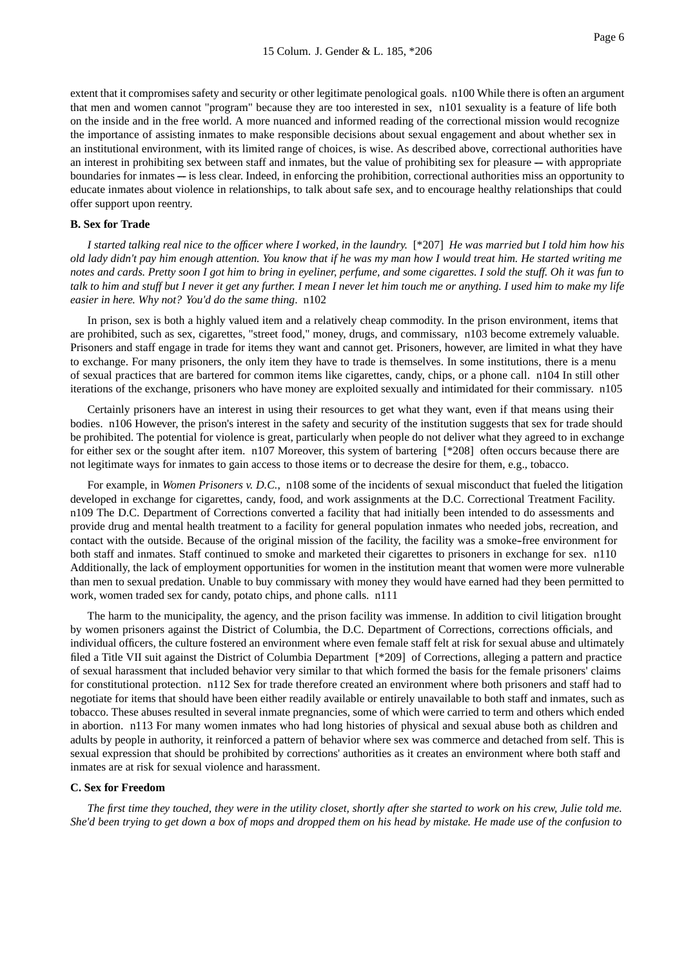extent that it compromises safety and security or other legitimate penological goals. n100 While there is often an argument that men and women cannot "program" because they are too interested in sex, n101 sexuality is a feature of life both on the inside and in the free world. A more nuanced and informed reading of the correctional mission would recognize the importance of assisting inmates to make responsible decisions about sexual engagement and about whether sex in an institutional environment, with its limited range of choices, is wise. As described above, correctional authorities have an interest in prohibiting sex between staff and inmates, but the value of prohibiting sex for pleasure — with appropriate boundaries for inmates — is less clear. Indeed, in enforcing the prohibition, correctional authorities miss an opportunity to educate inmates about violence in relationships, to talk about safe sex, and to encourage healthy relationships that could offer support upon reentry.

## **B. Sex for Trade**

*I started talking real nice to the officer where I worked, in the laundry.* [\*207] *He was married but I told him how his old lady didn't pay him enough attention. You know that if he was my man how I would treat him. He started writing me notes and cards. Pretty soon I got him to bring in eyeliner, perfume, and some cigarettes. I sold the stuff. Oh it was fun to talk to him and stuff but I never it get any further. I mean I never let him touch me or anything. I used him to make my life easier in here. Why not? You'd do the same thing*. n102

In prison, sex is both a highly valued item and a relatively cheap commodity. In the prison environment, items that are prohibited, such as sex, cigarettes, "street food," money, drugs, and commissary, n103 become extremely valuable. Prisoners and staff engage in trade for items they want and cannot get. Prisoners, however, are limited in what they have to exchange. For many prisoners, the only item they have to trade is themselves. In some institutions, there is a menu of sexual practices that are bartered for common items like cigarettes, candy, chips, or a phone call. n104 In still other iterations of the exchange, prisoners who have money are exploited sexually and intimidated for their commissary. n105

Certainly prisoners have an interest in using their resources to get what they want, even if that means using their bodies. n106 However, the prison's interest in the safety and security of the institution suggests that sex for trade should be prohibited. The potential for violence is great, particularly when people do not deliver what they agreed to in exchange for either sex or the sought after item. n107 Moreover, this system of bartering [\*208] often occurs because there are not legitimate ways for inmates to gain access to those items or to decrease the desire for them, e.g., tobacco.

For example, in *Women Prisoners v. D.C.*, n108 some of the incidents of sexual misconduct that fueled the litigation developed in exchange for cigarettes, candy, food, and work assignments at the D.C. Correctional Treatment Facility. n109 The D.C. Department of Corrections converted a facility that had initially been intended to do assessments and provide drug and mental health treatment to a facility for general population inmates who needed jobs, recreation, and contact with the outside. Because of the original mission of the facility, the facility was a smoke--free environment for both staff and inmates. Staff continued to smoke and marketed their cigarettes to prisoners in exchange for sex. n110 Additionally, the lack of employment opportunities for women in the institution meant that women were more vulnerable than men to sexual predation. Unable to buy commissary with money they would have earned had they been permitted to work, women traded sex for candy, potato chips, and phone calls. n111

The harm to the municipality, the agency, and the prison facility was immense. In addition to civil litigation brought by women prisoners against the District of Columbia, the D.C. Department of Corrections, corrections officials, and individual officers, the culture fostered an environment where even female staff felt at risk for sexual abuse and ultimately filed a Title VII suit against the District of Columbia Department [\*209] of Corrections, alleging a pattern and practice of sexual harassment that included behavior very similar to that which formed the basis for the female prisoners' claims for constitutional protection. n112 Sex for trade therefore created an environment where both prisoners and staff had to negotiate for items that should have been either readily available or entirely unavailable to both staff and inmates, such as tobacco. These abuses resulted in several inmate pregnancies, some of which were carried to term and others which ended in abortion. n113 For many women inmates who had long histories of physical and sexual abuse both as children and adults by people in authority, it reinforced a pattern of behavior where sex was commerce and detached from self. This is sexual expression that should be prohibited by corrections' authorities as it creates an environment where both staff and inmates are at risk for sexual violence and harassment.

#### **C. Sex for Freedom**

*The first time they touched, they were in the utility closet, shortly after she started to work on his crew, Julie told me. She'd been trying to get down a box of mops and dropped them on his head by mistake. He made use of the confusion to*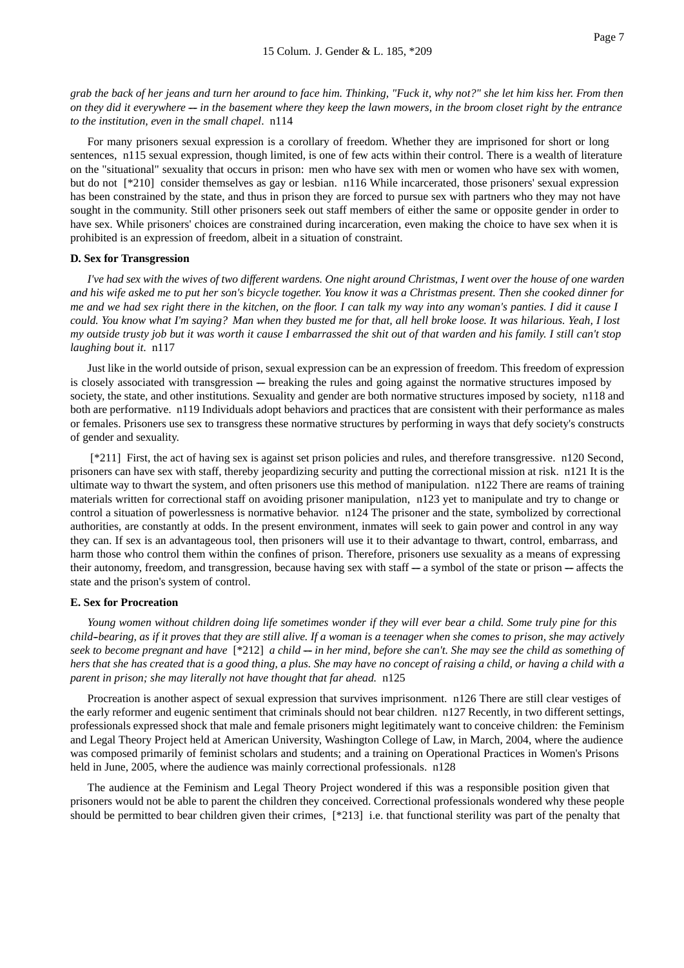*grab the back of her jeans and turn her around to face him. Thinking, "Fuck it, why not?" she let him kiss her. From then on they did it everywhere --- in the basement where they keep the lawn mowers, in the broom closet right by the entrance to the institution, even in the small chapel*. n114

For many prisoners sexual expression is a corollary of freedom. Whether they are imprisoned for short or long sentences, n115 sexual expression, though limited, is one of few acts within their control. There is a wealth of literature on the "situational" sexuality that occurs in prison: men who have sex with men or women who have sex with women, but do not [\*210] consider themselves as gay or lesbian. n116 While incarcerated, those prisoners' sexual expression has been constrained by the state, and thus in prison they are forced to pursue sex with partners who they may not have sought in the community. Still other prisoners seek out staff members of either the same or opposite gender in order to have sex. While prisoners' choices are constrained during incarceration, even making the choice to have sex when it is prohibited is an expression of freedom, albeit in a situation of constraint.

#### **D. Sex for Transgression**

*I've had sex with the wives of two different wardens. One night around Christmas, I went over the house of one warden and his wife asked me to put her son's bicycle together. You know it was a Christmas present. Then she cooked dinner for me and we had sex right there in the kitchen, on the floor. I can talk my way into any woman's panties. I did it cause I could. You know what I'm saying? Man when they busted me for that, all hell broke loose. It was hilarious. Yeah, I lost my outside trusty job but it was worth it cause I embarrassed the shit out of that warden and his family. I still can't stop laughing bout it*. n117

Just like in the world outside of prison, sexual expression can be an expression of freedom. This freedom of expression is closely associated with transgression — breaking the rules and going against the normative structures imposed by society, the state, and other institutions. Sexuality and gender are both normative structures imposed by society, n118 and both are performative. n119 Individuals adopt behaviors and practices that are consistent with their performance as males or females. Prisoners use sex to transgress these normative structures by performing in ways that defy society's constructs of gender and sexuality.

[\*211] First, the act of having sex is against set prison policies and rules, and therefore transgressive. n120 Second, prisoners can have sex with staff, thereby jeopardizing security and putting the correctional mission at risk. n121 It is the ultimate way to thwart the system, and often prisoners use this method of manipulation. n122 There are reams of training materials written for correctional staff on avoiding prisoner manipulation, n123 yet to manipulate and try to change or control a situation of powerlessness is normative behavior. n124 The prisoner and the state, symbolized by correctional authorities, are constantly at odds. In the present environment, inmates will seek to gain power and control in any way they can. If sex is an advantageous tool, then prisoners will use it to their advantage to thwart, control, embarrass, and harm those who control them within the confines of prison. Therefore, prisoners use sexuality as a means of expressing their autonomy, freedom, and transgression, because having sex with staff  $-$  a symbol of the state or prison  $-$  affects the state and the prison's system of control.

#### **E. Sex for Procreation**

*Young women without children doing life sometimes wonder if they will ever bear a child. Some truly pine for this child--bearing, as if it proves that they are still alive. If a woman is a teenager when she comes to prison, she may actively* seek to become pregnant and have [\*212] *a child -- in her mind, before she can't. She may see the child as something of hers that she has created that is a good thing, a plus. She may have no concept of raising a child, or having a child with a parent in prison; she may literally not have thought that far ahead.* n125

Procreation is another aspect of sexual expression that survives imprisonment. n126 There are still clear vestiges of the early reformer and eugenic sentiment that criminals should not bear children. n127 Recently, in two different settings, professionals expressed shock that male and female prisoners might legitimately want to conceive children: the Feminism and Legal Theory Project held at American University, Washington College of Law, in March, 2004, where the audience was composed primarily of feminist scholars and students; and a training on Operational Practices in Women's Prisons held in June, 2005, where the audience was mainly correctional professionals. n128

The audience at the Feminism and Legal Theory Project wondered if this was a responsible position given that prisoners would not be able to parent the children they conceived. Correctional professionals wondered why these people should be permitted to bear children given their crimes, [\*213] i.e. that functional sterility was part of the penalty that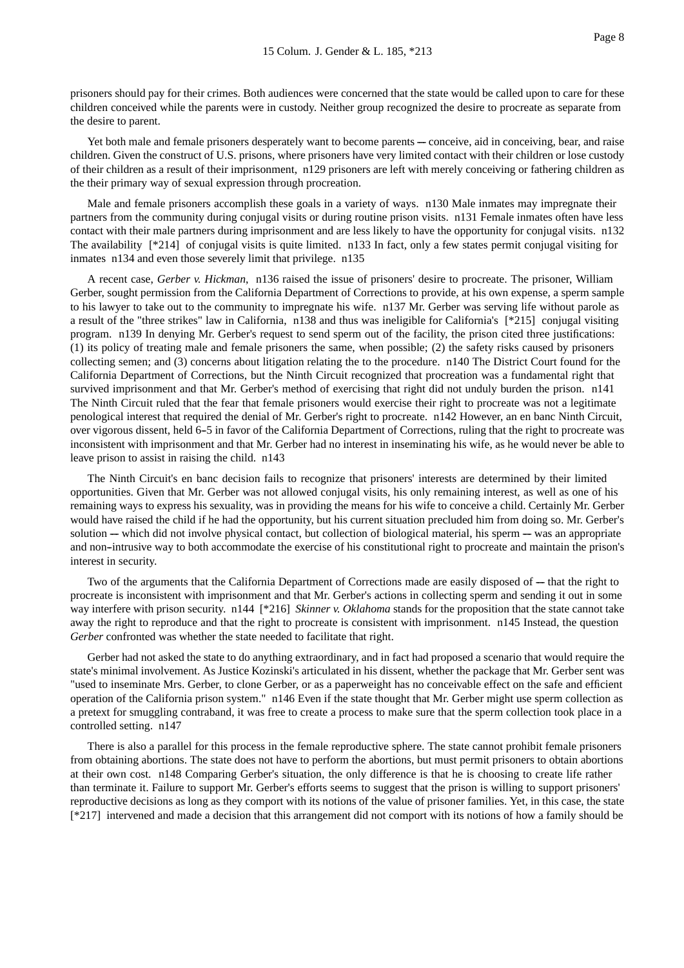prisoners should pay for their crimes. Both audiences were concerned that the state would be called upon to care for these children conceived while the parents were in custody. Neither group recognized the desire to procreate as separate from the desire to parent.

Yet both male and female prisoners desperately want to become parents — conceive, aid in conceiving, bear, and raise children. Given the construct of U.S. prisons, where prisoners have very limited contact with their children or lose custody of their children as a result of their imprisonment, n129 prisoners are left with merely conceiving or fathering children as the their primary way of sexual expression through procreation.

Male and female prisoners accomplish these goals in a variety of ways. n130 Male inmates may impregnate their partners from the community during conjugal visits or during routine prison visits. n131 Female inmates often have less contact with their male partners during imprisonment and are less likely to have the opportunity for conjugal visits. n132 The availability [\*214] of conjugal visits is quite limited. n133 In fact, only a few states permit conjugal visiting for inmates n134 and even those severely limit that privilege. n135

A recent case, *Gerber v. Hickman*, n136 raised the issue of prisoners' desire to procreate. The prisoner, William Gerber, sought permission from the California Department of Corrections to provide, at his own expense, a sperm sample to his lawyer to take out to the community to impregnate his wife. n137 Mr. Gerber was serving life without parole as a result of the "three strikes" law in California, n138 and thus was ineligible for California's [\*215] conjugal visiting program. n139 In denying Mr. Gerber's request to send sperm out of the facility, the prison cited three justifications: (1) its policy of treating male and female prisoners the same, when possible; (2) the safety risks caused by prisoners collecting semen; and (3) concerns about litigation relating the to the procedure. n140 The District Court found for the California Department of Corrections, but the Ninth Circuit recognized that procreation was a fundamental right that survived imprisonment and that Mr. Gerber's method of exercising that right did not unduly burden the prison. n141 The Ninth Circuit ruled that the fear that female prisoners would exercise their right to procreate was not a legitimate penological interest that required the denial of Mr. Gerber's right to procreate. n142 However, an en banc Ninth Circuit, over vigorous dissent, held 6-5 in favor of the California Department of Corrections, ruling that the right to procreate was inconsistent with imprisonment and that Mr. Gerber had no interest in inseminating his wife, as he would never be able to leave prison to assist in raising the child. n143

The Ninth Circuit's en banc decision fails to recognize that prisoners' interests are determined by their limited opportunities. Given that Mr. Gerber was not allowed conjugal visits, his only remaining interest, as well as one of his remaining ways to express his sexuality, was in providing the means for his wife to conceive a child. Certainly Mr. Gerber would have raised the child if he had the opportunity, but his current situation precluded him from doing so. Mr. Gerber's solution --- which did not involve physical contact, but collection of biological material, his sperm --- was an appropriate and non--intrusive way to both accommodate the exercise of his constitutional right to procreate and maintain the prison's interest in security.

Two of the arguments that the California Department of Corrections made are easily disposed of --- that the right to procreate is inconsistent with imprisonment and that Mr. Gerber's actions in collecting sperm and sending it out in some way interfere with prison security. n144 [\*216] *Skinner v. Oklahoma* stands for the proposition that the state cannot take away the right to reproduce and that the right to procreate is consistent with imprisonment. n145 Instead, the question *Gerber* confronted was whether the state needed to facilitate that right.

Gerber had not asked the state to do anything extraordinary, and in fact had proposed a scenario that would require the state's minimal involvement. As Justice Kozinski's articulated in his dissent, whether the package that Mr. Gerber sent was "used to inseminate Mrs. Gerber, to clone Gerber, or as a paperweight has no conceivable effect on the safe and efficient operation of the California prison system." n146 Even if the state thought that Mr. Gerber might use sperm collection as a pretext for smuggling contraband, it was free to create a process to make sure that the sperm collection took place in a controlled setting. n147

There is also a parallel for this process in the female reproductive sphere. The state cannot prohibit female prisoners from obtaining abortions. The state does not have to perform the abortions, but must permit prisoners to obtain abortions at their own cost. n148 Comparing Gerber's situation, the only difference is that he is choosing to create life rather than terminate it. Failure to support Mr. Gerber's efforts seems to suggest that the prison is willing to support prisoners' reproductive decisions as long as they comport with its notions of the value of prisoner families. Yet, in this case, the state [\*217] intervened and made a decision that this arrangement did not comport with its notions of how a family should be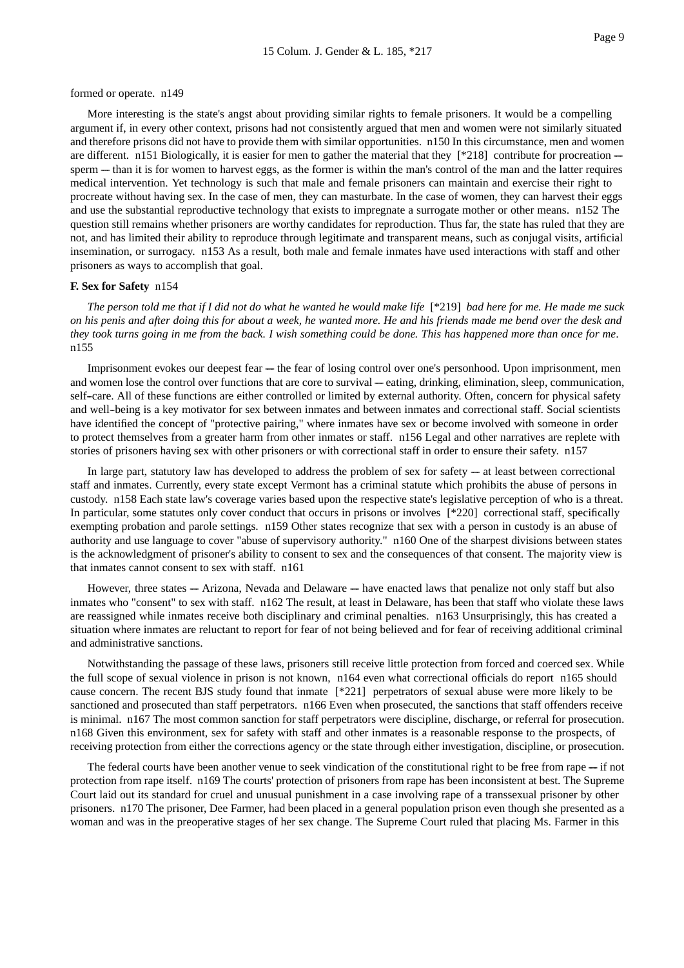#### formed or operate. n149

More interesting is the state's angst about providing similar rights to female prisoners. It would be a compelling argument if, in every other context, prisons had not consistently argued that men and women were not similarly situated and therefore prisons did not have to provide them with similar opportunities. n150 In this circumstance, men and women are different. n151 Biologically, it is easier for men to gather the material that they  $[218]$  contribute for procreation -sperm — than it is for women to harvest eggs, as the former is within the man's control of the man and the latter requires medical intervention. Yet technology is such that male and female prisoners can maintain and exercise their right to procreate without having sex. In the case of men, they can masturbate. In the case of women, they can harvest their eggs and use the substantial reproductive technology that exists to impregnate a surrogate mother or other means. n152 The question still remains whether prisoners are worthy candidates for reproduction. Thus far, the state has ruled that they are not, and has limited their ability to reproduce through legitimate and transparent means, such as conjugal visits, artificial insemination, or surrogacy. n153 As a result, both male and female inmates have used interactions with staff and other prisoners as ways to accomplish that goal.

#### **F. Sex for Safety** n154

*The person told me that if I did not do what he wanted he would make life* [\*219] *bad here for me. He made me suck on his penis and after doing this for about a week, he wanted more. He and his friends made me bend over the desk and they took turns going in me from the back. I wish something could be done. This has happened more than once for me*. n155

Imprisonment evokes our deepest fear --- the fear of losing control over one's personhood. Upon imprisonment, men and women lose the control over functions that are core to survival — eating, drinking, elimination, sleep, communication, self--care. All of these functions are either controlled or limited by external authority. Often, concern for physical safety and well-being is a key motivator for sex between inmates and between inmates and correctional staff. Social scientists have identified the concept of "protective pairing," where inmates have sex or become involved with someone in order to protect themselves from a greater harm from other inmates or staff. n156 Legal and other narratives are replete with stories of prisoners having sex with other prisoners or with correctional staff in order to ensure their safety. n157

In large part, statutory law has developed to address the problem of sex for safety  $-$  at least between correctional staff and inmates. Currently, every state except Vermont has a criminal statute which prohibits the abuse of persons in custody. n158 Each state law's coverage varies based upon the respective state's legislative perception of who is a threat. In particular, some statutes only cover conduct that occurs in prisons or involves [\*220] correctional staff, specifically exempting probation and parole settings. n159 Other states recognize that sex with a person in custody is an abuse of authority and use language to cover "abuse of supervisory authority." n160 One of the sharpest divisions between states is the acknowledgment of prisoner's ability to consent to sex and the consequences of that consent. The majority view is that inmates cannot consent to sex with staff. n161

However, three states --- Arizona, Nevada and Delaware ---- have enacted laws that penalize not only staff but also inmates who "consent" to sex with staff. n162 The result, at least in Delaware, has been that staff who violate these laws are reassigned while inmates receive both disciplinary and criminal penalties. n163 Unsurprisingly, this has created a situation where inmates are reluctant to report for fear of not being believed and for fear of receiving additional criminal and administrative sanctions.

Notwithstanding the passage of these laws, prisoners still receive little protection from forced and coerced sex. While the full scope of sexual violence in prison is not known, n164 even what correctional officials do report n165 should cause concern. The recent BJS study found that inmate [\*221] perpetrators of sexual abuse were more likely to be sanctioned and prosecuted than staff perpetrators. n166 Even when prosecuted, the sanctions that staff offenders receive is minimal. n167 The most common sanction for staff perpetrators were discipline, discharge, or referral for prosecution. n168 Given this environment, sex for safety with staff and other inmates is a reasonable response to the prospects, of receiving protection from either the corrections agency or the state through either investigation, discipline, or prosecution.

The federal courts have been another venue to seek vindication of the constitutional right to be free from rape  $-$  if not protection from rape itself. n169 The courts' protection of prisoners from rape has been inconsistent at best. The Supreme Court laid out its standard for cruel and unusual punishment in a case involving rape of a transsexual prisoner by other prisoners. n170 The prisoner, Dee Farmer, had been placed in a general population prison even though she presented as a woman and was in the preoperative stages of her sex change. The Supreme Court ruled that placing Ms. Farmer in this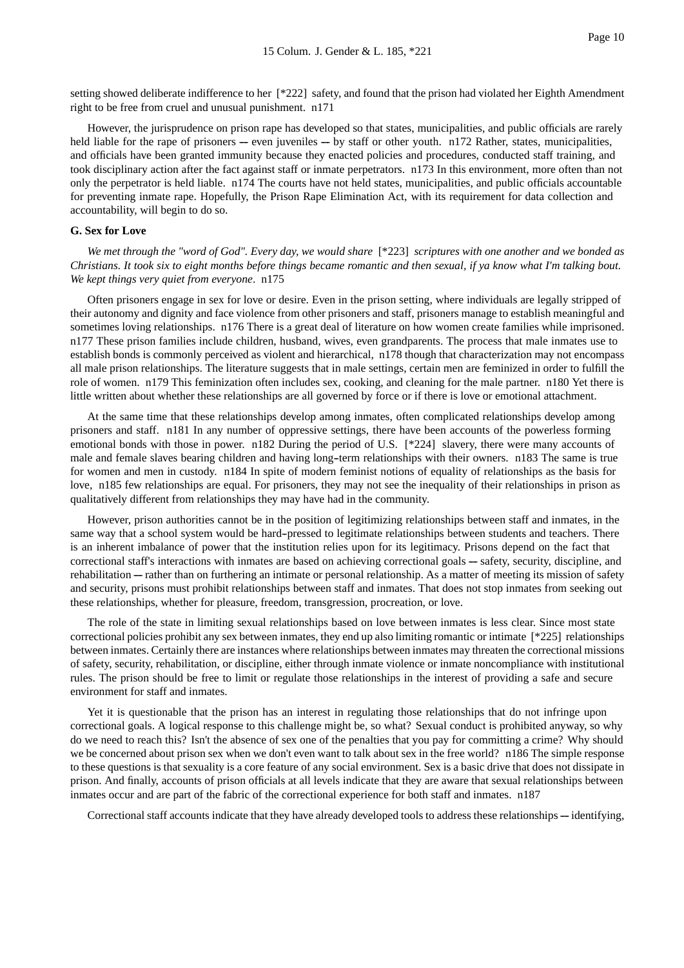setting showed deliberate indifference to her [\*222] safety, and found that the prison had violated her Eighth Amendment right to be free from cruel and unusual punishment. n171

However, the jurisprudence on prison rape has developed so that states, municipalities, and public officials are rarely held liable for the rape of prisoners --- even juveniles --- by staff or other youth. n172 Rather, states, municipalities, and officials have been granted immunity because they enacted policies and procedures, conducted staff training, and took disciplinary action after the fact against staff or inmate perpetrators. n173 In this environment, more often than not only the perpetrator is held liable. n174 The courts have not held states, municipalities, and public officials accountable for preventing inmate rape. Hopefully, the Prison Rape Elimination Act, with its requirement for data collection and accountability, will begin to do so.

#### **G. Sex for Love**

*We met through the "word of God". Every day, we would share* [\*223] *scriptures with one another and we bonded as Christians. It took six to eight months before things became romantic and then sexual, if ya know what I'm talking bout. We kept things very quiet from everyone*. n175

Often prisoners engage in sex for love or desire. Even in the prison setting, where individuals are legally stripped of their autonomy and dignity and face violence from other prisoners and staff, prisoners manage to establish meaningful and sometimes loving relationships. n176 There is a great deal of literature on how women create families while imprisoned. n177 These prison families include children, husband, wives, even grandparents. The process that male inmates use to establish bonds is commonly perceived as violent and hierarchical, n178 though that characterization may not encompass all male prison relationships. The literature suggests that in male settings, certain men are feminized in order to fulfill the role of women. n179 This feminization often includes sex, cooking, and cleaning for the male partner. n180 Yet there is little written about whether these relationships are all governed by force or if there is love or emotional attachment.

At the same time that these relationships develop among inmates, often complicated relationships develop among prisoners and staff. n181 In any number of oppressive settings, there have been accounts of the powerless forming emotional bonds with those in power. n182 During the period of U.S. [\*224] slavery, there were many accounts of male and female slaves bearing children and having long--term relationships with their owners. n183 The same is true for women and men in custody. n184 In spite of modern feminist notions of equality of relationships as the basis for love, n185 few relationships are equal. For prisoners, they may not see the inequality of their relationships in prison as qualitatively different from relationships they may have had in the community.

However, prison authorities cannot be in the position of legitimizing relationships between staff and inmates, in the same way that a school system would be hard-pressed to legitimate relationships between students and teachers. There is an inherent imbalance of power that the institution relies upon for its legitimacy. Prisons depend on the fact that correctional staff's interactions with inmates are based on achieving correctional goals — safety, security, discipline, and rehabilitation — rather than on furthering an intimate or personal relationship. As a matter of meeting its mission of safety and security, prisons must prohibit relationships between staff and inmates. That does not stop inmates from seeking out these relationships, whether for pleasure, freedom, transgression, procreation, or love.

The role of the state in limiting sexual relationships based on love between inmates is less clear. Since most state correctional policies prohibit any sex between inmates, they end up also limiting romantic or intimate [\*225] relationships between inmates. Certainly there are instances where relationships between inmates may threaten the correctional missions of safety, security, rehabilitation, or discipline, either through inmate violence or inmate noncompliance with institutional rules. The prison should be free to limit or regulate those relationships in the interest of providing a safe and secure environment for staff and inmates.

Yet it is questionable that the prison has an interest in regulating those relationships that do not infringe upon correctional goals. A logical response to this challenge might be, so what? Sexual conduct is prohibited anyway, so why do we need to reach this? Isn't the absence of sex one of the penalties that you pay for committing a crime? Why should we be concerned about prison sex when we don't even want to talk about sex in the free world? n186 The simple response to these questions is that sexuality is a core feature of any social environment. Sex is a basic drive that does not dissipate in prison. And finally, accounts of prison officials at all levels indicate that they are aware that sexual relationships between inmates occur and are part of the fabric of the correctional experience for both staff and inmates. n187

Correctional staff accounts indicate that they have already developed tools to address these relationships — identifying,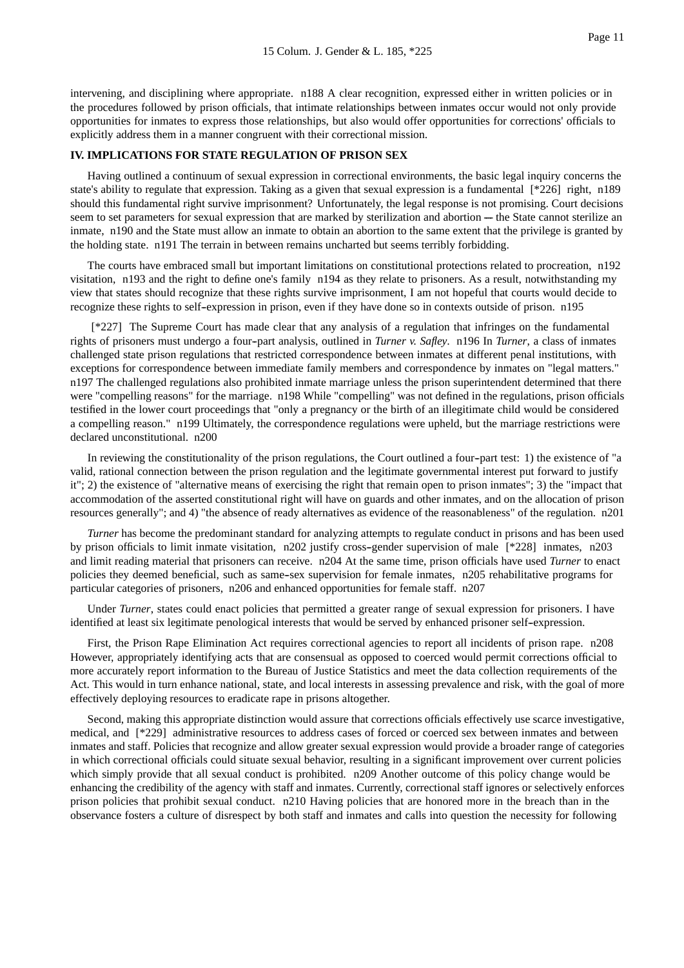intervening, and disciplining where appropriate. n188 A clear recognition, expressed either in written policies or in the procedures followed by prison officials, that intimate relationships between inmates occur would not only provide opportunities for inmates to express those relationships, but also would offer opportunities for corrections' officials to explicitly address them in a manner congruent with their correctional mission.

#### **IV. IMPLICATIONS FOR STATE REGULATION OF PRISON SEX**

Having outlined a continuum of sexual expression in correctional environments, the basic legal inquiry concerns the state's ability to regulate that expression. Taking as a given that sexual expression is a fundamental [\*226] right, n189 should this fundamental right survive imprisonment? Unfortunately, the legal response is not promising. Court decisions seem to set parameters for sexual expression that are marked by sterilization and abortion --- the State cannot sterilize an inmate, n190 and the State must allow an inmate to obtain an abortion to the same extent that the privilege is granted by the holding state. n191 The terrain in between remains uncharted but seems terribly forbidding.

The courts have embraced small but important limitations on constitutional protections related to procreation, n192 visitation, n193 and the right to define one's family n194 as they relate to prisoners. As a result, notwithstanding my view that states should recognize that these rights survive imprisonment, I am not hopeful that courts would decide to recognize these rights to self--expression in prison, even if they have done so in contexts outside of prison. n195

[\*227] The Supreme Court has made clear that any analysis of a regulation that infringes on the fundamental rights of prisoners must undergo a four--part analysis, outlined in *Turner v. Safley*. n196 In *Turner*, a class of inmates challenged state prison regulations that restricted correspondence between inmates at different penal institutions, with exceptions for correspondence between immediate family members and correspondence by inmates on "legal matters." n197 The challenged regulations also prohibited inmate marriage unless the prison superintendent determined that there were "compelling reasons" for the marriage. n198 While "compelling" was not defined in the regulations, prison officials testified in the lower court proceedings that "only a pregnancy or the birth of an illegitimate child would be considered a compelling reason." n199 Ultimately, the correspondence regulations were upheld, but the marriage restrictions were declared unconstitutional. n200

In reviewing the constitutionality of the prison regulations, the Court outlined a four-part test: 1) the existence of "a valid, rational connection between the prison regulation and the legitimate governmental interest put forward to justify it"; 2) the existence of "alternative means of exercising the right that remain open to prison inmates"; 3) the "impact that accommodation of the asserted constitutional right will have on guards and other inmates, and on the allocation of prison resources generally"; and 4) "the absence of ready alternatives as evidence of the reasonableness" of the regulation. n201

*Turner* has become the predominant standard for analyzing attempts to regulate conduct in prisons and has been used by prison officials to limit inmate visitation, n202 justify cross--gender supervision of male [\*228] inmates, n203 and limit reading material that prisoners can receive. n204 At the same time, prison officials have used *Turner* to enact policies they deemed beneficial, such as same--sex supervision for female inmates, n205 rehabilitative programs for particular categories of prisoners, n206 and enhanced opportunities for female staff. n207

Under *Turner*, states could enact policies that permitted a greater range of sexual expression for prisoners. I have identified at least six legitimate penological interests that would be served by enhanced prisoner self--expression.

First, the Prison Rape Elimination Act requires correctional agencies to report all incidents of prison rape. n208 However, appropriately identifying acts that are consensual as opposed to coerced would permit corrections official to more accurately report information to the Bureau of Justice Statistics and meet the data collection requirements of the Act. This would in turn enhance national, state, and local interests in assessing prevalence and risk, with the goal of more effectively deploying resources to eradicate rape in prisons altogether.

Second, making this appropriate distinction would assure that corrections officials effectively use scarce investigative, medical, and [\*229] administrative resources to address cases of forced or coerced sex between inmates and between inmates and staff. Policies that recognize and allow greater sexual expression would provide a broader range of categories in which correctional officials could situate sexual behavior, resulting in a significant improvement over current policies which simply provide that all sexual conduct is prohibited. n209 Another outcome of this policy change would be enhancing the credibility of the agency with staff and inmates. Currently, correctional staff ignores or selectively enforces prison policies that prohibit sexual conduct. n210 Having policies that are honored more in the breach than in the observance fosters a culture of disrespect by both staff and inmates and calls into question the necessity for following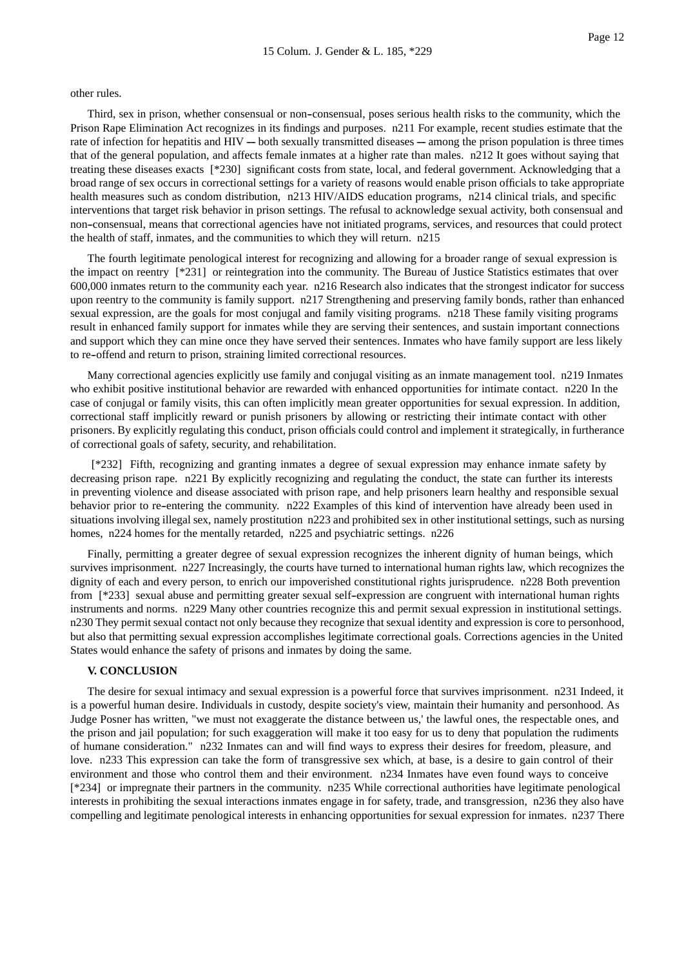other rules.

Third, sex in prison, whether consensual or non--consensual, poses serious health risks to the community, which the Prison Rape Elimination Act recognizes in its findings and purposes. n211 For example, recent studies estimate that the rate of infection for hepatitis and HIV --- both sexually transmitted diseases --- among the prison population is three times that of the general population, and affects female inmates at a higher rate than males. n212 It goes without saying that treating these diseases exacts [\*230] significant costs from state, local, and federal government. Acknowledging that a broad range of sex occurs in correctional settings for a variety of reasons would enable prison officials to take appropriate health measures such as condom distribution, n213 HIV/AIDS education programs, n214 clinical trials, and specific interventions that target risk behavior in prison settings. The refusal to acknowledge sexual activity, both consensual and non--consensual, means that correctional agencies have not initiated programs, services, and resources that could protect the health of staff, inmates, and the communities to which they will return. n215

The fourth legitimate penological interest for recognizing and allowing for a broader range of sexual expression is the impact on reentry [\*231] or reintegration into the community. The Bureau of Justice Statistics estimates that over 600,000 inmates return to the community each year. n216 Research also indicates that the strongest indicator for success upon reentry to the community is family support. n217 Strengthening and preserving family bonds, rather than enhanced sexual expression, are the goals for most conjugal and family visiting programs. n218 These family visiting programs result in enhanced family support for inmates while they are serving their sentences, and sustain important connections and support which they can mine once they have served their sentences. Inmates who have family support are less likely to re--offend and return to prison, straining limited correctional resources.

Many correctional agencies explicitly use family and conjugal visiting as an inmate management tool. n219 Inmates who exhibit positive institutional behavior are rewarded with enhanced opportunities for intimate contact. n220 In the case of conjugal or family visits, this can often implicitly mean greater opportunities for sexual expression. In addition, correctional staff implicitly reward or punish prisoners by allowing or restricting their intimate contact with other prisoners. By explicitly regulating this conduct, prison officials could control and implement it strategically, in furtherance of correctional goals of safety, security, and rehabilitation.

[\*232] Fifth, recognizing and granting inmates a degree of sexual expression may enhance inmate safety by decreasing prison rape. n221 By explicitly recognizing and regulating the conduct, the state can further its interests in preventing violence and disease associated with prison rape, and help prisoners learn healthy and responsible sexual behavior prior to re-entering the community. n222 Examples of this kind of intervention have already been used in situations involving illegal sex, namely prostitution n223 and prohibited sex in other institutional settings, such as nursing homes, n224 homes for the mentally retarded, n225 and psychiatric settings. n226

Finally, permitting a greater degree of sexual expression recognizes the inherent dignity of human beings, which survives imprisonment. n227 Increasingly, the courts have turned to international human rights law, which recognizes the dignity of each and every person, to enrich our impoverished constitutional rights jurisprudence. n228 Both prevention from [\*233] sexual abuse and permitting greater sexual self--expression are congruent with international human rights instruments and norms. n229 Many other countries recognize this and permit sexual expression in institutional settings. n230 They permit sexual contact not only because they recognize that sexual identity and expression is core to personhood, but also that permitting sexual expression accomplishes legitimate correctional goals. Corrections agencies in the United States would enhance the safety of prisons and inmates by doing the same.

#### **V. CONCLUSION**

The desire for sexual intimacy and sexual expression is a powerful force that survives imprisonment. n231 Indeed, it is a powerful human desire. Individuals in custody, despite society's view, maintain their humanity and personhood. As Judge Posner has written, "we must not exaggerate the distance between us,' the lawful ones, the respectable ones, and the prison and jail population; for such exaggeration will make it too easy for us to deny that population the rudiments of humane consideration." n232 Inmates can and will find ways to express their desires for freedom, pleasure, and love. n233 This expression can take the form of transgressive sex which, at base, is a desire to gain control of their environment and those who control them and their environment. n234 Inmates have even found ways to conceive [\*234] or impregnate their partners in the community. n235 While correctional authorities have legitimate penological interests in prohibiting the sexual interactions inmates engage in for safety, trade, and transgression, n236 they also have compelling and legitimate penological interests in enhancing opportunities for sexual expression for inmates. n237 There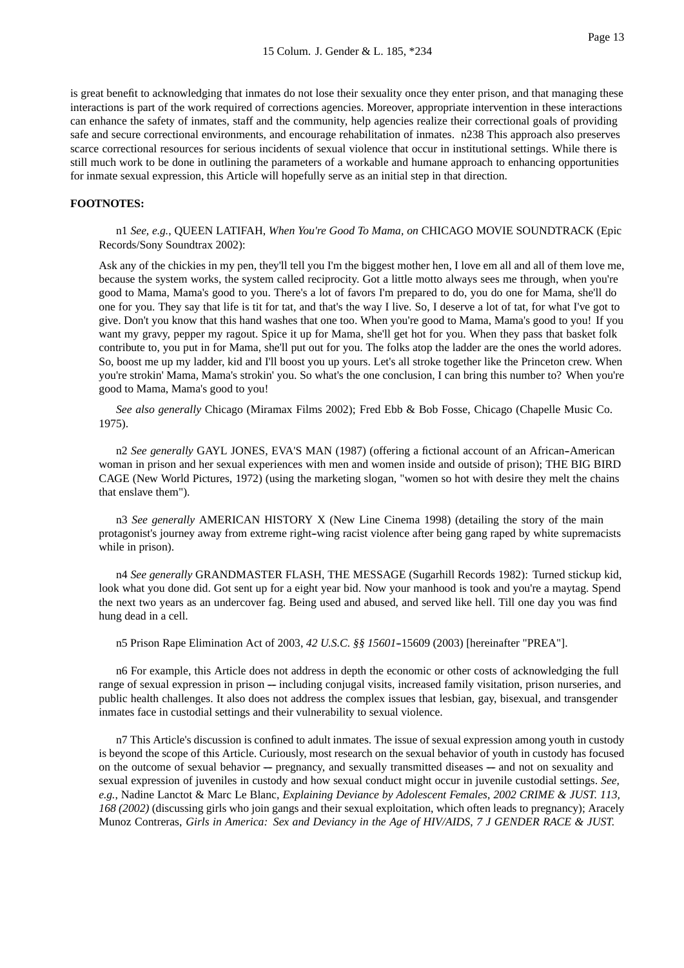is great benefit to acknowledging that inmates do not lose their sexuality once they enter prison, and that managing these interactions is part of the work required of corrections agencies. Moreover, appropriate intervention in these interactions can enhance the safety of inmates, staff and the community, help agencies realize their correctional goals of providing safe and secure correctional environments, and encourage rehabilitation of inmates. n238 This approach also preserves scarce correctional resources for serious incidents of sexual violence that occur in institutional settings. While there is still much work to be done in outlining the parameters of a workable and humane approach to enhancing opportunities for inmate sexual expression, this Article will hopefully serve as an initial step in that direction.

#### **FOOTNOTES:**

n1 *See, e.g.*, QUEEN LATIFAH, *When You're Good To Mama, on* CHICAGO MOVIE SOUNDTRACK (Epic Records/Sony Soundtrax 2002):

Ask any of the chickies in my pen, they'll tell you I'm the biggest mother hen, I love em all and all of them love me, because the system works, the system called reciprocity. Got a little motto always sees me through, when you're good to Mama, Mama's good to you. There's a lot of favors I'm prepared to do, you do one for Mama, she'll do one for you. They say that life is tit for tat, and that's the way I live. So, I deserve a lot of tat, for what I've got to give. Don't you know that this hand washes that one too. When you're good to Mama, Mama's good to you! If you want my gravy, pepper my ragout. Spice it up for Mama, she'll get hot for you. When they pass that basket folk contribute to, you put in for Mama, she'll put out for you. The folks atop the ladder are the ones the world adores. So, boost me up my ladder, kid and I'll boost you up yours. Let's all stroke together like the Princeton crew. When you're strokin' Mama, Mama's strokin' you. So what's the one conclusion, I can bring this number to? When you're good to Mama, Mama's good to you!

*See also generally* Chicago (Miramax Films 2002); Fred Ebb & Bob Fosse, Chicago (Chapelle Music Co. 1975).

n2 *See generally* GAYL JONES, EVA'S MAN (1987) (offering a fictional account of an African-American woman in prison and her sexual experiences with men and women inside and outside of prison); THE BIG BIRD CAGE (New World Pictures, 1972) (using the marketing slogan, "women so hot with desire they melt the chains that enslave them").

n3 *See generally* AMERICAN HISTORY X (New Line Cinema 1998) (detailing the story of the main protagonist's journey away from extreme right-wing racist violence after being gang raped by white supremacists while in prison).

n4 *See generally* GRANDMASTER FLASH, THE MESSAGE (Sugarhill Records 1982): Turned stickup kid, look what you done did. Got sent up for a eight year bid. Now your manhood is took and you're a maytag. Spend the next two years as an undercover fag. Being used and abused, and served like hell. Till one day you was find hung dead in a cell.

n5 Prison Rape Elimination Act of 2003, 42 U.S.C. §§ 15601-15609 (2003) [hereinafter "PREA"].

n6 For example, this Article does not address in depth the economic or other costs of acknowledging the full range of sexual expression in prison --- including conjugal visits, increased family visitation, prison nurseries, and public health challenges. It also does not address the complex issues that lesbian, gay, bisexual, and transgender inmates face in custodial settings and their vulnerability to sexual violence.

n7 This Article's discussion is confined to adult inmates. The issue of sexual expression among youth in custody is beyond the scope of this Article. Curiously, most research on the sexual behavior of youth in custody has focused on the outcome of sexual behavior --- pregnancy, and sexually transmitted diseases --- and not on sexuality and sexual expression of juveniles in custody and how sexual conduct might occur in juvenile custodial settings. *See, e.g.*, Nadine Lanctot & Marc Le Blanc, *Explaining Deviance by Adolescent Females*, *2002 CRIME & JUST. 113, 168 (2002)* (discussing girls who join gangs and their sexual exploitation, which often leads to pregnancy); Aracely Munoz Contreras, *Girls in America: Sex and Deviancy in the Age of HIV/AIDS*, *7 J GENDER RACE & JUST.*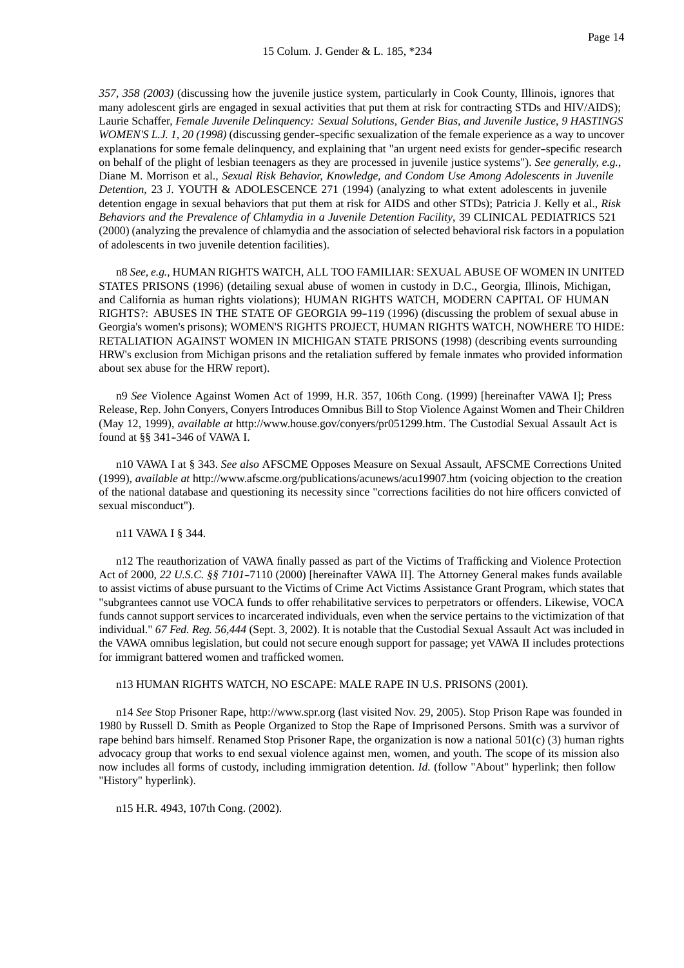*357, 358 (2003)* (discussing how the juvenile justice system, particularly in Cook County, Illinois, ignores that many adolescent girls are engaged in sexual activities that put them at risk for contracting STDs and HIV/AIDS); Laurie Schaffer, *Female Juvenile Delinquency: Sexual Solutions, Gender Bias, and Juvenile Justice*, *9 HASTINGS WOMEN'S L.J. 1, 20 (1998)* (discussing gender--specific sexualization of the female experience as a way to uncover explanations for some female delinquency, and explaining that "an urgent need exists for gender--specific research on behalf of the plight of lesbian teenagers as they are processed in juvenile justice systems"). *See generally, e.g.*, Diane M. Morrison et al., *Sexual Risk Behavior, Knowledge, and Condom Use Among Adolescents in Juvenile Detention*, 23 J. YOUTH & ADOLESCENCE 271 (1994) (analyzing to what extent adolescents in juvenile detention engage in sexual behaviors that put them at risk for AIDS and other STDs); Patricia J. Kelly et al., *Risk Behaviors and the Prevalence of Chlamydia in a Juvenile Detention Facility*, 39 CLINICAL PEDIATRICS 521 (2000) (analyzing the prevalence of chlamydia and the association of selected behavioral risk factors in a population of adolescents in two juvenile detention facilities).

n8 *See, e.g.*, HUMAN RIGHTS WATCH, ALL TOO FAMILIAR: SEXUAL ABUSE OF WOMEN IN UNITED STATES PRISONS (1996) (detailing sexual abuse of women in custody in D.C., Georgia, Illinois, Michigan, and California as human rights violations); HUMAN RIGHTS WATCH, MODERN CAPITAL OF HUMAN RIGHTS?: ABUSES IN THE STATE OF GEORGIA 99--119 (1996) (discussing the problem of sexual abuse in Georgia's women's prisons); WOMEN'S RIGHTS PROJECT, HUMAN RIGHTS WATCH, NOWHERE TO HIDE: RETALIATION AGAINST WOMEN IN MICHIGAN STATE PRISONS (1998) (describing events surrounding HRW's exclusion from Michigan prisons and the retaliation suffered by female inmates who provided information about sex abuse for the HRW report).

n9 *See* Violence Against Women Act of 1999, H.R. 357, 106th Cong. (1999) [hereinafter VAWA I]; Press Release, Rep. John Conyers, Conyers Introduces Omnibus Bill to Stop Violence Against Women and Their Children (May 12, 1999), *available at* http://www.house.gov/conyers/pr051299.htm. The Custodial Sexual Assault Act is found at §§ 341-346 of VAWA I.

n10 VAWA I at § 343. *See also* AFSCME Opposes Measure on Sexual Assault, AFSCME Corrections United (1999), *available at* http://www.afscme.org/publications/acunews/acu19907.htm (voicing objection to the creation of the national database and questioning its necessity since "corrections facilities do not hire officers convicted of sexual misconduct").

## n11 VAWA I § 344.

n12 The reauthorization of VAWA finally passed as part of the Victims of Trafficking and Violence Protection Act of 2000, 22 U.S.C. §§ 7101-7110 (2000) [hereinafter VAWA II]. The Attorney General makes funds available to assist victims of abuse pursuant to the Victims of Crime Act Victims Assistance Grant Program, which states that "subgrantees cannot use VOCA funds to offer rehabilitative services to perpetrators or offenders. Likewise, VOCA funds cannot support services to incarcerated individuals, even when the service pertains to the victimization of that individual." *67 Fed. Reg. 56,444* (Sept. 3, 2002). It is notable that the Custodial Sexual Assault Act was included in the VAWA omnibus legislation, but could not secure enough support for passage; yet VAWA II includes protections for immigrant battered women and trafficked women.

n13 HUMAN RIGHTS WATCH, NO ESCAPE: MALE RAPE IN U.S. PRISONS (2001).

n14 *See* Stop Prisoner Rape, http://www.spr.org (last visited Nov. 29, 2005). Stop Prison Rape was founded in 1980 by Russell D. Smith as People Organized to Stop the Rape of Imprisoned Persons. Smith was a survivor of rape behind bars himself. Renamed Stop Prisoner Rape, the organization is now a national 501(c) (3) human rights advocacy group that works to end sexual violence against men, women, and youth. The scope of its mission also now includes all forms of custody, including immigration detention. *Id.* (follow "About" hyperlink; then follow "History" hyperlink).

n15 H.R. 4943, 107th Cong. (2002).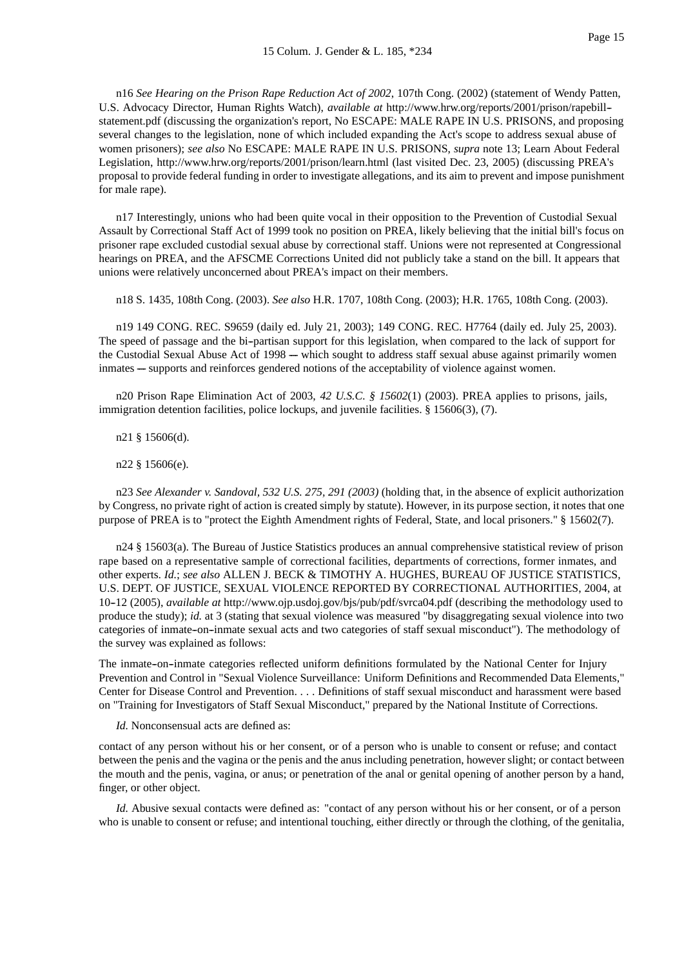n16 *See Hearing on the Prison Rape Reduction Act of 2002*, 107th Cong. (2002) (statement of Wendy Patten, U.S. Advocacy Director, Human Rights Watch), *available at* http://www.hrw.org/reports/2001/prison/rapebill- statement.pdf (discussing the organization's report, No ESCAPE: MALE RAPE IN U.S. PRISONS, and proposing several changes to the legislation, none of which included expanding the Act's scope to address sexual abuse of women prisoners); *see also* No ESCAPE: MALE RAPE IN U.S. PRISONS, *supra* note 13; Learn About Federal Legislation, http://www.hrw.org/reports/2001/prison/learn.html (last visited Dec. 23, 2005) (discussing PREA's proposal to provide federal funding in order to investigate allegations, and its aim to prevent and impose punishment for male rape).

n17 Interestingly, unions who had been quite vocal in their opposition to the Prevention of Custodial Sexual Assault by Correctional Staff Act of 1999 took no position on PREA, likely believing that the initial bill's focus on prisoner rape excluded custodial sexual abuse by correctional staff. Unions were not represented at Congressional hearings on PREA, and the AFSCME Corrections United did not publicly take a stand on the bill. It appears that unions were relatively unconcerned about PREA's impact on their members.

n18 S. 1435, 108th Cong. (2003). *See also* H.R. 1707, 108th Cong. (2003); H.R. 1765, 108th Cong. (2003).

n19 149 CONG. REC. S9659 (daily ed. July 21, 2003); 149 CONG. REC. H7764 (daily ed. July 25, 2003). The speed of passage and the bi-partisan support for this legislation, when compared to the lack of support for the Custodial Sexual Abuse Act of 1998 --- which sought to address staff sexual abuse against primarily women inmates -- supports and reinforces gendered notions of the acceptability of violence against women.

n20 Prison Rape Elimination Act of 2003, *42 U.S.C. § 15602*(1) (2003). PREA applies to prisons, jails, immigration detention facilities, police lockups, and juvenile facilities. § 15606(3), (7).

n21 § 15606(d).

n22 § 15606(e).

n23 *See Alexander v. Sandoval, 532 U.S. 275, 291 (2003)* (holding that, in the absence of explicit authorization by Congress, no private right of action is created simply by statute). However, in its purpose section, it notes that one purpose of PREA is to "protect the Eighth Amendment rights of Federal, State, and local prisoners." § 15602(7).

n24 § 15603(a). The Bureau of Justice Statistics produces an annual comprehensive statistical review of prison rape based on a representative sample of correctional facilities, departments of corrections, former inmates, and other experts. *Id.*; *see also* ALLEN J. BECK & TIMOTHY A. HUGHES, BUREAU OF JUSTICE STATISTICS, U.S. DEPT. OF JUSTICE, SEXUAL VIOLENCE REPORTED BY CORRECTIONAL AUTHORITIES, 2004, at 10-12 (2005), *available at* http://www.ojp.usdoj.gov/bjs/pub/pdf/svrca04.pdf (describing the methodology used to produce the study); *id.* at 3 (stating that sexual violence was measured "by disaggregating sexual violence into two categories of inmate-on-inmate sexual acts and two categories of staff sexual misconduct"). The methodology of the survey was explained as follows:

The inmate-on-inmate categories reflected uniform definitions formulated by the National Center for Injury Prevention and Control in "Sexual Violence Surveillance: Uniform Definitions and Recommended Data Elements," Center for Disease Control and Prevention. . . . Definitions of staff sexual misconduct and harassment were based on "Training for Investigators of Staff Sexual Misconduct," prepared by the National Institute of Corrections.

*Id.* Nonconsensual acts are defined as:

contact of any person without his or her consent, or of a person who is unable to consent or refuse; and contact between the penis and the vagina or the penis and the anus including penetration, however slight; or contact between the mouth and the penis, vagina, or anus; or penetration of the anal or genital opening of another person by a hand, finger, or other object.

*Id.* Abusive sexual contacts were defined as: "contact of any person without his or her consent, or of a person who is unable to consent or refuse; and intentional touching, either directly or through the clothing, of the genitalia,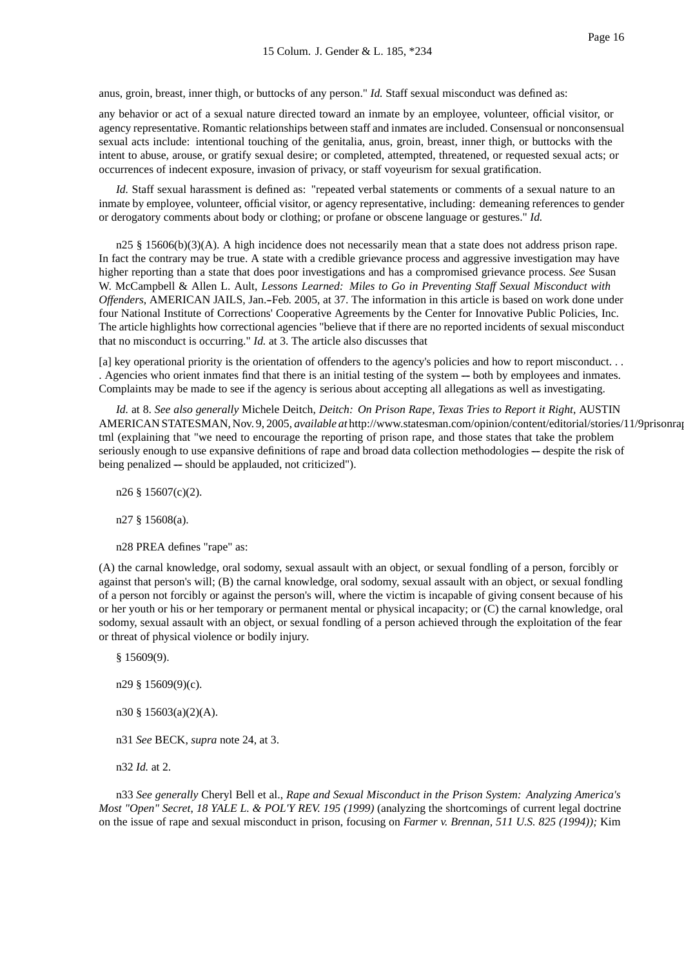anus, groin, breast, inner thigh, or buttocks of any person." *Id.* Staff sexual misconduct was defined as:

any behavior or act of a sexual nature directed toward an inmate by an employee, volunteer, official visitor, or agency representative. Romantic relationships between staff and inmates are included. Consensual or nonconsensual sexual acts include: intentional touching of the genitalia, anus, groin, breast, inner thigh, or buttocks with the intent to abuse, arouse, or gratify sexual desire; or completed, attempted, threatened, or requested sexual acts; or occurrences of indecent exposure, invasion of privacy, or staff voyeurism for sexual gratification.

*Id.* Staff sexual harassment is defined as: "repeated verbal statements or comments of a sexual nature to an inmate by employee, volunteer, official visitor, or agency representative, including: demeaning references to gender or derogatory comments about body or clothing; or profane or obscene language or gestures." *Id.*

 $n25 \n§ 15606(b)(3)(A)$ . A high incidence does not necessarily mean that a state does not address prison rape. In fact the contrary may be true. A state with a credible grievance process and aggressive investigation may have higher reporting than a state that does poor investigations and has a compromised grievance process. *See* Susan W. McCampbell & Allen L. Ault, *Lessons Learned: Miles to Go in Preventing Staff Sexual Misconduct with Offenders*, AMERICAN JAILS, Jan.--Feb. 2005, at 37. The information in this article is based on work done under four National Institute of Corrections' Cooperative Agreements by the Center for Innovative Public Policies, Inc. The article highlights how correctional agencies "believe that if there are no reported incidents of sexual misconduct that no misconduct is occurring." *Id.* at 3. The article also discusses that

[a] key operational priority is the orientation of offenders to the agency's policies and how to report misconduct. . . . Agencies who orient inmates find that there is an initial testing of the system — both by employees and inmates. Complaints may be made to see if the agency is serious about accepting all allegations as well as investigating.

*Id.* at 8. *See also generally* Michele Deitch, *Deitch: On Prison Rape, Texas Tries to Report it Right*, AUSTIN AMERICAN STATESMAN, Nov. 9, 2005, *available at* http://www.statesman.com/opinion/content/editorial/stories/11/9prisonra tml (explaining that "we need to encourage the reporting of prison rape, and those states that take the problem seriously enough to use expansive definitions of rape and broad data collection methodologies -- despite the risk of being penalized — should be applauded, not criticized").

n26 § 15607(c)(2).

n27 § 15608(a).

n28 PREA defines "rape" as:

(A) the carnal knowledge, oral sodomy, sexual assault with an object, or sexual fondling of a person, forcibly or against that person's will; (B) the carnal knowledge, oral sodomy, sexual assault with an object, or sexual fondling of a person not forcibly or against the person's will, where the victim is incapable of giving consent because of his or her youth or his or her temporary or permanent mental or physical incapacity; or (C) the carnal knowledge, oral sodomy, sexual assault with an object, or sexual fondling of a person achieved through the exploitation of the fear or threat of physical violence or bodily injury.

§ 15609(9).

n29 § 15609(9)(c).

n30 § 15603(a)(2)(A).

n31 *See* BECK, *supra* note 24, at 3.

n32 *Id.* at 2.

n33 *See generally* Cheryl Bell et al., *Rape and Sexual Misconduct in the Prison System: Analyzing America's Most "Open" Secret*, *18 YALE L. & POL'Y REV. 195 (1999)* (analyzing the shortcomings of current legal doctrine on the issue of rape and sexual misconduct in prison, focusing on *Farmer v. Brennan, 511 U.S. 825 (1994));* Kim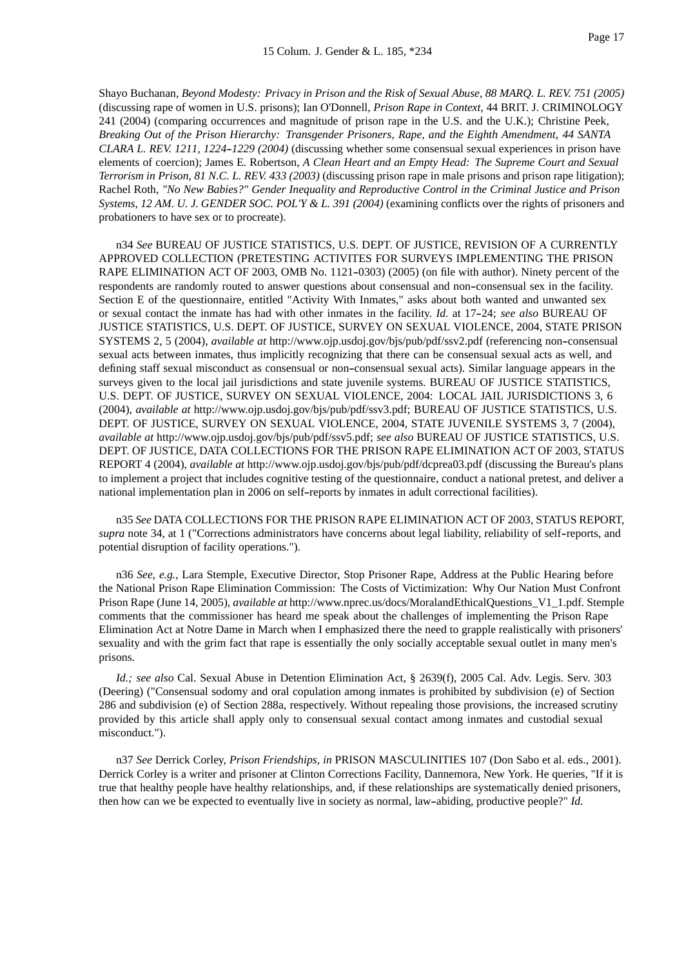Shayo Buchanan, *Beyond Modesty: Privacy in Prison and the Risk of Sexual Abuse*, *88 MARQ. L. REV. 751 (2005)* (discussing rape of women in U.S. prisons); Ian O'Donnell, *Prison Rape in Context*, 44 BRIT. J. CRIMINOLOGY 241 (2004) (comparing occurrences and magnitude of prison rape in the U.S. and the U.K.); Christine Peek, *Breaking Out of the Prison Hierarchy: Transgender Prisoners, Rape, and the Eighth Amendment*, *44 SANTA CLARA L. REV. 1211, 1224--1229 (2004)* (discussing whether some consensual sexual experiences in prison have elements of coercion); James E. Robertson, *A Clean Heart and an Empty Head: The Supreme Court and Sexual Terrorism in Prison*, *81 N.C. L. REV. 433 (2003)* (discussing prison rape in male prisons and prison rape litigation); Rachel Roth, *"No New Babies?" Gender Inequality and Reproductive Control in the Criminal Justice and Prison Systems*, *12 AM. U. J. GENDER SOC. POL'Y & L. 391 (2004)* (examining conflicts over the rights of prisoners and probationers to have sex or to procreate).

n34 *See* BUREAU OF JUSTICE STATISTICS, U.S. DEPT. OF JUSTICE, REVISION OF A CURRENTLY APPROVED COLLECTION (PRETESTING ACTIVITES FOR SURVEYS IMPLEMENTING THE PRISON RAPE ELIMINATION ACT OF 2003, OMB No. 1121-0303) (2005) (on file with author). Ninety percent of the respondents are randomly routed to answer questions about consensual and non--consensual sex in the facility. Section E of the questionnaire, entitled "Activity With Inmates," asks about both wanted and unwanted sex or sexual contact the inmate has had with other inmates in the facility. *Id.* at 17-24; see also BUREAU OF JUSTICE STATISTICS, U.S. DEPT. OF JUSTICE, SURVEY ON SEXUAL VIOLENCE, 2004, STATE PRISON SYSTEMS 2, 5 (2004), *available at* http://www.ojp.usdoj.gov/bjs/pub/pdf/ssv2.pdf (referencing non--consensual sexual acts between inmates, thus implicitly recognizing that there can be consensual sexual acts as well, and defining staff sexual misconduct as consensual or non--consensual sexual acts). Similar language appears in the surveys given to the local jail jurisdictions and state juvenile systems. BUREAU OF JUSTICE STATISTICS, U.S. DEPT. OF JUSTICE, SURVEY ON SEXUAL VIOLENCE, 2004: LOCAL JAIL JURISDICTIONS 3, 6 (2004), *available at* http://www.ojp.usdoj.gov/bjs/pub/pdf/ssv3.pdf; BUREAU OF JUSTICE STATISTICS, U.S. DEPT. OF JUSTICE, SURVEY ON SEXUAL VIOLENCE, 2004, STATE JUVENILE SYSTEMS 3, 7 (2004), *available at* http://www.ojp.usdoj.gov/bjs/pub/pdf/ssv5.pdf; *see also* BUREAU OF JUSTICE STATISTICS, U.S. DEPT. OF JUSTICE, DATA COLLECTIONS FOR THE PRISON RAPE ELIMINATION ACT OF 2003, STATUS REPORT 4 (2004), *available at* http://www.ojp.usdoj.gov/bjs/pub/pdf/dcprea03.pdf (discussing the Bureau's plans to implement a project that includes cognitive testing of the questionnaire, conduct a national pretest, and deliver a national implementation plan in 2006 on self--reports by inmates in adult correctional facilities).

n35 *See* DATA COLLECTIONS FOR THE PRISON RAPE ELIMINATION ACT OF 2003, STATUS REPORT, *supra* note 34, at 1 ("Corrections administrators have concerns about legal liability, reliability of self--reports, and potential disruption of facility operations.").

n36 *See, e.g.*, Lara Stemple, Executive Director, Stop Prisoner Rape, Address at the Public Hearing before the National Prison Rape Elimination Commission: The Costs of Victimization: Why Our Nation Must Confront Prison Rape (June 14, 2005), *available at* http://www.nprec.us/docs/MoralandEthicalQuestions\_V1\_1.pdf. Stemple comments that the commissioner has heard me speak about the challenges of implementing the Prison Rape Elimination Act at Notre Dame in March when I emphasized there the need to grapple realistically with prisoners' sexuality and with the grim fact that rape is essentially the only socially acceptable sexual outlet in many men's prisons.

*Id.; see also* Cal. Sexual Abuse in Detention Elimination Act, § 2639(f), 2005 Cal. Adv. Legis. Serv. 303 (Deering) ("Consensual sodomy and oral copulation among inmates is prohibited by subdivision (e) of Section 286 and subdivision (e) of Section 288a, respectively. Without repealing those provisions, the increased scrutiny provided by this article shall apply only to consensual sexual contact among inmates and custodial sexual misconduct.").

n37 *See* Derrick Corley, *Prison Friendships, in* PRISON MASCULINITIES 107 (Don Sabo et al. eds., 2001). Derrick Corley is a writer and prisoner at Clinton Corrections Facility, Dannemora, New York. He queries, "If it is true that healthy people have healthy relationships, and, if these relationships are systematically denied prisoners, then how can we be expected to eventually live in society as normal, law--abiding, productive people?" *Id.*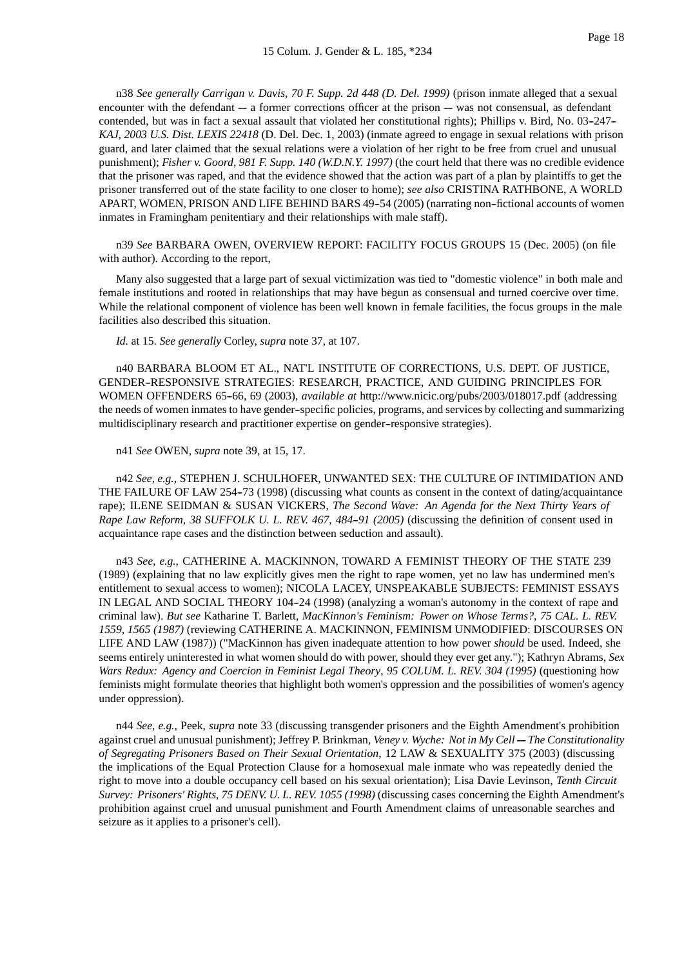n38 *See generally Carrigan v. Davis, 70 F. Supp. 2d 448 (D. Del. 1999)* (prison inmate alleged that a sexual encounter with the defendant  $-$  a former corrections officer at the prison  $-$  was not consensual, as defendant contended, but was in fact a sexual assault that violated her constitutional rights); Phillips v. Bird, No. 03-247-*KAJ, 2003 U.S. Dist. LEXIS 22418* (D. Del. Dec. 1, 2003) (inmate agreed to engage in sexual relations with prison guard, and later claimed that the sexual relations were a violation of her right to be free from cruel and unusual punishment); *Fisher v. Goord, 981 F. Supp. 140 (W.D.N.Y. 1997)* (the court held that there was no credible evidence that the prisoner was raped, and that the evidence showed that the action was part of a plan by plaintiffs to get the prisoner transferred out of the state facility to one closer to home); *see also* CRISTINA RATHBONE, A WORLD APART, WOMEN, PRISON AND LIFE BEHIND BARS 49-54 (2005) (narrating non-fictional accounts of women inmates in Framingham penitentiary and their relationships with male staff).

n39 *See* BARBARA OWEN, OVERVIEW REPORT: FACILITY FOCUS GROUPS 15 (Dec. 2005) (on file with author). According to the report,

Many also suggested that a large part of sexual victimization was tied to "domestic violence" in both male and female institutions and rooted in relationships that may have begun as consensual and turned coercive over time. While the relational component of violence has been well known in female facilities, the focus groups in the male facilities also described this situation.

*Id.* at 15. *See generally* Corley, *supra* note 37, at 107.

n40 BARBARA BLOOM ET AL., NAT'L INSTITUTE OF CORRECTIONS, U.S. DEPT. OF JUSTICE, GENDER--RESPONSIVE STRATEGIES: RESEARCH, PRACTICE, AND GUIDING PRINCIPLES FOR WOMEN OFFENDERS 65-66, 69 (2003), *available at http://www.nicic.org/pubs/2003/018017.pdf* (addressing the needs of women inmates to have gender--specific policies, programs, and services by collecting and summarizing multidisciplinary research and practitioner expertise on gender--responsive strategies).

n41 *See* OWEN, *supra* note 39, at 15, 17.

n42 *See, e.g.*, STEPHEN J. SCHULHOFER, UNWANTED SEX: THE CULTURE OF INTIMIDATION AND THE FAILURE OF LAW 254-73 (1998) (discussing what counts as consent in the context of dating/acquaintance rape); ILENE SEIDMAN & SUSAN VICKERS, *The Second Wave: An Agenda for the Next Thirty Years of Rape Law Reform, 38 SUFFOLK U. L. REV. 467, 484-91 (2005)* (discussing the definition of consent used in acquaintance rape cases and the distinction between seduction and assault).

n43 *See, e.g.*, CATHERINE A. MACKINNON, TOWARD A FEMINIST THEORY OF THE STATE 239 (1989) (explaining that no law explicitly gives men the right to rape women, yet no law has undermined men's entitlement to sexual access to women); NICOLA LACEY, UNSPEAKABLE SUBJECTS: FEMINIST ESSAYS IN LEGAL AND SOCIAL THEORY 104-24 (1998) (analyzing a woman's autonomy in the context of rape and criminal law). *But see* Katharine T. Barlett, *MacKinnon's Feminism: Power on Whose Terms?*, *75 CAL. L. REV. 1559, 1565 (1987)* (reviewing CATHERINE A. MACKINNON, FEMINISM UNMODIFIED: DISCOURSES ON LIFE AND LAW (1987)) ("MacKinnon has given inadequate attention to how power *should* be used. Indeed, she seems entirely uninterested in what women should do with power, should they ever get any."); Kathryn Abrams, *Sex Wars Redux: Agency and Coercion in Feminist Legal Theory*, *95 COLUM. L. REV. 304 (1995)* (questioning how feminists might formulate theories that highlight both women's oppression and the possibilities of women's agency under oppression).

n44 *See, e.g.*, Peek, *supra* note 33 (discussing transgender prisoners and the Eighth Amendment's prohibition against cruel and unusual punishment); Jeffrey P. Brinkman, *Veney v. Wyche: Not in My Cell* -- *The Constitutionality of Segregating Prisoners Based on Their Sexual Orientation*, 12 LAW & SEXUALITY 375 (2003) (discussing the implications of the Equal Protection Clause for a homosexual male inmate who was repeatedly denied the right to move into a double occupancy cell based on his sexual orientation); Lisa Davie Levinson, *Tenth Circuit Survey: Prisoners' Rights*, *75 DENV. U. L. REV. 1055 (1998)* (discussing cases concerning the Eighth Amendment's prohibition against cruel and unusual punishment and Fourth Amendment claims of unreasonable searches and seizure as it applies to a prisoner's cell).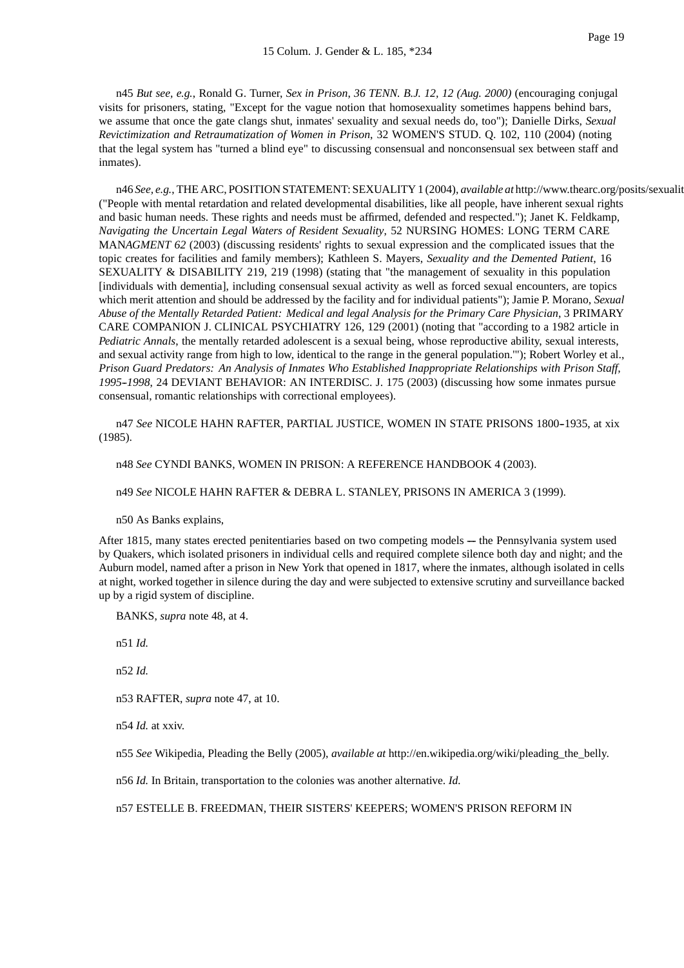n45 *But see, e.g.*, Ronald G. Turner, *Sex in Prison*, *36 TENN. B.J. 12, 12 (Aug. 2000)* (encouraging conjugal visits for prisoners, stating, "Except for the vague notion that homosexuality sometimes happens behind bars, we assume that once the gate clangs shut, inmates' sexuality and sexual needs do, too"); Danielle Dirks, *Sexual Revictimization and Retraumatization of Women in Prison*, 32 WOMEN'S STUD. Q. 102, 110 (2004) (noting that the legal system has "turned a blind eye" to discussing consensual and nonconsensual sex between staff and inmates).

n46 See, e.g., THE ARC, POSITION STATEMENT: SEXUALITY 1 (2004), *available at* http://www.thearc.org/posits/sexualit ("People with mental retardation and related developmental disabilities, like all people, have inherent sexual rights and basic human needs. These rights and needs must be affirmed, defended and respected."); Janet K. Feldkamp, *Navigating the Uncertain Legal Waters of Resident Sexuality*, 52 NURSING HOMES: LONG TERM CARE MAN*AGMENT 62* (2003) (discussing residents' rights to sexual expression and the complicated issues that the topic creates for facilities and family members); Kathleen S. Mayers, *Sexuality and the Demented Patient*, 16 SEXUALITY & DISABILITY 219, 219 (1998) (stating that "the management of sexuality in this population [individuals with dementia], including consensual sexual activity as well as forced sexual encounters, are topics which merit attention and should be addressed by the facility and for individual patients"); Jamie P. Morano, *Sexual Abuse of the Mentally Retarded Patient: Medical and legal Analysis for the Primary Care Physician*, 3 PRIMARY CARE COMPANION J. CLINICAL PSYCHIATRY 126, 129 (2001) (noting that "according to a 1982 article in *Pediatric Annals*, the mentally retarded adolescent is a sexual being, whose reproductive ability, sexual interests, and sexual activity range from high to low, identical to the range in the general population.'"); Robert Worley et al., *Prison Guard Predators: An Analysis of Inmates Who Established Inappropriate Relationships with Prison Staff, 1995--1998*, 24 DEVIANT BEHAVIOR: AN INTERDISC. J. 175 (2003) (discussing how some inmates pursue consensual, romantic relationships with correctional employees).

n47 See NICOLE HAHN RAFTER, PARTIAL JUSTICE, WOMEN IN STATE PRISONS 1800-1935, at xix (1985).

n48 *See* CYNDI BANKS, WOMEN IN PRISON: A REFERENCE HANDBOOK 4 (2003).

#### n49 *See* NICOLE HAHN RAFTER & DEBRA L. STANLEY, PRISONS IN AMERICA 3 (1999).

n50 As Banks explains,

After 1815, many states erected penitentiaries based on two competing models — the Pennsylvania system used by Quakers, which isolated prisoners in individual cells and required complete silence both day and night; and the Auburn model, named after a prison in New York that opened in 1817, where the inmates, although isolated in cells at night, worked together in silence during the day and were subjected to extensive scrutiny and surveillance backed up by a rigid system of discipline.

BANKS, *supra* note 48, at 4.

n51 *Id.*

n52 *Id.*

n53 RAFTER, *supra* note 47, at 10.

n54 *Id.* at xxiv.

n55 *See* Wikipedia, Pleading the Belly (2005), *available at* http://en.wikipedia.org/wiki/pleading\_the\_belly.

n56 *Id.* In Britain, transportation to the colonies was another alternative. *Id.*

n57 ESTELLE B. FREEDMAN, THEIR SISTERS' KEEPERS; WOMEN'S PRISON REFORM IN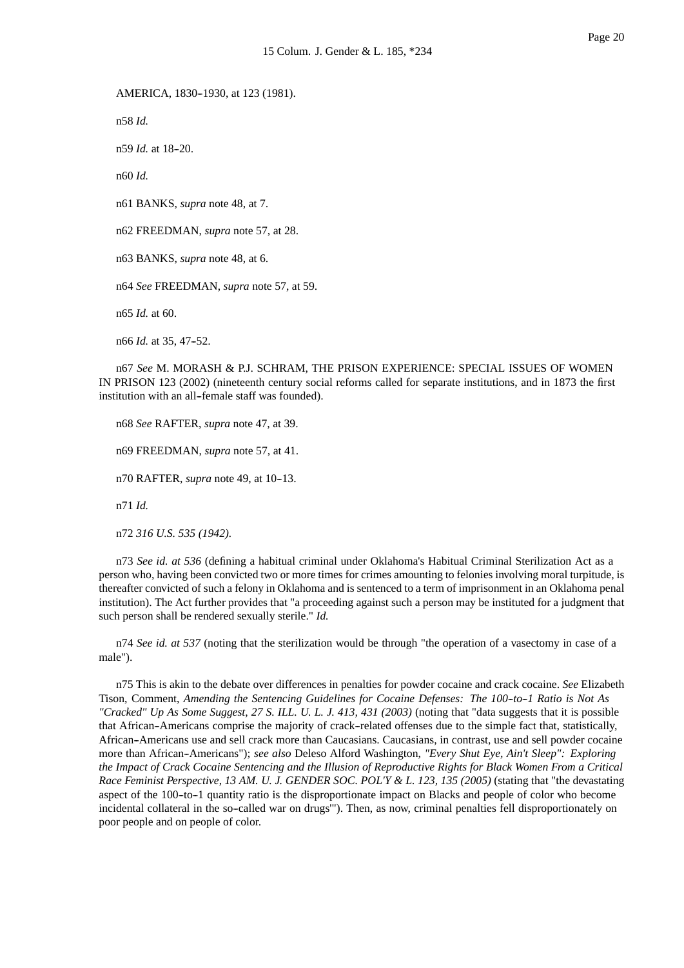AMERICA, 1830-1930, at 123 (1981).

n58 *Id.*

n59 *Id.* at 18-20.

n60 *Id.*

n61 BANKS, *supra* note 48, at 7.

n62 FREEDMAN, *supra* note 57, at 28.

n63 BANKS, *supra* note 48, at 6.

n64 *See* FREEDMAN, *supra* note 57, at 59.

n65 *Id.* at 60.

n66 *Id.* at 35, 47-52.

n67 *See* M. MORASH & P.J. SCHRAM, THE PRISON EXPERIENCE: SPECIAL ISSUES OF WOMEN IN PRISON 123 (2002) (nineteenth century social reforms called for separate institutions, and in 1873 the first institution with an all-female staff was founded).

n68 *See* RAFTER, *supra* note 47, at 39.

n69 FREEDMAN, *supra* note 57, at 41.

n70 RAFTER, *supra* note 49, at 10-13.

n71 *Id.*

n72 *316 U.S. 535 (1942).*

n73 *See id. at 536* (defining a habitual criminal under Oklahoma's Habitual Criminal Sterilization Act as a person who, having been convicted two or more times for crimes amounting to felonies involving moral turpitude, is thereafter convicted of such a felony in Oklahoma and is sentenced to a term of imprisonment in an Oklahoma penal institution). The Act further provides that "a proceeding against such a person may be instituted for a judgment that such person shall be rendered sexually sterile." *Id.*

n74 *See id. at 537* (noting that the sterilization would be through "the operation of a vasectomy in case of a male").

n75 This is akin to the debate over differences in penalties for powder cocaine and crack cocaine. *See* Elizabeth Tison, Comment, *Amending the Sentencing Guidelines for Cocaine Defenses: The 100-to-1 Ratio is Not As "Cracked" Up As Some Suggest*, *27 S. ILL. U. L. J. 413, 431 (2003)* (noting that "data suggests that it is possible that African--Americans comprise the majority of crack--related offenses due to the simple fact that, statistically, African-Americans use and sell crack more than Caucasians. Caucasians, in contrast, use and sell powder cocaine more than African--Americans"); *see also* Deleso Alford Washington, *"Every Shut Eye, Ain't Sleep": Exploring the Impact of Crack Cocaine Sentencing and the Illusion of Reproductive Rights for Black Women From a Critical Race Feminist Perspective*, *13 AM. U. J. GENDER SOC. POL'Y & L. 123, 135 (2005)* (stating that "the devastating aspect of the 100-to-1 quantity ratio is the disproportionate impact on Blacks and people of color who become incidental collateral in the so-called war on drugs"'). Then, as now, criminal penalties fell disproportionately on poor people and on people of color.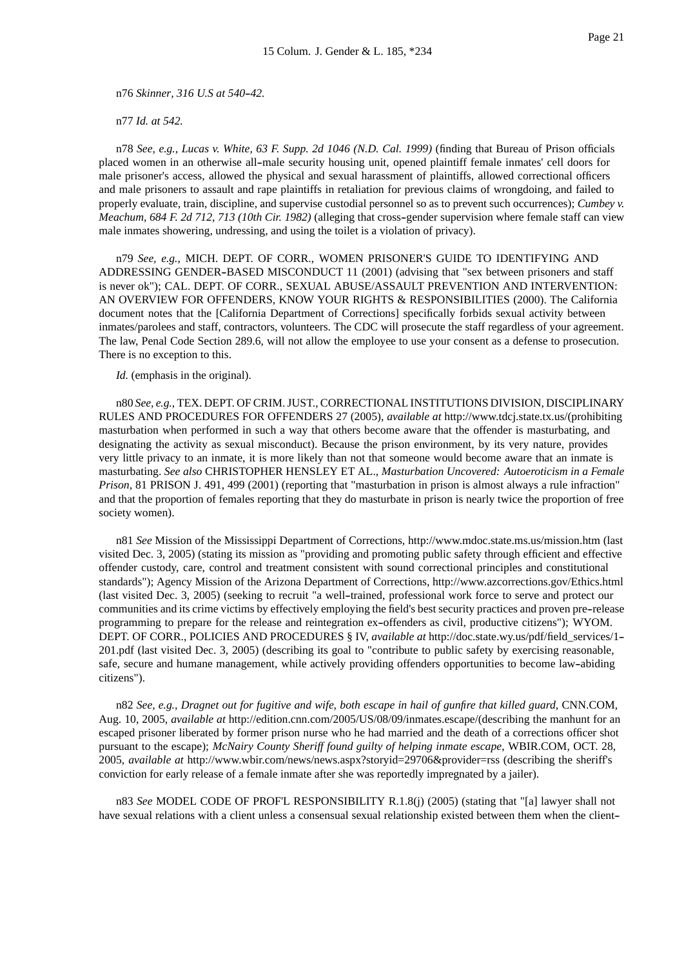n76 *Skinner, 316 U.S at 540--42.*

n77 *Id. at 542.*

n78 *See, e.g.*, *Lucas v. White, 63 F. Supp. 2d 1046 (N.D. Cal. 1999)* (finding that Bureau of Prison officials placed women in an otherwise all--male security housing unit, opened plaintiff female inmates' cell doors for male prisoner's access, allowed the physical and sexual harassment of plaintiffs, allowed correctional officers and male prisoners to assault and rape plaintiffs in retaliation for previous claims of wrongdoing, and failed to properly evaluate, train, discipline, and supervise custodial personnel so as to prevent such occurrences); *Cumbey v. Meachum, 684 F. 2d 712, 713 (10th Cir. 1982)* (alleging that cross-gender supervision where female staff can view male inmates showering, undressing, and using the toilet is a violation of privacy).

n79 *See, e.g.*, MICH. DEPT. OF CORR., WOMEN PRISONER'S GUIDE TO IDENTIFYING AND ADDRESSING GENDER--BASED MISCONDUCT 11 (2001) (advising that "sex between prisoners and staff is never ok"); CAL. DEPT. OF CORR., SEXUAL ABUSE/ASSAULT PREVENTION AND INTERVENTION: AN OVERVIEW FOR OFFENDERS, KNOW YOUR RIGHTS & RESPONSIBILITIES (2000). The California document notes that the [California Department of Corrections] specifically forbids sexual activity between inmates/parolees and staff, contractors, volunteers. The CDC will prosecute the staff regardless of your agreement. The law, Penal Code Section 289.6, will not allow the employee to use your consent as a defense to prosecution. There is no exception to this.

*Id.* (emphasis in the original).

n80 *See, e.g.*, TEX. DEPT. OF CRIM. JUST., CORRECTIONAL INSTITUTIONS DIVISION, DISCIPLINARY RULES AND PROCEDURES FOR OFFENDERS 27 (2005), *available at* http://www.tdcj.state.tx.us/(prohibiting masturbation when performed in such a way that others become aware that the offender is masturbating, and designating the activity as sexual misconduct). Because the prison environment, by its very nature, provides very little privacy to an inmate, it is more likely than not that someone would become aware that an inmate is masturbating. *See also* CHRISTOPHER HENSLEY ET AL., *Masturbation Uncovered: Autoeroticism in a Female Prison*, 81 PRISON J. 491, 499 (2001) (reporting that "masturbation in prison is almost always a rule infraction" and that the proportion of females reporting that they do masturbate in prison is nearly twice the proportion of free society women).

n81 *See* Mission of the Mississippi Department of Corrections, http://www.mdoc.state.ms.us/mission.htm (last visited Dec. 3, 2005) (stating its mission as "providing and promoting public safety through efficient and effective offender custody, care, control and treatment consistent with sound correctional principles and constitutional standards"); Agency Mission of the Arizona Department of Corrections, http://www.azcorrections.gov/Ethics.html (last visited Dec. 3, 2005) (seeking to recruit "a well--trained, professional work force to serve and protect our communities and its crime victims by effectively employing the field's best security practices and proven pre--release programming to prepare for the release and reintegration ex--offenders as civil, productive citizens"); WYOM. DEPT. OF CORR., POLICIES AND PROCEDURES § IV, *available at* http://doc.state.wy.us/pdf/field\_services/1-- 201.pdf (last visited Dec. 3, 2005) (describing its goal to "contribute to public safety by exercising reasonable, safe, secure and humane management, while actively providing offenders opportunities to become law--abiding citizens").

n82 *See, e.g., Dragnet out for fugitive and wife, both escape in hail of gunfire that killed guard*, CNN.COM, Aug. 10, 2005, *available at* http://edition.cnn.com/2005/US/08/09/inmates.escape/(describing the manhunt for an escaped prisoner liberated by former prison nurse who he had married and the death of a corrections officer shot pursuant to the escape); *McNairy County Sheriff found guilty of helping inmate escape*, WBIR.COM, OCT. 28, 2005, *available at* http://www.wbir.com/news/news.aspx?storyid=29706&provider=rss (describing the sheriff's conviction for early release of a female inmate after she was reportedly impregnated by a jailer).

n83 *See* MODEL CODE OF PROF'L RESPONSIBILITY R.1.8(j) (2005) (stating that "[a] lawyer shall not have sexual relations with a client unless a consensual sexual relationship existed between them when the client--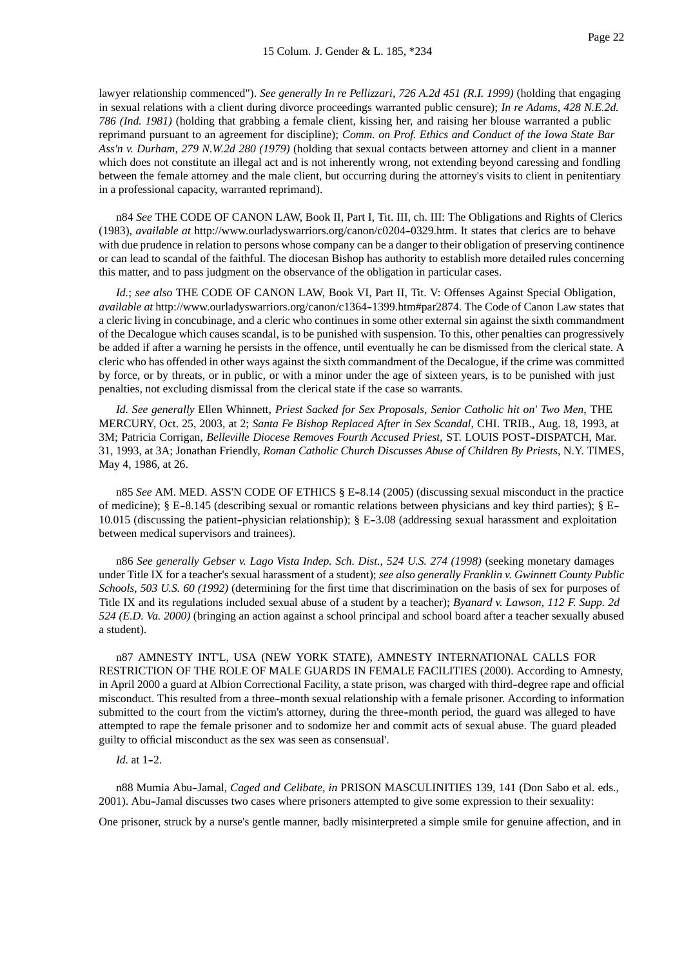lawyer relationship commenced"). *See generally In re Pellizzari, 726 A.2d 451 (R.I. 1999)* (holding that engaging in sexual relations with a client during divorce proceedings warranted public censure); *In re Adams, 428 N.E.2d. 786 (Ind. 1981)* (holding that grabbing a female client, kissing her, and raising her blouse warranted a public reprimand pursuant to an agreement for discipline); *Comm. on Prof. Ethics and Conduct of the Iowa State Bar Ass'n v. Durham, 279 N.W.2d 280 (1979)* (holding that sexual contacts between attorney and client in a manner which does not constitute an illegal act and is not inherently wrong, not extending beyond caressing and fondling between the female attorney and the male client, but occurring during the attorney's visits to client in penitentiary in a professional capacity, warranted reprimand).

n84 *See* THE CODE OF CANON LAW, Book II, Part I, Tit. III, ch. III: The Obligations and Rights of Clerics (1983), *available at* http://www.ourladyswarriors.org/canon/c0204-0329.htm. It states that clerics are to behave with due prudence in relation to persons whose company can be a danger to their obligation of preserving continence or can lead to scandal of the faithful. The diocesan Bishop has authority to establish more detailed rules concerning this matter, and to pass judgment on the observance of the obligation in particular cases.

*Id.*; *see also* THE CODE OF CANON LAW, Book VI, Part II, Tit. V: Offenses Against Special Obligation, *available at* http://www.ourladyswarriors.org/canon/c1364--1399.htm#par2874. The Code of Canon Law states that a cleric living in concubinage, and a cleric who continues in some other external sin against the sixth commandment of the Decalogue which causes scandal, is to be punished with suspension. To this, other penalties can progressively be added if after a warning he persists in the offence, until eventually he can be dismissed from the clerical state. A cleric who has offended in other ways against the sixth commandment of the Decalogue, if the crime was committed by force, or by threats, or in public, or with a minor under the age of sixteen years, is to be punished with just penalties, not excluding dismissal from the clerical state if the case so warrants.

*Id. See generally* Ellen Whinnett, *Priest Sacked for Sex Proposals, Senior Catholic hit on' Two Men*, THE MERCURY, Oct. 25, 2003, at 2; *Santa Fe Bishop Replaced After in Sex Scandal*, CHI. TRIB., Aug. 18, 1993, at 3M; Patricia Corrigan, *Belleville Diocese Removes Fourth Accused Priest*, ST. LOUIS POST-DISPATCH, Mar. 31, 1993, at 3A; Jonathan Friendly, *Roman Catholic Church Discusses Abuse of Children By Priests*, N.Y. TIMES, May 4, 1986, at 26.

n85 See AM. MED. ASS'N CODE OF ETHICS § E-8.14 (2005) (discussing sexual misconduct in the practice of medicine);  $\S$  E-8.145 (describing sexual or romantic relations between physicians and key third parties);  $\S$  E-10.015 (discussing the patient-physician relationship); § E-3.08 (addressing sexual harassment and exploitation between medical supervisors and trainees).

n86 *See generally Gebser v. Lago Vista Indep. Sch. Dist., 524 U.S. 274 (1998)* (seeking monetary damages under Title IX for a teacher's sexual harassment of a student); *see also generally Franklin v. Gwinnett County Public Schools, 503 U.S. 60 (1992)* (determining for the first time that discrimination on the basis of sex for purposes of Title IX and its regulations included sexual abuse of a student by a teacher); *Byanard v. Lawson, 112 F. Supp. 2d 524 (E.D. Va. 2000)* (bringing an action against a school principal and school board after a teacher sexually abused a student).

n87 AMNESTY INT'L, USA (NEW YORK STATE), AMNESTY INTERNATIONAL CALLS FOR RESTRICTION OF THE ROLE OF MALE GUARDS IN FEMALE FACILITIES (2000). According to Amnesty, in April 2000 a guard at Albion Correctional Facility, a state prison, was charged with third--degree rape and official misconduct. This resulted from a three--month sexual relationship with a female prisoner. According to information submitted to the court from the victim's attorney, during the three-month period, the guard was alleged to have attempted to rape the female prisoner and to sodomize her and commit acts of sexual abuse. The guard pleaded guilty to official misconduct as the sex was seen as consensual'.

#### *Id.* at 1-2.

n88 Mumia Abu--Jamal, *Caged and Celibate, in* PRISON MASCULINITIES 139, 141 (Don Sabo et al. eds., 2001). Abu--Jamal discusses two cases where prisoners attempted to give some expression to their sexuality:

One prisoner, struck by a nurse's gentle manner, badly misinterpreted a simple smile for genuine affection, and in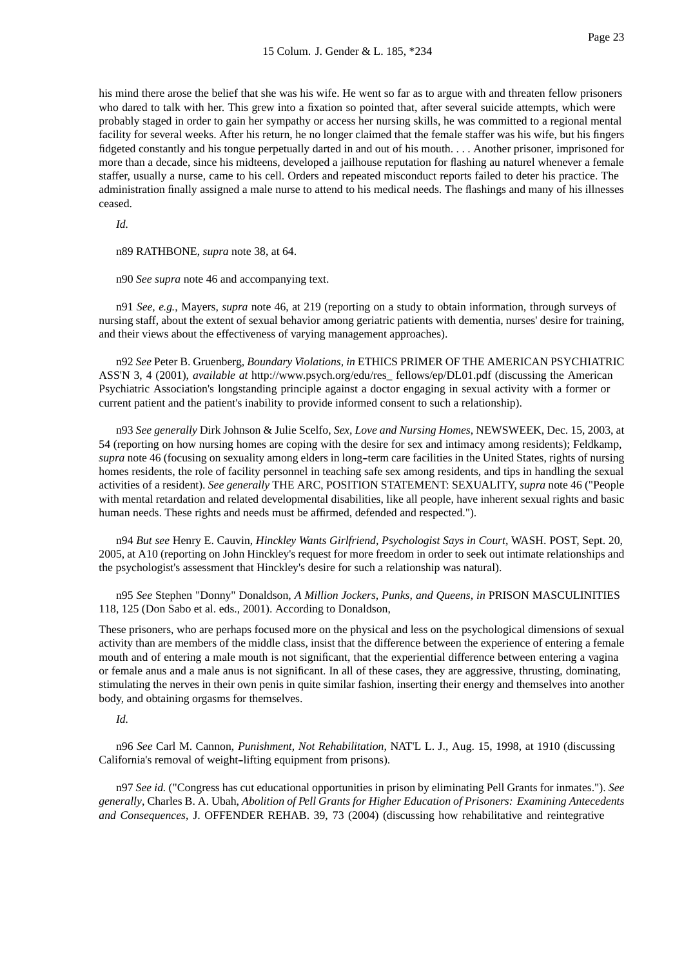his mind there arose the belief that she was his wife. He went so far as to argue with and threaten fellow prisoners who dared to talk with her. This grew into a fixation so pointed that, after several suicide attempts, which were probably staged in order to gain her sympathy or access her nursing skills, he was committed to a regional mental facility for several weeks. After his return, he no longer claimed that the female staffer was his wife, but his fingers fidgeted constantly and his tongue perpetually darted in and out of his mouth. . . . Another prisoner, imprisoned for more than a decade, since his midteens, developed a jailhouse reputation for flashing au naturel whenever a female staffer, usually a nurse, came to his cell. Orders and repeated misconduct reports failed to deter his practice. The administration finally assigned a male nurse to attend to his medical needs. The flashings and many of his illnesses ceased.

*Id.*

n89 RATHBONE, *supra* note 38, at 64.

n90 *See supra* note 46 and accompanying text.

n91 *See, e.g.*, Mayers, *supra* note 46, at 219 (reporting on a study to obtain information, through surveys of nursing staff, about the extent of sexual behavior among geriatric patients with dementia, nurses' desire for training, and their views about the effectiveness of varying management approaches).

n92 *See* Peter B. Gruenberg, *Boundary Violations, in* ETHICS PRIMER OF THE AMERICAN PSYCHIATRIC ASS'N 3, 4 (2001), *available at* http://www.psych.org/edu/res\_ fellows/ep/DL01.pdf (discussing the American Psychiatric Association's longstanding principle against a doctor engaging in sexual activity with a former or current patient and the patient's inability to provide informed consent to such a relationship).

n93 *See generally* Dirk Johnson & Julie Scelfo, *Sex, Love and Nursing Homes*, NEWSWEEK, Dec. 15, 2003, at 54 (reporting on how nursing homes are coping with the desire for sex and intimacy among residents); Feldkamp, *supra* note 46 (focusing on sexuality among elders in long-term care facilities in the United States, rights of nursing homes residents, the role of facility personnel in teaching safe sex among residents, and tips in handling the sexual activities of a resident). *See generally* THE ARC, POSITION STATEMENT: SEXUALITY, *supra* note 46 ("People with mental retardation and related developmental disabilities, like all people, have inherent sexual rights and basic human needs. These rights and needs must be affirmed, defended and respected.").

n94 *But see* Henry E. Cauvin, *Hinckley Wants Girlfriend, Psychologist Says in Court*, WASH. POST, Sept. 20, 2005, at A10 (reporting on John Hinckley's request for more freedom in order to seek out intimate relationships and the psychologist's assessment that Hinckley's desire for such a relationship was natural).

n95 *See* Stephen "Donny" Donaldson, *A Million Jockers, Punks, and Queens, in* PRISON MASCULINITIES 118, 125 (Don Sabo et al. eds., 2001). According to Donaldson,

These prisoners, who are perhaps focused more on the physical and less on the psychological dimensions of sexual activity than are members of the middle class, insist that the difference between the experience of entering a female mouth and of entering a male mouth is not significant, that the experiential difference between entering a vagina or female anus and a male anus is not significant. In all of these cases, they are aggressive, thrusting, dominating, stimulating the nerves in their own penis in quite similar fashion, inserting their energy and themselves into another body, and obtaining orgasms for themselves.

#### *Id.*

n96 *See* Carl M. Cannon, *Punishment, Not Rehabilitation*, NAT'L L. J., Aug. 15, 1998, at 1910 (discussing California's removal of weight-lifting equipment from prisons).

n97 *See id.* ("Congress has cut educational opportunities in prison by eliminating Pell Grants for inmates."). *See generally*, Charles B. A. Ubah, *Abolition of Pell Grants for Higher Education of Prisoners: Examining Antecedents and Consequences*, J. OFFENDER REHAB. 39, 73 (2004) (discussing how rehabilitative and reintegrative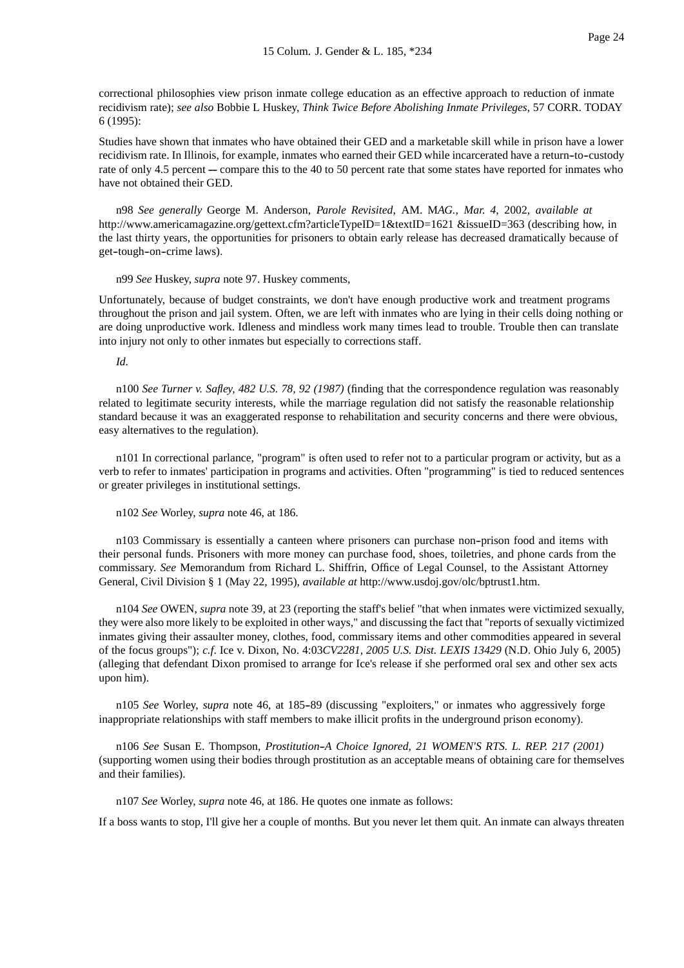correctional philosophies view prison inmate college education as an effective approach to reduction of inmate recidivism rate); *see also* Bobbie L Huskey, *Think Twice Before Abolishing Inmate Privileges*, 57 CORR. TODAY 6 (1995):

Studies have shown that inmates who have obtained their GED and a marketable skill while in prison have a lower recidivism rate. In Illinois, for example, inmates who earned their GED while incarcerated have a return--to--custody rate of only 4.5 percent --- compare this to the 40 to 50 percent rate that some states have reported for inmates who have not obtained their GED.

n98 *See generally* George M. Anderson, *Parole Revisited*, AM. M*AG., Mar. 4*, 2002, *available at* http://www.americamagazine.org/gettext.cfm?articleTypeID=1&textID=1621 &issueID=363 (describing how, in the last thirty years, the opportunities for prisoners to obtain early release has decreased dramatically because of get-tough-on-crime laws).

#### n99 *See* Huskey, *supra* note 97. Huskey comments,

Unfortunately, because of budget constraints, we don't have enough productive work and treatment programs throughout the prison and jail system. Often, we are left with inmates who are lying in their cells doing nothing or are doing unproductive work. Idleness and mindless work many times lead to trouble. Trouble then can translate into injury not only to other inmates but especially to corrections staff.

#### *Id.*

n100 *See Turner v. Safley, 482 U.S. 78, 92 (1987)* (finding that the correspondence regulation was reasonably related to legitimate security interests, while the marriage regulation did not satisfy the reasonable relationship standard because it was an exaggerated response to rehabilitation and security concerns and there were obvious, easy alternatives to the regulation).

n101 In correctional parlance, "program" is often used to refer not to a particular program or activity, but as a verb to refer to inmates' participation in programs and activities. Often "programming" is tied to reduced sentences or greater privileges in institutional settings.

n102 *See* Worley, *supra* note 46, at 186.

n103 Commissary is essentially a canteen where prisoners can purchase non--prison food and items with their personal funds. Prisoners with more money can purchase food, shoes, toiletries, and phone cards from the commissary. *See* Memorandum from Richard L. Shiffrin, Office of Legal Counsel, to the Assistant Attorney General, Civil Division § 1 (May 22, 1995), *available at* http://www.usdoj.gov/olc/bptrust1.htm.

n104 *See* OWEN, *supra* note 39, at 23 (reporting the staff's belief "that when inmates were victimized sexually, they were also more likely to be exploited in other ways," and discussing the fact that "reports of sexually victimized inmates giving their assaulter money, clothes, food, commissary items and other commodities appeared in several of the focus groups"); *c.f*. Ice v. Dixon, No. 4:03*CV2281, 2005 U.S. Dist. LEXIS 13429* (N.D. Ohio July 6, 2005) (alleging that defendant Dixon promised to arrange for Ice's release if she performed oral sex and other sex acts upon him).

n105 *See* Worley, *supra* note 46, at 185--89 (discussing "exploiters," or inmates who aggressively forge inappropriate relationships with staff members to make illicit profits in the underground prison economy).

n106 *See* Susan E. Thompson, *Prostitution--A Choice Ignored*, *21 WOMEN'S RTS. L. REP. 217 (2001)* (supporting women using their bodies through prostitution as an acceptable means of obtaining care for themselves and their families).

n107 *See* Worley, *supra* note 46, at 186. He quotes one inmate as follows:

If a boss wants to stop, I'll give her a couple of months. But you never let them quit. An inmate can always threaten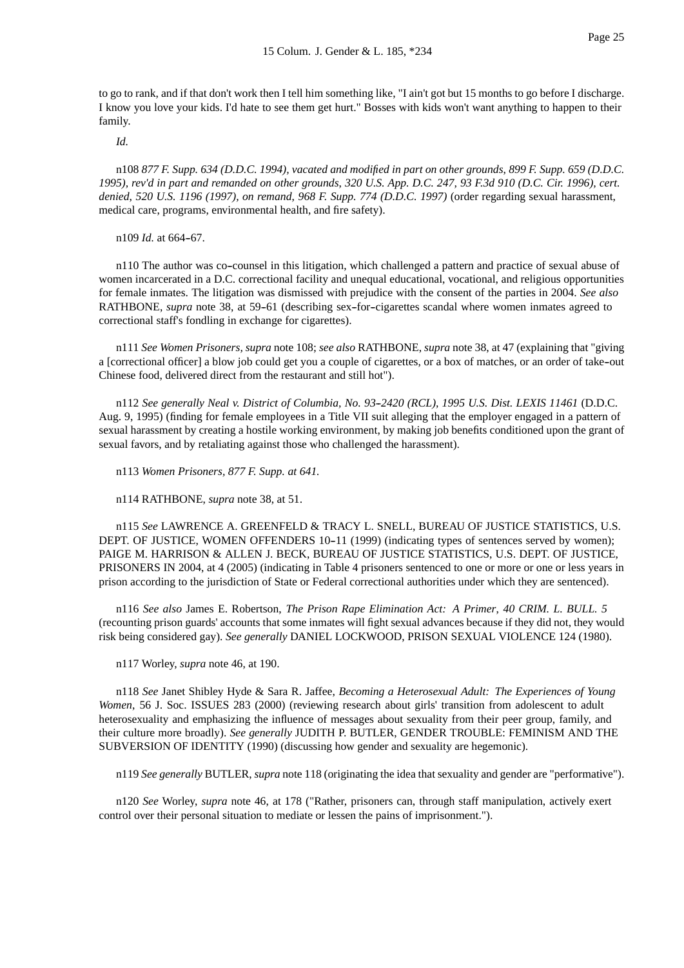to go to rank, and if that don't work then I tell him something like, "I ain't got but 15 months to go before I discharge. I know you love your kids. I'd hate to see them get hurt." Bosses with kids won't want anything to happen to their family.

*Id.*

n108 *877 F. Supp. 634 (D.D.C. 1994), vacated and modified in part on other grounds*, *899 F. Supp. 659 (D.D.C. 1995), rev'd in part and remanded on other grounds*, *320 U.S. App. D.C. 247, 93 F.3d 910 (D.C. Cir. 1996), cert. denied*, *520 U.S. 1196 (1997), on remand*, *968 F. Supp. 774 (D.D.C. 1997)* (order regarding sexual harassment, medical care, programs, environmental health, and fire safety).

n109 *Id.* at 664-67.

n110 The author was co--counsel in this litigation, which challenged a pattern and practice of sexual abuse of women incarcerated in a D.C. correctional facility and unequal educational, vocational, and religious opportunities for female inmates. The litigation was dismissed with prejudice with the consent of the parties in 2004. *See also* RATHBONE, *supra* note 38, at 59-61 (describing sex-for-cigarettes scandal where women inmates agreed to correctional staff's fondling in exchange for cigarettes).

n111 *See Women Prisoners, supra* note 108; *see also* RATHBONE, *supra* note 38, at 47 (explaining that "giving a [correctional officer] a blow job could get you a couple of cigarettes, or a box of matches, or an order of take--out Chinese food, delivered direct from the restaurant and still hot").

n112 *See generally Neal v. District of Columbia, No. 93--2420 (RCL), 1995 U.S. Dist. LEXIS 11461* (D.D.C. Aug. 9, 1995) (finding for female employees in a Title VII suit alleging that the employer engaged in a pattern of sexual harassment by creating a hostile working environment, by making job benefits conditioned upon the grant of sexual favors, and by retaliating against those who challenged the harassment).

n113 *Women Prisoners, 877 F. Supp. at 641.*

n114 RATHBONE, *supra* note 38, at 51.

n115 *See* LAWRENCE A. GREENFELD & TRACY L. SNELL, BUREAU OF JUSTICE STATISTICS, U.S. DEPT. OF JUSTICE, WOMEN OFFENDERS 10-11 (1999) (indicating types of sentences served by women); PAIGE M. HARRISON & ALLEN J. BECK, BUREAU OF JUSTICE STATISTICS, U.S. DEPT. OF JUSTICE, PRISONERS IN 2004, at 4 (2005) (indicating in Table 4 prisoners sentenced to one or more or one or less years in prison according to the jurisdiction of State or Federal correctional authorities under which they are sentenced).

n116 *See also* James E. Robertson, *The Prison Rape Elimination Act: A Primer*, *40 CRIM. L. BULL. 5* (recounting prison guards' accounts that some inmates will fight sexual advances because if they did not, they would risk being considered gay). *See generally* DANIEL LOCKWOOD, PRISON SEXUAL VIOLENCE 124 (1980).

n117 Worley, *supra* note 46, at 190.

n118 *See* Janet Shibley Hyde & Sara R. Jaffee, *Becoming a Heterosexual Adult: The Experiences of Young Women*, 56 J. Soc. ISSUES 283 (2000) (reviewing research about girls' transition from adolescent to adult heterosexuality and emphasizing the influence of messages about sexuality from their peer group, family, and their culture more broadly). *See generally* JUDITH P. BUTLER, GENDER TROUBLE: FEMINISM AND THE SUBVERSION OF IDENTITY (1990) (discussing how gender and sexuality are hegemonic).

n119 *See generally* BUTLER, *supra* note 118 (originating the idea that sexuality and gender are "performative").

n120 *See* Worley, *supra* note 46, at 178 ("Rather, prisoners can, through staff manipulation, actively exert control over their personal situation to mediate or lessen the pains of imprisonment.").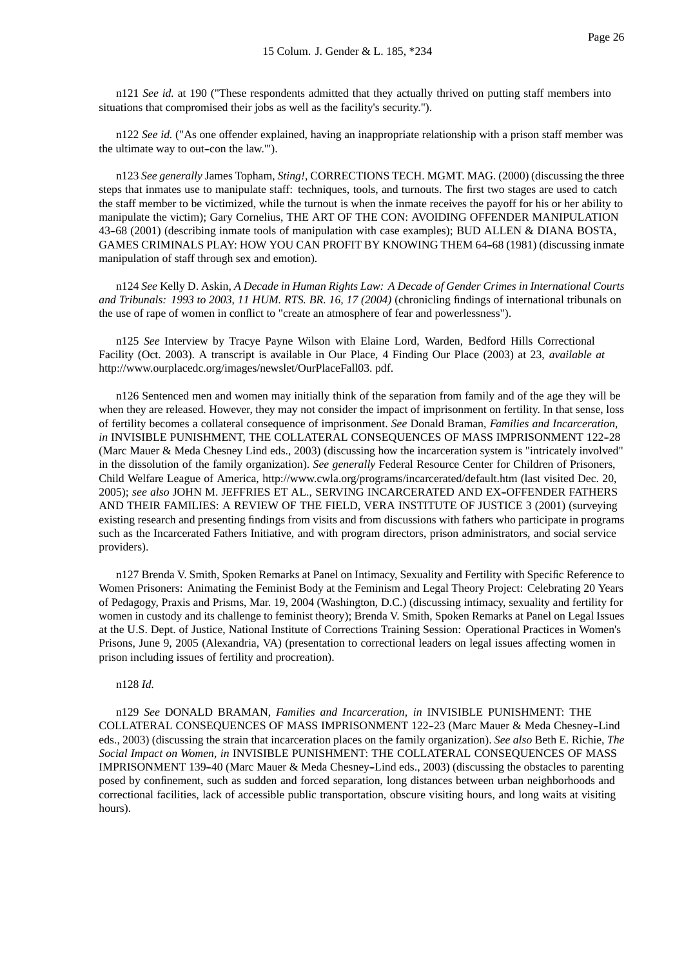n121 *See id.* at 190 ("These respondents admitted that they actually thrived on putting staff members into situations that compromised their jobs as well as the facility's security.").

n122 *See id.* ("As one offender explained, having an inappropriate relationship with a prison staff member was the ultimate way to out-con the law."").

n123 *See generally* James Topham, *Sting!*, CORRECTIONS TECH. MGMT. MAG. (2000) (discussing the three steps that inmates use to manipulate staff: techniques, tools, and turnouts. The first two stages are used to catch the staff member to be victimized, while the turnout is when the inmate receives the payoff for his or her ability to manipulate the victim); Gary Cornelius, THE ART OF THE CON: AVOIDING OFFENDER MANIPULATION 43--68 (2001) (describing inmate tools of manipulation with case examples); BUD ALLEN & DIANA BOSTA, GAMES CRIMINALS PLAY: HOW YOU CAN PROFIT BY KNOWING THEM 64-68 (1981) (discussing inmate manipulation of staff through sex and emotion).

n124 *See* Kelly D. Askin, *A Decade in Human Rights Law: A Decade of Gender Crimes in International Courts and Tribunals: 1993 to 2003*, *11 HUM. RTS. BR. 16, 17 (2004)* (chronicling findings of international tribunals on the use of rape of women in conflict to "create an atmosphere of fear and powerlessness").

n125 *See* Interview by Tracye Payne Wilson with Elaine Lord, Warden, Bedford Hills Correctional Facility (Oct. 2003). A transcript is available in Our Place, 4 Finding Our Place (2003) at 23, *available at* http://www.ourplacedc.org/images/newslet/OurPlaceFall03. pdf.

n126 Sentenced men and women may initially think of the separation from family and of the age they will be when they are released. However, they may not consider the impact of imprisonment on fertility. In that sense, loss of fertility becomes a collateral consequence of imprisonment. *See* Donald Braman, *Families and Incarceration, in* INVISIBLE PUNISHMENT, THE COLLATERAL CONSEQUENCES OF MASS IMPRISONMENT 122-28 (Marc Mauer & Meda Chesney Lind eds., 2003) (discussing how the incarceration system is "intricately involved" in the dissolution of the family organization). *See generally* Federal Resource Center for Children of Prisoners, Child Welfare League of America, http://www.cwla.org/programs/incarcerated/default.htm (last visited Dec. 20, 2005); *see also* JOHN M. JEFFRIES ET AL., SERVING INCARCERATED AND EX--OFFENDER FATHERS AND THEIR FAMILIES: A REVIEW OF THE FIELD, VERA INSTITUTE OF JUSTICE 3 (2001) (surveying existing research and presenting findings from visits and from discussions with fathers who participate in programs such as the Incarcerated Fathers Initiative, and with program directors, prison administrators, and social service providers).

n127 Brenda V. Smith, Spoken Remarks at Panel on Intimacy, Sexuality and Fertility with Specific Reference to Women Prisoners: Animating the Feminist Body at the Feminism and Legal Theory Project: Celebrating 20 Years of Pedagogy, Praxis and Prisms, Mar. 19, 2004 (Washington, D.C.) (discussing intimacy, sexuality and fertility for women in custody and its challenge to feminist theory); Brenda V. Smith, Spoken Remarks at Panel on Legal Issues at the U.S. Dept. of Justice, National Institute of Corrections Training Session: Operational Practices in Women's Prisons, June 9, 2005 (Alexandria, VA) (presentation to correctional leaders on legal issues affecting women in prison including issues of fertility and procreation).

n128 *Id.*

n129 *See* DONALD BRAMAN, *Families and Incarceration, in* INVISIBLE PUNISHMENT: THE COLLATERAL CONSEQUENCES OF MASS IMPRISONMENT 122-23 (Marc Mauer & Meda Chesney-Lind eds., 2003) (discussing the strain that incarceration places on the family organization). *See also* Beth E. Richie, *The Social Impact on Women, in* INVISIBLE PUNISHMENT: THE COLLATERAL CONSEQUENCES OF MASS IMPRISONMENT 139-40 (Marc Mauer & Meda Chesney-Lind eds., 2003) (discussing the obstacles to parenting posed by confinement, such as sudden and forced separation, long distances between urban neighborhoods and correctional facilities, lack of accessible public transportation, obscure visiting hours, and long waits at visiting hours).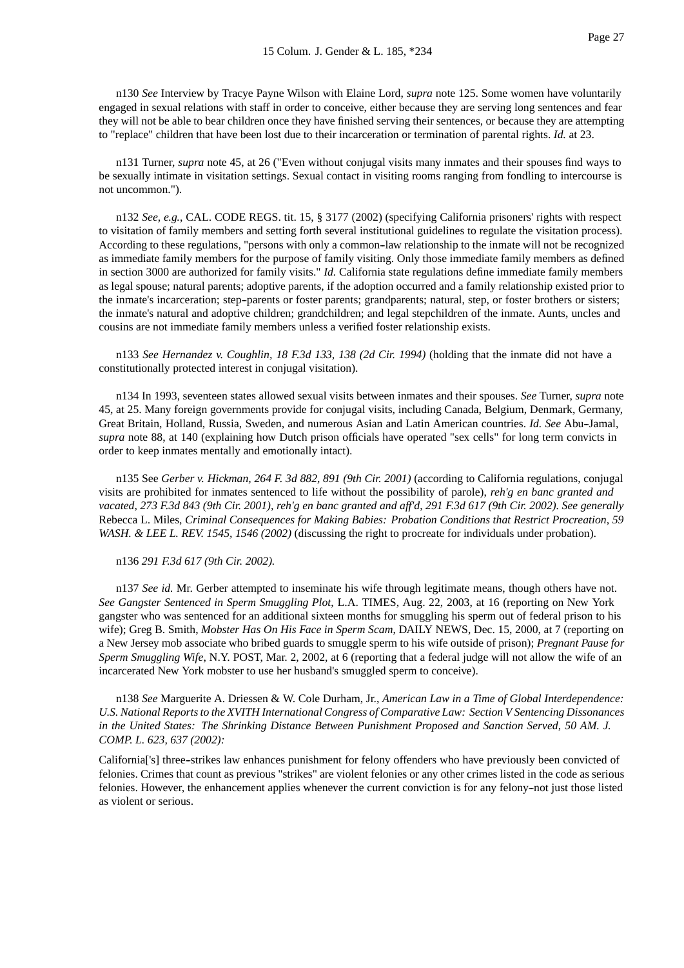n130 *See* Interview by Tracye Payne Wilson with Elaine Lord, *supra* note 125. Some women have voluntarily engaged in sexual relations with staff in order to conceive, either because they are serving long sentences and fear they will not be able to bear children once they have finished serving their sentences, or because they are attempting to "replace" children that have been lost due to their incarceration or termination of parental rights. *Id.* at 23.

n131 Turner, *supra* note 45, at 26 ("Even without conjugal visits many inmates and their spouses find ways to be sexually intimate in visitation settings. Sexual contact in visiting rooms ranging from fondling to intercourse is not uncommon.").

n132 *See, e.g.*, CAL. CODE REGS. tit. 15, § 3177 (2002) (specifying California prisoners' rights with respect to visitation of family members and setting forth several institutional guidelines to regulate the visitation process). According to these regulations, "persons with only a common-law relationship to the inmate will not be recognized as immediate family members for the purpose of family visiting. Only those immediate family members as defined in section 3000 are authorized for family visits." *Id.* California state regulations define immediate family members as legal spouse; natural parents; adoptive parents, if the adoption occurred and a family relationship existed prior to the inmate's incarceration; step--parents or foster parents; grandparents; natural, step, or foster brothers or sisters; the inmate's natural and adoptive children; grandchildren; and legal stepchildren of the inmate. Aunts, uncles and cousins are not immediate family members unless a verified foster relationship exists.

n133 *See Hernandez v. Coughlin, 18 F.3d 133, 138 (2d Cir. 1994)* (holding that the inmate did not have a constitutionally protected interest in conjugal visitation).

n134 In 1993, seventeen states allowed sexual visits between inmates and their spouses. *See* Turner, *supra* note 45, at 25. Many foreign governments provide for conjugal visits, including Canada, Belgium, Denmark, Germany, Great Britain, Holland, Russia, Sweden, and numerous Asian and Latin American countries. *Id. See* Abu--Jamal, *supra* note 88, at 140 (explaining how Dutch prison officials have operated "sex cells" for long term convicts in order to keep inmates mentally and emotionally intact).

n135 See *Gerber v. Hickman, 264 F. 3d 882, 891 (9th Cir. 2001)* (according to California regulations, conjugal visits are prohibited for inmates sentenced to life without the possibility of parole), *reh'g en banc granted and vacated*, *273 F.3d 843 (9th Cir. 2001), reh'g en banc granted and aff'd*, *291 F.3d 617 (9th Cir. 2002). See generally* Rebecca L. Miles, *Criminal Consequences for Making Babies: Probation Conditions that Restrict Procreation*, *59 WASH. & LEE L. REV. 1545, 1546 (2002)* (discussing the right to procreate for individuals under probation).

n136 *291 F.3d 617 (9th Cir. 2002).*

n137 *See id.* Mr. Gerber attempted to inseminate his wife through legitimate means, though others have not. *See Gangster Sentenced in Sperm Smuggling Plot*, L.A. TIMES, Aug. 22, 2003, at 16 (reporting on New York gangster who was sentenced for an additional sixteen months for smuggling his sperm out of federal prison to his wife); Greg B. Smith, *Mobster Has On His Face in Sperm Scam*, DAILY NEWS, Dec. 15, 2000, at 7 (reporting on a New Jersey mob associate who bribed guards to smuggle sperm to his wife outside of prison); *Pregnant Pause for Sperm Smuggling Wife*, N.Y. POST, Mar. 2, 2002, at 6 (reporting that a federal judge will not allow the wife of an incarcerated New York mobster to use her husband's smuggled sperm to conceive).

n138 *See* Marguerite A. Driessen & W. Cole Durham, Jr., *American Law in a Time of Global Interdependence: U.S. National Reports to the XVITH International Congress of Comparative Law: Section V Sentencing Dissonances in the United States: The Shrinking Distance Between Punishment Proposed and Sanction Served*, *50 AM. J. COMP. L. 623, 637 (2002):*

California['s] three--strikes law enhances punishment for felony offenders who have previously been convicted of felonies. Crimes that count as previous "strikes" are violent felonies or any other crimes listed in the code as serious felonies. However, the enhancement applies whenever the current conviction is for any felony--not just those listed as violent or serious.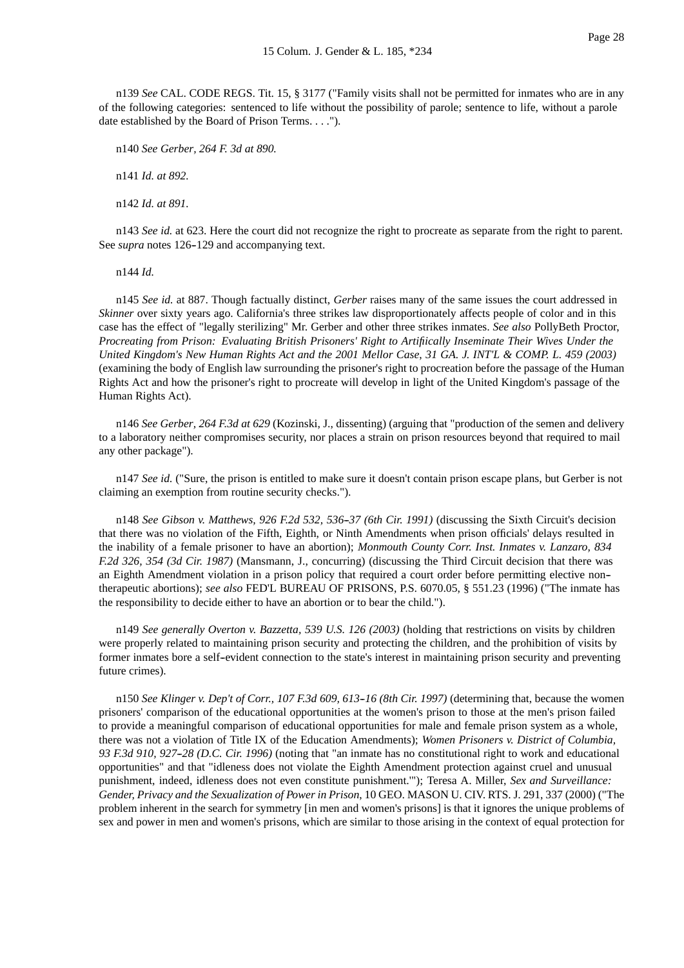n139 *See* CAL. CODE REGS. Tit. 15, § 3177 ("Family visits shall not be permitted for inmates who are in any of the following categories: sentenced to life without the possibility of parole; sentence to life, without a parole date established by the Board of Prison Terms. . . .").

n140 *See Gerber, 264 F. 3d at 890.*

n141 *Id. at 892.*

n142 *Id. at 891.*

n143 *See id.* at 623. Here the court did not recognize the right to procreate as separate from the right to parent. See *supra* notes 126-129 and accompanying text.

n144 *Id.*

n145 *See id.* at 887. Though factually distinct, *Gerber* raises many of the same issues the court addressed in *Skinner* over sixty years ago. California's three strikes law disproportionately affects people of color and in this case has the effect of "legally sterilizing" Mr. Gerber and other three strikes inmates. *See also* PollyBeth Proctor, *Procreating from Prison: Evaluating British Prisoners' Right to Artifiically Inseminate Their Wives Under the United Kingdom's New Human Rights Act and the 2001 Mellor Case*, *31 GA. J. INT'L & COMP. L. 459 (2003)* (examining the body of English law surrounding the prisoner's right to procreation before the passage of the Human Rights Act and how the prisoner's right to procreate will develop in light of the United Kingdom's passage of the Human Rights Act).

n146 *See Gerber, 264 F.3d at 629* (Kozinski, J., dissenting) (arguing that "production of the semen and delivery to a laboratory neither compromises security, nor places a strain on prison resources beyond that required to mail any other package").

n147 *See id.* ("Sure, the prison is entitled to make sure it doesn't contain prison escape plans, but Gerber is not claiming an exemption from routine security checks.").

n148 *See Gibson v. Matthews, 926 F.2d 532, 536--37 (6th Cir. 1991)* (discussing the Sixth Circuit's decision that there was no violation of the Fifth, Eighth, or Ninth Amendments when prison officials' delays resulted in the inability of a female prisoner to have an abortion); *Monmouth County Corr. Inst. Inmates v. Lanzaro, 834 F.2d 326, 354 (3d Cir. 1987)* (Mansmann, J., concurring) (discussing the Third Circuit decision that there was an Eighth Amendment violation in a prison policy that required a court order before permitting elective non- therapeutic abortions); *see also* FED'L BUREAU OF PRISONS, P.S. 6070.05, § 551.23 (1996) ("The inmate has the responsibility to decide either to have an abortion or to bear the child.").

n149 *See generally Overton v. Bazzetta, 539 U.S. 126 (2003)* (holding that restrictions on visits by children were properly related to maintaining prison security and protecting the children, and the prohibition of visits by former inmates bore a self--evident connection to the state's interest in maintaining prison security and preventing future crimes).

n150 *See Klinger v. Dep't of Corr., 107 F.3d 609, 613--16 (8th Cir. 1997)* (determining that, because the women prisoners' comparison of the educational opportunities at the women's prison to those at the men's prison failed to provide a meaningful comparison of educational opportunities for male and female prison system as a whole, there was not a violation of Title IX of the Education Amendments); *Women Prisoners v. District of Columbia, 93 F.3d 910, 927--28 (D.C. Cir. 1996)* (noting that "an inmate has no constitutional right to work and educational opportunities" and that "idleness does not violate the Eighth Amendment protection against cruel and unusual punishment, indeed, idleness does not even constitute punishment.'"); Teresa A. Miller, *Sex and Surveillance: Gender, Privacy and the Sexualization of Power in Prison*, 10 GEO. MASON U. CIV. RTS. J. 291, 337 (2000) ("The problem inherent in the search for symmetry [in men and women's prisons] is that it ignores the unique problems of sex and power in men and women's prisons, which are similar to those arising in the context of equal protection for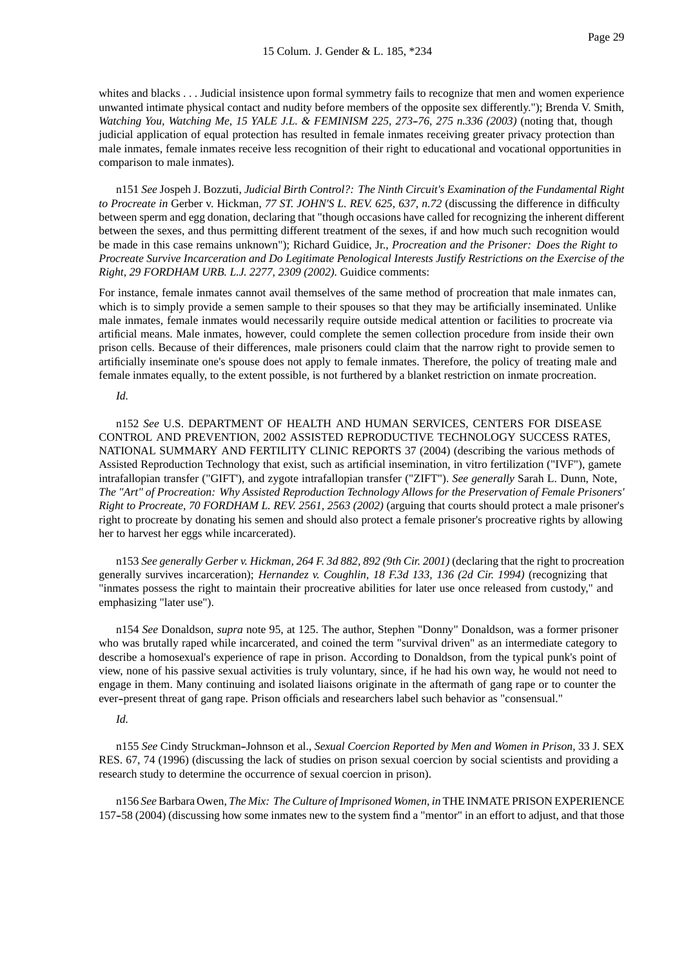whites and blacks . . . Judicial insistence upon formal symmetry fails to recognize that men and women experience unwanted intimate physical contact and nudity before members of the opposite sex differently."); Brenda V. Smith, *Watching You, Watching Me*, *15 YALE J.L. & FEMINISM 225, 273--76, 275 n.336 (2003)* (noting that, though judicial application of equal protection has resulted in female inmates receiving greater privacy protection than male inmates, female inmates receive less recognition of their right to educational and vocational opportunities in comparison to male inmates).

n151 *See* Jospeh J. Bozzuti, *Judicial Birth Control?: The Ninth Circuit's Examination of the Fundamental Right to Procreate in* Gerber v. Hickman, *77 ST. JOHN'S L. REV. 625, 637, n.72* (discussing the difference in difficulty between sperm and egg donation, declaring that "though occasions have called for recognizing the inherent different between the sexes, and thus permitting different treatment of the sexes, if and how much such recognition would be made in this case remains unknown"); Richard Guidice, Jr., *Procreation and the Prisoner: Does the Right to Procreate Survive Incarceration and Do Legitimate Penological Interests Justify Restrictions on the Exercise of the Right*, *29 FORDHAM URB. L.J. 2277, 2309 (2002).* Guidice comments:

For instance, female inmates cannot avail themselves of the same method of procreation that male inmates can, which is to simply provide a semen sample to their spouses so that they may be artificially inseminated. Unlike male inmates, female inmates would necessarily require outside medical attention or facilities to procreate via artificial means. Male inmates, however, could complete the semen collection procedure from inside their own prison cells. Because of their differences, male prisoners could claim that the narrow right to provide semen to artificially inseminate one's spouse does not apply to female inmates. Therefore, the policy of treating male and female inmates equally, to the extent possible, is not furthered by a blanket restriction on inmate procreation.

#### *Id.*

n152 *See* U.S. DEPARTMENT OF HEALTH AND HUMAN SERVICES, CENTERS FOR DISEASE CONTROL AND PREVENTION, 2002 ASSISTED REPRODUCTIVE TECHNOLOGY SUCCESS RATES, NATIONAL SUMMARY AND FERTILITY CLINIC REPORTS 37 (2004) (describing the various methods of Assisted Reproduction Technology that exist, such as artificial insemination, in vitro fertilization ("IVF"), gamete intrafallopian transfer ("GIFT'), and zygote intrafallopian transfer ("ZIFT"). *See generally* Sarah L. Dunn, Note, *The "Art" of Procreation: Why Assisted Reproduction Technology Allows for the Preservation of Female Prisoners' Right to Procreate*, *70 FORDHAM L. REV. 2561, 2563 (2002)* (arguing that courts should protect a male prisoner's right to procreate by donating his semen and should also protect a female prisoner's procreative rights by allowing her to harvest her eggs while incarcerated).

n153 *See generally Gerber v. Hickman, 264 F. 3d 882, 892 (9th Cir. 2001)* (declaring that the right to procreation generally survives incarceration); *Hernandez v. Coughlin, 18 F.3d 133, 136 (2d Cir. 1994)* (recognizing that "inmates possess the right to maintain their procreative abilities for later use once released from custody," and emphasizing "later use").

n154 *See* Donaldson, *supra* note 95, at 125. The author, Stephen "Donny" Donaldson, was a former prisoner who was brutally raped while incarcerated, and coined the term "survival driven" as an intermediate category to describe a homosexual's experience of rape in prison. According to Donaldson, from the typical punk's point of view, none of his passive sexual activities is truly voluntary, since, if he had his own way, he would not need to engage in them. Many continuing and isolated liaisons originate in the aftermath of gang rape or to counter the ever-present threat of gang rape. Prison officials and researchers label such behavior as "consensual."

#### *Id.*

n155 *See* Cindy Struckman--Johnson et al., *Sexual Coercion Reported by Men and Women in Prison*, 33 J. SEX RES. 67, 74 (1996) (discussing the lack of studies on prison sexual coercion by social scientists and providing a research study to determine the occurrence of sexual coercion in prison).

n156 *See*Barbara Owen, *The Mix: The Culture of Imprisoned Women, in* THE INMATE PRISON EXPERIENCE 157-58 (2004) (discussing how some inmates new to the system find a "mentor" in an effort to adjust, and that those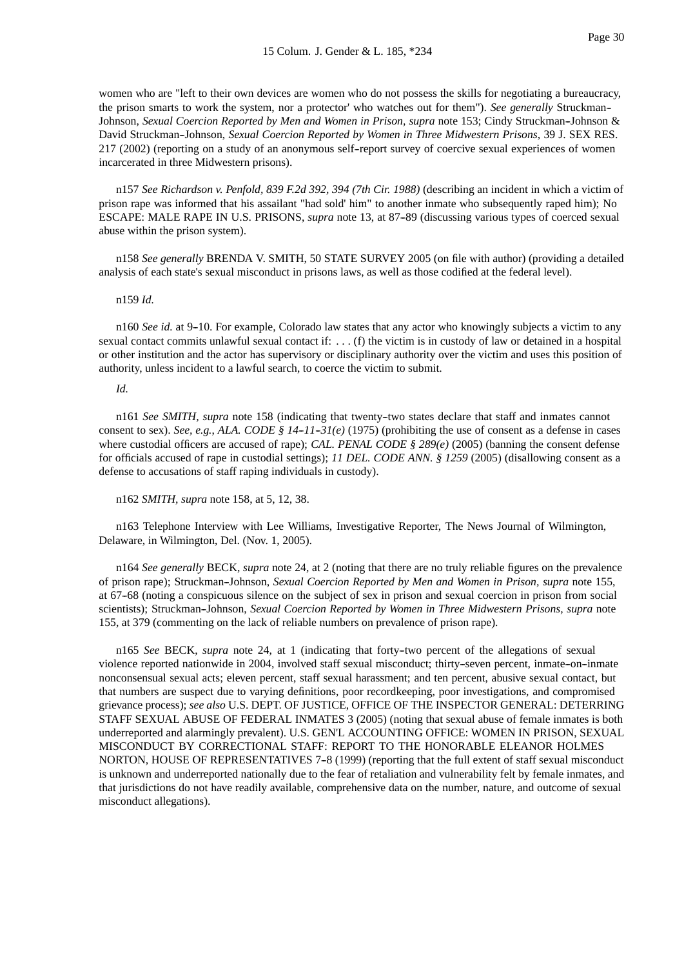women who are "left to their own devices are women who do not possess the skills for negotiating a bureaucracy, the prison smarts to work the system, nor a protector' who watches out for them"). *See generally* Struckman-- Johnson, *Sexual Coercion Reported by Men and Women in Prison, supra* note 153; Cindy Struckman--Johnson & David Struckman--Johnson, *Sexual Coercion Reported by Women in Three Midwestern Prisons*, 39 J. SEX RES. 217 (2002) (reporting on a study of an anonymous self--report survey of coercive sexual experiences of women incarcerated in three Midwestern prisons).

n157 *See Richardson v. Penfold, 839 F.2d 392, 394 (7th Cir. 1988)* (describing an incident in which a victim of prison rape was informed that his assailant "had sold' him" to another inmate who subsequently raped him); No ESCAPE: MALE RAPE IN U.S. PRISONS, *supra* note 13, at 87-89 (discussing various types of coerced sexual abuse within the prison system).

n158 *See generally* BRENDA V. SMITH, 50 STATE SURVEY 2005 (on file with author) (providing a detailed analysis of each state's sexual misconduct in prisons laws, as well as those codified at the federal level).

#### n159 *Id.*

n160 *See id.* at 9--10. For example, Colorado law states that any actor who knowingly subjects a victim to any sexual contact commits unlawful sexual contact if: . . . (f) the victim is in custody of law or detained in a hospital or other institution and the actor has supervisory or disciplinary authority over the victim and uses this position of authority, unless incident to a lawful search, to coerce the victim to submit.

#### *Id.*

n161 *See SMITH, supra* note 158 (indicating that twenty--two states declare that staff and inmates cannot consent to sex). *See, e.g., ALA. CODE § 14-11-31(e)* (1975) (prohibiting the use of consent as a defense in cases where custodial officers are accused of rape); *CAL. PENAL CODE § 289(e)* (2005) (banning the consent defense for officials accused of rape in custodial settings); *11 DEL. CODE ANN. § 1259* (2005) (disallowing consent as a defense to accusations of staff raping individuals in custody).

#### n162 *SMITH, supra* note 158, at 5, 12, 38.

n163 Telephone Interview with Lee Williams, Investigative Reporter, The News Journal of Wilmington, Delaware, in Wilmington, Del. (Nov. 1, 2005).

n164 *See generally* BECK, *supra* note 24, at 2 (noting that there are no truly reliable figures on the prevalence of prison rape); Struckman--Johnson, *Sexual Coercion Reported by Men and Women in Prison, supra* note 155, at 67-68 (noting a conspicuous silence on the subject of sex in prison and sexual coercion in prison from social scientists); Struckman--Johnson, *Sexual Coercion Reported by Women in Three Midwestern Prisons, supra* note 155, at 379 (commenting on the lack of reliable numbers on prevalence of prison rape).

n165 *See* BECK, *supra* note 24, at 1 (indicating that forty--two percent of the allegations of sexual violence reported nationwide in 2004, involved staff sexual misconduct; thirty--seven percent, inmate--on--inmate nonconsensual sexual acts; eleven percent, staff sexual harassment; and ten percent, abusive sexual contact, but that numbers are suspect due to varying definitions, poor recordkeeping, poor investigations, and compromised grievance process); *see also* U.S. DEPT. OF JUSTICE, OFFICE OF THE INSPECTOR GENERAL: DETERRING STAFF SEXUAL ABUSE OF FEDERAL INMATES 3 (2005) (noting that sexual abuse of female inmates is both underreported and alarmingly prevalent). U.S. GEN'L ACCOUNTING OFFICE: WOMEN IN PRISON, SEXUAL MISCONDUCT BY CORRECTIONAL STAFF: REPORT TO THE HONORABLE ELEANOR HOLMES NORTON, HOUSE OF REPRESENTATIVES 7-8 (1999) (reporting that the full extent of staff sexual misconduct is unknown and underreported nationally due to the fear of retaliation and vulnerability felt by female inmates, and that jurisdictions do not have readily available, comprehensive data on the number, nature, and outcome of sexual misconduct allegations).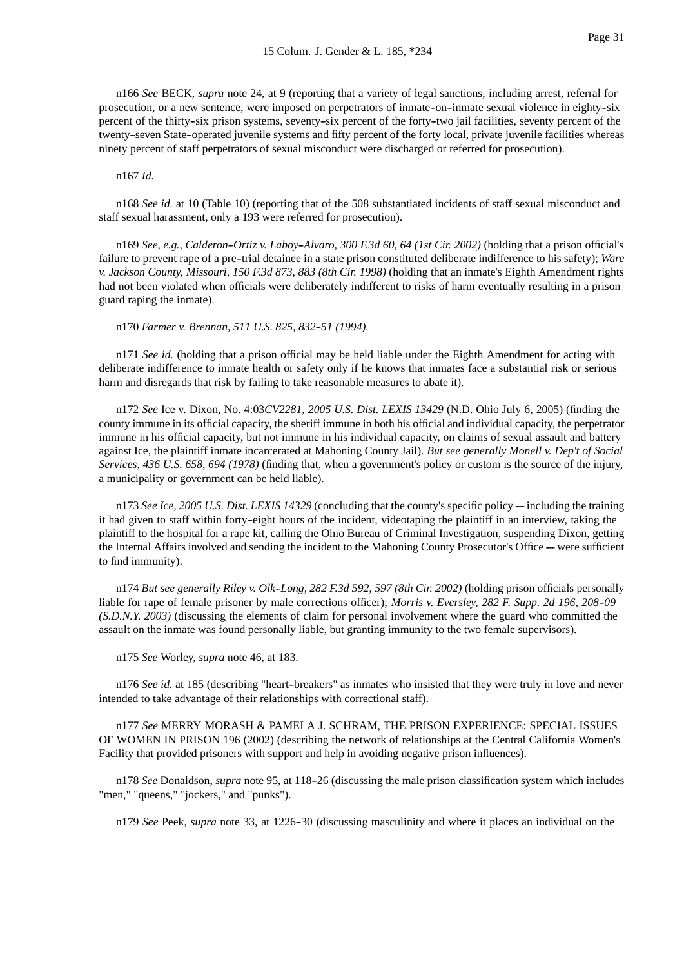n166 *See* BECK, *supra* note 24, at 9 (reporting that a variety of legal sanctions, including arrest, referral for prosecution, or a new sentence, were imposed on perpetrators of inmate-on-inmate sexual violence in eighty-six percent of the thirty-six prison systems, seventy-six percent of the forty-two jail facilities, seventy percent of the twenty--seven State--operated juvenile systems and fifty percent of the forty local, private juvenile facilities whereas ninety percent of staff perpetrators of sexual misconduct were discharged or referred for prosecution).

#### n167 *Id.*

n168 *See id.* at 10 (Table 10) (reporting that of the 508 substantiated incidents of staff sexual misconduct and staff sexual harassment, only a 193 were referred for prosecution).

n169 *See, e.g.*, *Calderon--Ortiz v. Laboy--Alvaro, 300 F.3d 60, 64 (1st Cir. 2002)* (holding that a prison official's failure to prevent rape of a pre--trial detainee in a state prison constituted deliberate indifference to his safety); *Ware v. Jackson County, Missouri, 150 F.3d 873, 883 (8th Cir. 1998)* (holding that an inmate's Eighth Amendment rights had not been violated when officials were deliberately indifferent to risks of harm eventually resulting in a prison guard raping the inmate).

n170 *Farmer v. Brennan, 511 U.S. 825, 832--51 (1994).*

n171 *See id.* (holding that a prison official may be held liable under the Eighth Amendment for acting with deliberate indifference to inmate health or safety only if he knows that inmates face a substantial risk or serious harm and disregards that risk by failing to take reasonable measures to abate it).

n172 *See* Ice v. Dixon, No. 4:03*CV2281, 2005 U.S. Dist. LEXIS 13429* (N.D. Ohio July 6, 2005) (finding the county immune in its official capacity, the sheriff immune in both his official and individual capacity, the perpetrator immune in his official capacity, but not immune in his individual capacity, on claims of sexual assault and battery against Ice, the plaintiff inmate incarcerated at Mahoning County Jail). *But see generally Monell v. Dep't of Social Services, 436 U.S. 658, 694 (1978)* (finding that, when a government's policy or custom is the source of the injury, a municipality or government can be held liable).

n173 *See Ice, 2005 U.S. Dist. LEXIS 14329* (concluding that the county's specific policy — including the training it had given to staff within forty-eight hours of the incident, videotaping the plaintiff in an interview, taking the plaintiff to the hospital for a rape kit, calling the Ohio Bureau of Criminal Investigation, suspending Dixon, getting the Internal Affairs involved and sending the incident to the Mahoning County Prosecutor's Office — were sufficient to find immunity).

n174 *But see generally Riley v. Olk--Long, 282 F.3d 592, 597 (8th Cir. 2002)* (holding prison officials personally liable for rape of female prisoner by male corrections officer); *Morris v. Eversley, 282 F. Supp. 2d 196, 208--09 (S.D.N.Y. 2003)* (discussing the elements of claim for personal involvement where the guard who committed the assault on the inmate was found personally liable, but granting immunity to the two female supervisors).

n175 *See* Worley, *supra* note 46, at 183.

n176 See id. at 185 (describing "heart-breakers" as inmates who insisted that they were truly in love and never intended to take advantage of their relationships with correctional staff).

n177 *See* MERRY MORASH & PAMELA J. SCHRAM, THE PRISON EXPERIENCE: SPECIAL ISSUES OF WOMEN IN PRISON 196 (2002) (describing the network of relationships at the Central California Women's Facility that provided prisoners with support and help in avoiding negative prison influences).

n178 *See* Donaldson, *supra* note 95, at 118-26 (discussing the male prison classification system which includes "men," "queens," "jockers," and "punks").

n179 *See* Peek, *supra* note 33, at 1226--30 (discussing masculinity and where it places an individual on the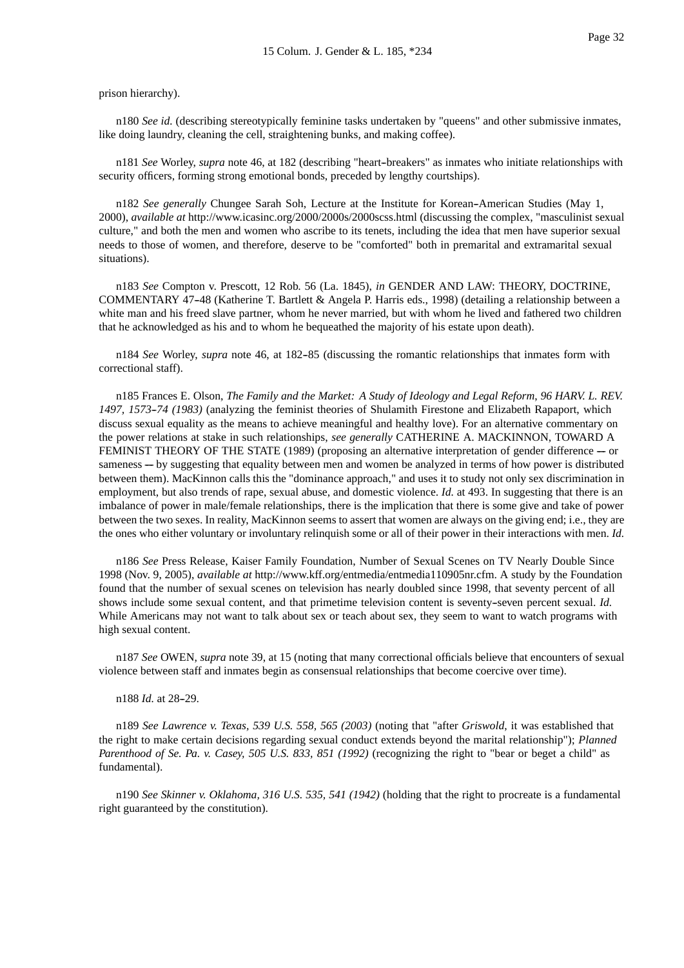prison hierarchy).

n180 *See id.* (describing stereotypically feminine tasks undertaken by "queens" and other submissive inmates, like doing laundry, cleaning the cell, straightening bunks, and making coffee).

n181 *See* Worley, *supra* note 46, at 182 (describing "heart--breakers" as inmates who initiate relationships with security officers, forming strong emotional bonds, preceded by lengthy courtships).

n182 See generally Chungee Sarah Soh, Lecture at the Institute for Korean-American Studies (May 1, 2000), *available at* http://www.icasinc.org/2000/2000s/2000scss.html (discussing the complex, "masculinist sexual culture," and both the men and women who ascribe to its tenets, including the idea that men have superior sexual needs to those of women, and therefore, deserve to be "comforted" both in premarital and extramarital sexual situations).

n183 *See* Compton v. Prescott, 12 Rob. 56 (La. 1845), *in* GENDER AND LAW: THEORY, DOCTRINE, COMMENTARY 47--48 (Katherine T. Bartlett & Angela P. Harris eds., 1998) (detailing a relationship between a white man and his freed slave partner, whom he never married, but with whom he lived and fathered two children that he acknowledged as his and to whom he bequeathed the majority of his estate upon death).

n184 *See* Worley, *supra* note 46, at 182-85 (discussing the romantic relationships that inmates form with correctional staff).

n185 Frances E. Olson, *The Family and the Market: A Study of Ideology and Legal Reform*, *96 HARV. L. REV. 1497, 1573--74 (1983)* (analyzing the feminist theories of Shulamith Firestone and Elizabeth Rapaport, which discuss sexual equality as the means to achieve meaningful and healthy love). For an alternative commentary on the power relations at stake in such relationships, *see generally* CATHERINE A. MACKINNON, TOWARD A FEMINIST THEORY OF THE STATE (1989) (proposing an alternative interpretation of gender difference  $-$  or sameness — by suggesting that equality between men and women be analyzed in terms of how power is distributed between them). MacKinnon calls this the "dominance approach," and uses it to study not only sex discrimination in employment, but also trends of rape, sexual abuse, and domestic violence. *Id.* at 493. In suggesting that there is an imbalance of power in male/female relationships, there is the implication that there is some give and take of power between the two sexes. In reality, MacKinnon seems to assert that women are always on the giving end; i.e., they are the ones who either voluntary or involuntary relinquish some or all of their power in their interactions with men. *Id.*

n186 *See* Press Release, Kaiser Family Foundation, Number of Sexual Scenes on TV Nearly Double Since 1998 (Nov. 9, 2005), *available at* http://www.kff.org/entmedia/entmedia110905nr.cfm. A study by the Foundation found that the number of sexual scenes on television has nearly doubled since 1998, that seventy percent of all shows include some sexual content, and that primetime television content is seventy--seven percent sexual. *Id.* While Americans may not want to talk about sex or teach about sex, they seem to want to watch programs with high sexual content.

n187 *See* OWEN, *supra* note 39, at 15 (noting that many correctional officials believe that encounters of sexual violence between staff and inmates begin as consensual relationships that become coercive over time).

n188 *Id.* at 28-29.

n189 *See Lawrence v. Texas, 539 U.S. 558, 565 (2003)* (noting that "after *Griswold*, it was established that the right to make certain decisions regarding sexual conduct extends beyond the marital relationship"); *Planned Parenthood of Se. Pa. v. Casey, 505 U.S. 833, 851 (1992)* (recognizing the right to "bear or beget a child" as fundamental).

n190 *See Skinner v. Oklahoma, 316 U.S. 535, 541 (1942)* (holding that the right to procreate is a fundamental right guaranteed by the constitution).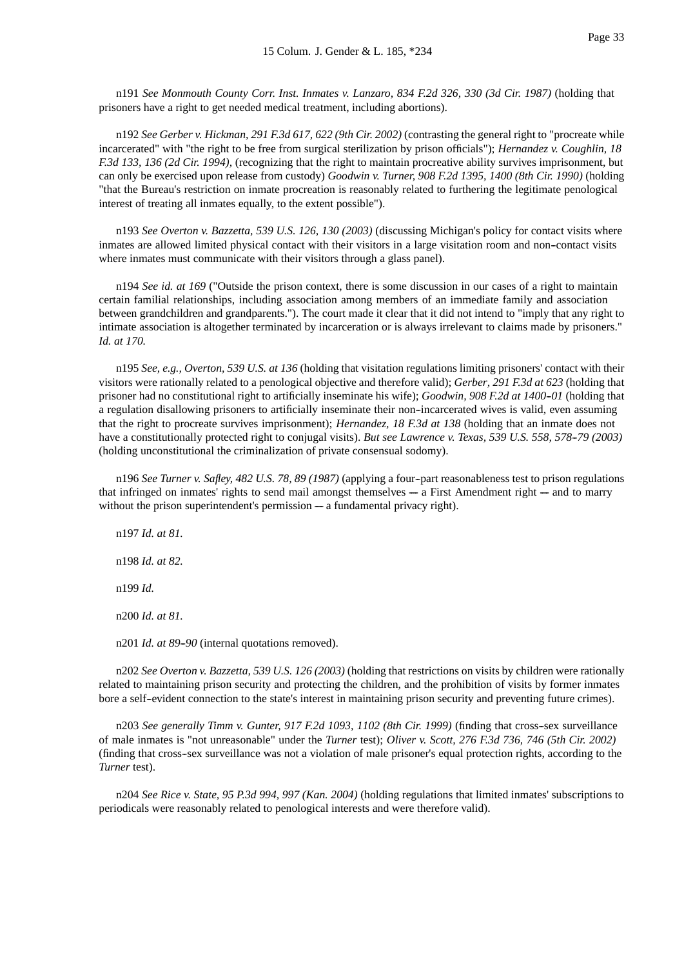n191 *See Monmouth County Corr. Inst. Inmates v. Lanzaro, 834 F.2d 326, 330 (3d Cir. 1987)* (holding that prisoners have a right to get needed medical treatment, including abortions).

n192 *See Gerber v. Hickman, 291 F.3d 617, 622 (9th Cir. 2002)* (contrasting the general right to "procreate while incarcerated" with "the right to be free from surgical sterilization by prison officials"); *Hernandez v. Coughlin, 18 F.3d 133, 136 (2d Cir. 1994),* (recognizing that the right to maintain procreative ability survives imprisonment, but can only be exercised upon release from custody) *Goodwin v. Turner, 908 F.2d 1395, 1400 (8th Cir. 1990)* (holding "that the Bureau's restriction on inmate procreation is reasonably related to furthering the legitimate penological interest of treating all inmates equally, to the extent possible").

n193 *See Overton v. Bazzetta, 539 U.S. 126, 130 (2003)* (discussing Michigan's policy for contact visits where inmates are allowed limited physical contact with their visitors in a large visitation room and non--contact visits where inmates must communicate with their visitors through a glass panel).

n194 *See id. at 169* ("Outside the prison context, there is some discussion in our cases of a right to maintain certain familial relationships, including association among members of an immediate family and association between grandchildren and grandparents."). The court made it clear that it did not intend to "imply that any right to intimate association is altogether terminated by incarceration or is always irrelevant to claims made by prisoners." *Id. at 170.*

n195 *See, e.g., Overton, 539 U.S. at 136* (holding that visitation regulations limiting prisoners' contact with their visitors were rationally related to a penological objective and therefore valid); *Gerber, 291 F.3d at 623* (holding that prisoner had no constitutional right to artificially inseminate his wife); *Goodwin, 908 F.2d at 1400--01* (holding that a regulation disallowing prisoners to artificially inseminate their non--incarcerated wives is valid, even assuming that the right to procreate survives imprisonment); *Hernandez, 18 F.3d at 138* (holding that an inmate does not have a constitutionally protected right to conjugal visits). *But see Lawrence v. Texas, 539 U.S. 558, 578--79 (2003)* (holding unconstitutional the criminalization of private consensual sodomy).

n196 *See Turner v. Safley, 482 U.S. 78, 89 (1987)* (applying a four--part reasonableness test to prison regulations that infringed on inmates' rights to send mail amongst themselves  $-$  a First Amendment right  $-$  and to marry without the prison superintendent's permission  $-$  a fundamental privacy right).

n197 *Id. at 81.* n198 *Id. at 82.* n199 *Id.* n200 *Id. at 81.*

n201 *Id. at 89-90* (internal quotations removed).

n202 *See Overton v. Bazzetta, 539 U.S. 126 (2003)* (holding that restrictions on visits by children were rationally related to maintaining prison security and protecting the children, and the prohibition of visits by former inmates bore a self--evident connection to the state's interest in maintaining prison security and preventing future crimes).

n203 *See generally Timm v. Gunter, 917 F.2d 1093, 1102 (8th Cir. 1999)* (finding that cross--sex surveillance of male inmates is "not unreasonable" under the *Turner* test); *Oliver v. Scott, 276 F.3d 736, 746 (5th Cir. 2002)* (finding that cross--sex surveillance was not a violation of male prisoner's equal protection rights, according to the *Turner* test).

n204 *See Rice v. State, 95 P.3d 994, 997 (Kan. 2004)* (holding regulations that limited inmates' subscriptions to periodicals were reasonably related to penological interests and were therefore valid).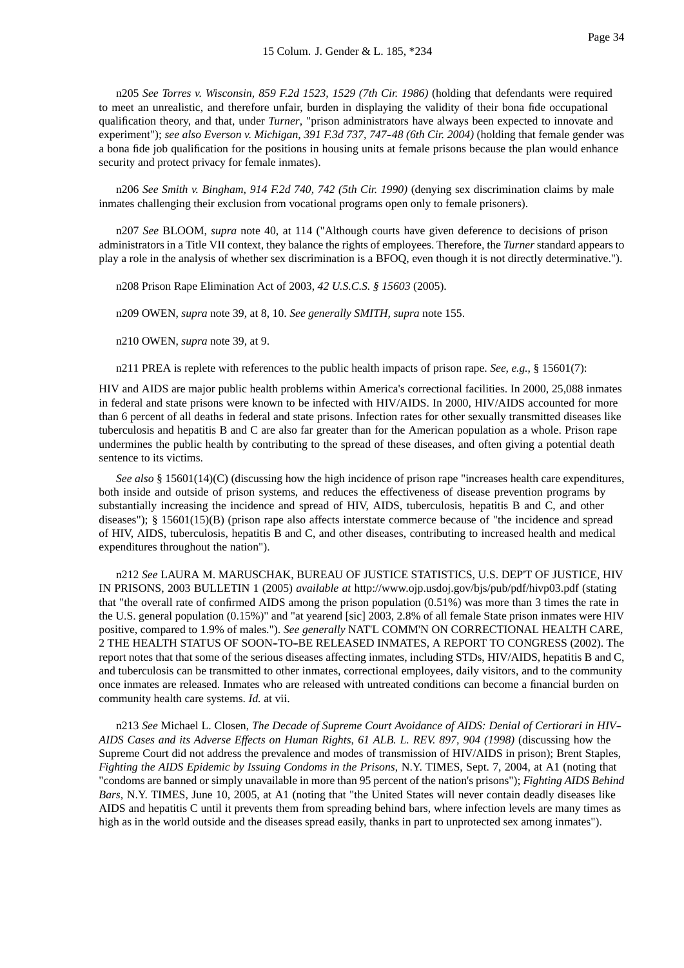n205 *See Torres v. Wisconsin, 859 F.2d 1523, 1529 (7th Cir. 1986)* (holding that defendants were required to meet an unrealistic, and therefore unfair, burden in displaying the validity of their bona fide occupational qualification theory, and that, under *Turner*, "prison administrators have always been expected to innovate and experiment"); *see also Everson v. Michigan, 391 F.3d 737, 747-48 (6th Cir. 2004*) (holding that female gender was a bona fide job qualification for the positions in housing units at female prisons because the plan would enhance security and protect privacy for female inmates).

n206 *See Smith v. Bingham, 914 F.2d 740, 742 (5th Cir. 1990)* (denying sex discrimination claims by male inmates challenging their exclusion from vocational programs open only to female prisoners).

n207 *See* BLOOM, *supra* note 40, at 114 ("Although courts have given deference to decisions of prison administrators in a Title VII context, they balance the rights of employees. Therefore, the *Turner* standard appears to play a role in the analysis of whether sex discrimination is a BFOQ, even though it is not directly determinative.").

n208 Prison Rape Elimination Act of 2003, *42 U.S.C.S. § 15603* (2005).

n209 OWEN, *supra* note 39, at 8, 10. *See generally SMITH, supra* note 155.

n210 OWEN, *supra* note 39, at 9.

n211 PREA is replete with references to the public health impacts of prison rape. *See, e.g.*, § 15601(7):

HIV and AIDS are major public health problems within America's correctional facilities. In 2000, 25,088 inmates in federal and state prisons were known to be infected with HIV/AIDS. In 2000, HIV/AIDS accounted for more than 6 percent of all deaths in federal and state prisons. Infection rates for other sexually transmitted diseases like tuberculosis and hepatitis B and C are also far greater than for the American population as a whole. Prison rape undermines the public health by contributing to the spread of these diseases, and often giving a potential death sentence to its victims.

*See also* § 15601(14)(C) (discussing how the high incidence of prison rape "increases health care expenditures, both inside and outside of prison systems, and reduces the effectiveness of disease prevention programs by substantially increasing the incidence and spread of HIV, AIDS, tuberculosis, hepatitis B and C, and other diseases"); § 15601(15)(B) (prison rape also affects interstate commerce because of "the incidence and spread of HIV, AIDS, tuberculosis, hepatitis B and C, and other diseases, contributing to increased health and medical expenditures throughout the nation").

n212 *See* LAURA M. MARUSCHAK, BUREAU OF JUSTICE STATISTICS, U.S. DEP'T OF JUSTICE, HIV IN PRISONS, 2003 BULLETIN 1 (2005) *available at* http://www.ojp.usdoj.gov/bjs/pub/pdf/hivp03.pdf (stating that "the overall rate of confirmed AIDS among the prison population (0.51%) was more than 3 times the rate in the U.S. general population (0.15%)" and "at yearend [sic] 2003, 2.8% of all female State prison inmates were HIV positive, compared to 1.9% of males."). *See generally* NAT'L COMM'N ON CORRECTIONAL HEALTH CARE, 2 THE HEALTH STATUS OF SOON-TO-BE RELEASED INMATES, A REPORT TO CONGRESS (2002). The report notes that that some of the serious diseases affecting inmates, including STDs, HIV/AIDS, hepatitis B and C, and tuberculosis can be transmitted to other inmates, correctional employees, daily visitors, and to the community once inmates are released. Inmates who are released with untreated conditions can become a financial burden on community health care systems. *Id.* at vii.

n213 *See* Michael L. Closen, *The Decade of Supreme Court Avoidance of AIDS: Denial of Certiorari in HIV-- AIDS Cases and its Adverse Effects on Human Rights*, *61 ALB. L. REV. 897, 904 (1998)* (discussing how the Supreme Court did not address the prevalence and modes of transmission of HIV/AIDS in prison); Brent Staples, *Fighting the AIDS Epidemic by Issuing Condoms in the Prisons*, N.Y. TIMES, Sept. 7, 2004, at A1 (noting that "condoms are banned or simply unavailable in more than 95 percent of the nation's prisons"); *Fighting AIDS Behind Bars*, N.Y. TIMES, June 10, 2005, at A1 (noting that "the United States will never contain deadly diseases like AIDS and hepatitis C until it prevents them from spreading behind bars, where infection levels are many times as high as in the world outside and the diseases spread easily, thanks in part to unprotected sex among inmates").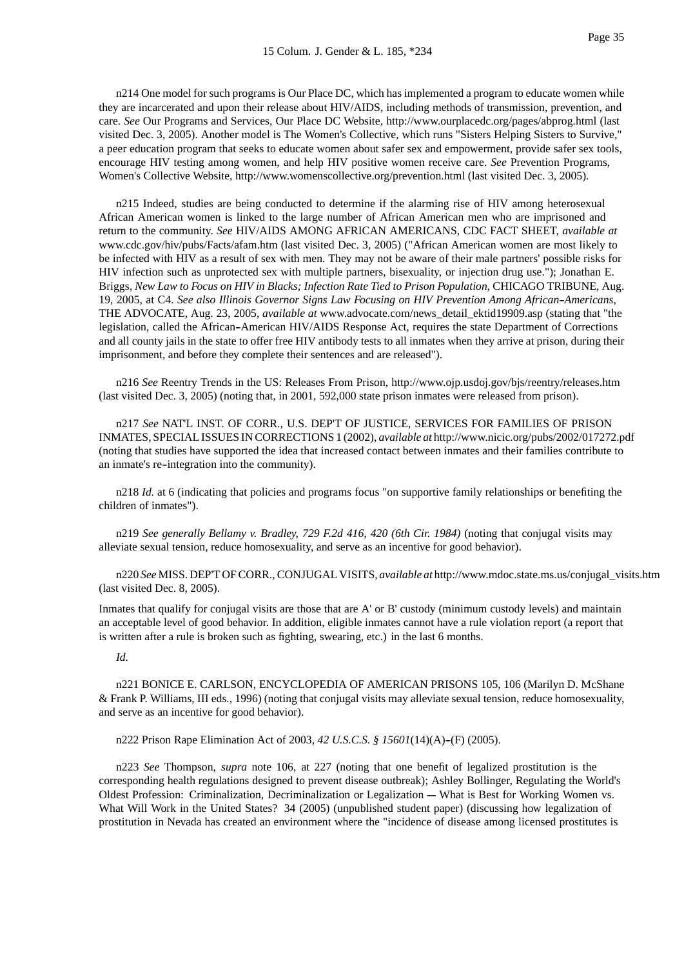n214 One model for such programs is Our Place DC, which has implemented a program to educate women while they are incarcerated and upon their release about HIV/AIDS, including methods of transmission, prevention, and care. *See* Our Programs and Services, Our Place DC Website, http://www.ourplacedc.org/pages/abprog.html (last visited Dec. 3, 2005). Another model is The Women's Collective, which runs "Sisters Helping Sisters to Survive," a peer education program that seeks to educate women about safer sex and empowerment, provide safer sex tools, encourage HIV testing among women, and help HIV positive women receive care. *See* Prevention Programs, Women's Collective Website, http://www.womenscollective.org/prevention.html (last visited Dec. 3, 2005).

n215 Indeed, studies are being conducted to determine if the alarming rise of HIV among heterosexual African American women is linked to the large number of African American men who are imprisoned and return to the community. *See* HIV/AIDS AMONG AFRICAN AMERICANS, CDC FACT SHEET, *available at* www.cdc.gov/hiv/pubs/Facts/afam.htm (last visited Dec. 3, 2005) ("African American women are most likely to be infected with HIV as a result of sex with men. They may not be aware of their male partners' possible risks for HIV infection such as unprotected sex with multiple partners, bisexuality, or injection drug use."); Jonathan E. Briggs, *New Law to Focus on HIV in Blacks; Infection Rate Tied to Prison Population*, CHICAGO TRIBUNE, Aug. 19, 2005, at C4. *See also Illinois Governor Signs Law Focusing on HIV Prevention Among African--Americans*, THE ADVOCATE, Aug. 23, 2005, *available at* www.advocate.com/news\_detail\_ektid19909.asp (stating that "the legislation, called the African--American HIV/AIDS Response Act, requires the state Department of Corrections and all county jails in the state to offer free HIV antibody tests to all inmates when they arrive at prison, during their imprisonment, and before they complete their sentences and are released").

n216 *See* Reentry Trends in the US: Releases From Prison, http://www.ojp.usdoj.gov/bjs/reentry/releases.htm (last visited Dec. 3, 2005) (noting that, in 2001, 592,000 state prison inmates were released from prison).

n217 *See* NAT'L INST. OF CORR., U.S. DEP'T OF JUSTICE, SERVICES FOR FAMILIES OF PRISON INMATES, SPECIAL ISSUES IN CORRECTIONS 1 (2002), *available at* http://www.nicic.org/pubs/2002/017272.pdf (noting that studies have supported the idea that increased contact between inmates and their families contribute to an inmate's re--integration into the community).

n218 *Id.* at 6 (indicating that policies and programs focus "on supportive family relationships or benefiting the children of inmates").

n219 *See generally Bellamy v. Bradley, 729 F.2d 416, 420 (6th Cir. 1984)* (noting that conjugal visits may alleviate sexual tension, reduce homosexuality, and serve as an incentive for good behavior).

n220 *See* MISS. DEP'T OF CORR., CONJUGAL VISITS, *available at* http://www.mdoc.state.ms.us/conjugal\_visits.htm (last visited Dec. 8, 2005).

Inmates that qualify for conjugal visits are those that are A' or B' custody (minimum custody levels) and maintain an acceptable level of good behavior. In addition, eligible inmates cannot have a rule violation report (a report that is written after a rule is broken such as fighting, swearing, etc.) in the last 6 months.

#### *Id.*

n221 BONICE E. CARLSON, ENCYCLOPEDIA OF AMERICAN PRISONS 105, 106 (Marilyn D. McShane & Frank P. Williams, III eds., 1996) (noting that conjugal visits may alleviate sexual tension, reduce homosexuality, and serve as an incentive for good behavior).

n222 Prison Rape Elimination Act of 2003, 42 U.S.C.S. § 15601(14)(A)-(F) (2005).

n223 *See* Thompson, *supra* note 106, at 227 (noting that one benefit of legalized prostitution is the corresponding health regulations designed to prevent disease outbreak); Ashley Bollinger, Regulating the World's Oldest Profession: Criminalization, Decriminalization or Legalization -- What is Best for Working Women vs. What Will Work in the United States? 34 (2005) (unpublished student paper) (discussing how legalization of prostitution in Nevada has created an environment where the "incidence of disease among licensed prostitutes is